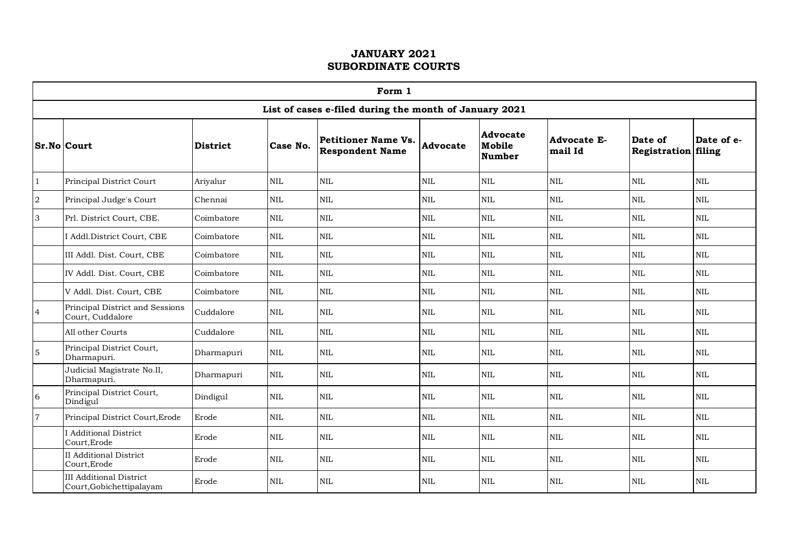|                | Form 1                                                     |            |              |                                                        |                 |                                            |                               |                                |              |  |  |  |
|----------------|------------------------------------------------------------|------------|--------------|--------------------------------------------------------|-----------------|--------------------------------------------|-------------------------------|--------------------------------|--------------|--|--|--|
|                |                                                            |            |              | List of cases e-filed during the month of January 2021 |                 |                                            |                               |                                |              |  |  |  |
|                | <b>Sr.No Court</b>                                         | District   | Case No.     | <b>Petitioner Name Vs.</b><br><b>Respondent Name</b>   | <b>Advocate</b> | <b>Advocate</b><br>Mobile<br><b>Number</b> | <b>Advocate E-</b><br>mail Id | Date of<br>Registration filing | Date of e-   |  |  |  |
| $\mathbf{1}$   | Principal District Court                                   | Ariyalur   | $\mbox{NIL}$ | $\mbox{NIL}$                                           | $\mbox{NIL}$    | $\mbox{NIL}$                               | $\mbox{NIL}$                  | $\mbox{NIL}$                   | $\mbox{NIL}$ |  |  |  |
| $\overline{a}$ | Principal Judge's Court                                    | Chennai    | NIL          | $\mbox{NIL}$                                           | <b>NIL</b>      | $\mbox{NIL}$                               | $\mbox{NIL}$                  | $\mbox{NIL}$                   | $\mbox{NIL}$ |  |  |  |
| $\overline{3}$ | Prl. District Court, CBE.                                  | Coimbatore | NIL          | $\mbox{NIL}$                                           | $\mbox{NIL}$    | $\mbox{NIL}$                               | NIL                           | $\mbox{NIL}$                   | $\mbox{NIL}$ |  |  |  |
|                | I Addl.District Court, CBE                                 | Coimbatore | <b>NIL</b>   | <b>NIL</b>                                             | $\rm NIL$       | $\mbox{NIL}$                               | $\mbox{NIL}$                  | <b>NIL</b>                     | $\mbox{NIL}$ |  |  |  |
|                | III Addl. Dist. Court, CBE                                 | Coimbatore | $\mbox{NIL}$ | $\mbox{NIL}$                                           | $\mbox{NIL}$    | NIL                                        | $\mbox{NIL}$                  | $\mbox{NIL}$                   | $\mbox{NIL}$ |  |  |  |
|                | IV Addl. Dist. Court, CBE                                  | Coimbatore | $\mbox{NIL}$ | $\mbox{NIL}$                                           | $\mbox{NIL}$    | $\mbox{NIL}$                               | $\mbox{NIL}$                  | $\mbox{NIL}$                   | $\mbox{NIL}$ |  |  |  |
|                | V Addl. Dist. Court, CBE                                   | Coimbatore | <b>NIL</b>   | $\mbox{NIL}$                                           | $\mbox{NIL}$    | $\mbox{NIL}$                               | $\mbox{NIL}$                  | <b>NIL</b>                     | $\mbox{NIL}$ |  |  |  |
| $\overline{4}$ | Principal District and Sessions<br>Court, Cuddalore        | Cuddalore  | <b>NIL</b>   | <b>NIL</b>                                             | <b>NIL</b>      | <b>NIL</b>                                 | $\mbox{NIL}$                  | <b>NIL</b>                     | <b>NIL</b>   |  |  |  |
|                | All other Courts                                           | Cuddalore  | <b>NIL</b>   | $\mbox{NIL}$                                           | $\mbox{NIL}$    | $\mbox{NIL}$                               | <b>NIL</b>                    | $\mbox{NIL}$                   | $\mbox{NIL}$ |  |  |  |
| $\overline{5}$ | Principal District Court,<br>Dharmapuri.                   | Dharmapuri | <b>NIL</b>   | <b>NIL</b>                                             | <b>NIL</b>      | <b>NIL</b>                                 | $\mbox{NIL}$                  | <b>NIL</b>                     | $\mbox{NIL}$ |  |  |  |
|                | Judicial Magistrate No.II,<br>Dharmapuri.                  | Dharmapuri | NIL          | $\mbox{NIL}$                                           | $\mbox{NIL}$    | $\mbox{NIL}$                               | NIL                           | $\mbox{NIL}$                   | $\mbox{NIL}$ |  |  |  |
| $\sqrt{6}$     | Principal District Court,<br>Dindigul                      | Dindigul   | <b>NIL</b>   | $\mbox{NIL}$                                           | $\mbox{NIL}$    | $\mbox{NIL}$                               | $\mbox{NIL}$                  | <b>NIL</b>                     | $\mbox{NIL}$ |  |  |  |
| $\overline{7}$ | Principal District Court, Erode                            | Erode      | <b>NIL</b>   | <b>NIL</b>                                             | <b>NIL</b>      | $\mbox{NIL}$                               | $\mbox{NIL}$                  | <b>NIL</b>                     | <b>NIL</b>   |  |  |  |
|                | I Additional District<br>Court, Erode                      | Erode      | $\mbox{NIL}$ | $\mbox{NIL}$                                           | $\mbox{NIL}$    | $\mbox{NIL}$                               | $\mbox{NIL}$                  | $\mbox{NIL}$                   | $\mbox{NIL}$ |  |  |  |
|                | <b>II</b> Additional District<br>Court, Erode              | Erode      | <b>NIL</b>   | $\mbox{NIL}$                                           | <b>NIL</b>      | <b>NIL</b>                                 | $\mbox{NIL}$                  | <b>NIL</b>                     | <b>NIL</b>   |  |  |  |
|                | <b>III</b> Additional District<br>Court, Gobichettipalayam | Erode      | <b>NIL</b>   | $\mbox{NIL}$                                           | NIL             | <b>NIL</b>                                 | NIL                           | $\mbox{NIL}$                   | NIL          |  |  |  |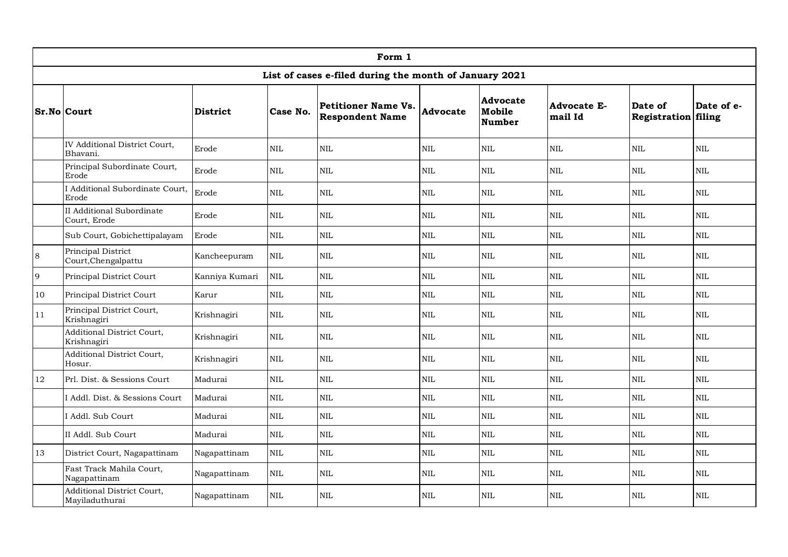|                    | Form 1                                       |                 |              |                                                        |              |                                     |                               |                                |              |  |  |
|--------------------|----------------------------------------------|-----------------|--------------|--------------------------------------------------------|--------------|-------------------------------------|-------------------------------|--------------------------------|--------------|--|--|
|                    |                                              |                 |              | List of cases e-filed during the month of January 2021 |              |                                     |                               |                                |              |  |  |
| <b>Sr.No Court</b> |                                              | <b>District</b> | Case No.     | <b>Petitioner Name Vs.</b><br><b>Respondent Name</b>   | Advocate     | Advocate<br>Mobile<br><b>Number</b> | <b>Advocate E-</b><br>mail Id | Date of<br>Registration filing | Date of e-   |  |  |
|                    | IV Additional District Court,<br>Bhavani.    | Erode           | <b>NIL</b>   | <b>NIL</b>                                             | <b>NIL</b>   | <b>NIL</b>                          | NIL                           | <b>NIL</b>                     | $\text{NIL}$ |  |  |
|                    | Principal Subordinate Court,<br>Erode        | Erode           | $\mbox{NIL}$ | $\mbox{NIL}$                                           | $\mbox{NIL}$ | $\mbox{NIL}$                        | <b>NIL</b>                    | $\mbox{NIL}$                   | <b>NIL</b>   |  |  |
|                    | I Additional Subordinate Court,<br>Erode     | Erode           | NIL          | $\text{NIL}$                                           | $\mbox{NIL}$ | <b>NIL</b>                          | <b>NIL</b>                    | <b>NIL</b>                     | NIL          |  |  |
|                    | II Additional Subordinate<br>Court, Erode    | Erode           | $\mbox{NIL}$ | <b>NIL</b>                                             | <b>NIL</b>   | NIL                                 | <b>NIL</b>                    | <b>NIL</b>                     | NIL.         |  |  |
|                    | Sub Court, Gobichettipalayam                 | Erode           | $\mbox{NIL}$ | $\mbox{NIL}$                                           | $\mbox{NIL}$ | $\text{NIL}$                        | <b>NIL</b>                    | $\mbox{NIL}$                   | $\mbox{NIL}$ |  |  |
| 8                  | Principal District<br>Court, Chengalpattu    | Kancheepuram    | $\mbox{NIL}$ | $\mbox{NIL}$                                           | <b>NIL</b>   | <b>NIL</b>                          | $\mbox{NIL}$                  | $\mbox{NIL}$                   | <b>NIL</b>   |  |  |
| 9                  | Principal District Court                     | Kanniya Kumari  | $\mbox{NIL}$ | $\mbox{NIL}$                                           | <b>NIL</b>   | NIL                                 | <b>NIL</b>                    | <b>NIL</b>                     | <b>NIL</b>   |  |  |
| 10                 | Principal District Court                     | Karur           | $\rm NIL$    | $\mbox{NIL}$                                           | $\mbox{NIL}$ | NIL                                 | <b>NIL</b>                    | $\rm NIL$                      | <b>NIL</b>   |  |  |
| 11                 | Principal District Court,<br>Krishnagiri     | Krishnagiri     | $\mbox{NIL}$ | <b>NIL</b>                                             | <b>NIL</b>   | <b>NIL</b>                          | <b>NIL</b>                    | <b>NIL</b>                     | $\text{NIL}$ |  |  |
|                    | Additional District Court,<br>Krishnagiri    | Krishnagiri     | <b>NIL</b>   | <b>NIL</b>                                             | <b>NIL</b>   | <b>NIL</b>                          | <b>NIL</b>                    | NIL                            | <b>NIL</b>   |  |  |
|                    | Additional District Court,<br>Hosur.         | Krishnagiri     | <b>NIL</b>   | <b>NIL</b>                                             | <b>NIL</b>   | <b>NIL</b>                          | <b>NIL</b>                    | <b>NIL</b>                     | $\text{NIL}$ |  |  |
| 12                 | Prl. Dist. & Sessions Court                  | Madurai         | NIL          | <b>NIL</b>                                             | <b>NIL</b>   | <b>NIL</b>                          | <b>NIL</b>                    | NIL                            | <b>NIL</b>   |  |  |
|                    | I Addl. Dist. & Sessions Court               | Madurai         | NIL          | NIL                                                    | $\text{NIL}$ | <b>NIL</b>                          | <b>NIL</b>                    | <b>NIL</b>                     | $\text{NIL}$ |  |  |
|                    | I Addl. Sub Court                            | Madurai         | <b>NIL</b>   | NIL                                                    | $\mbox{NIL}$ | NIL                                 | <b>NIL</b>                    | <b>NIL</b>                     | $\text{NIL}$ |  |  |
|                    | II Addl. Sub Court                           | Madurai         | $\rm NIL$    | $\mbox{NIL}$                                           | $\mbox{NIL}$ | NIL                                 | <b>NIL</b>                    | $\mbox{NIL}$                   | $\mbox{NIL}$ |  |  |
| 13                 | District Court, Nagapattinam                 | Nagapattinam    | $\text{NIL}$ | $\mbox{NIL}$                                           | $\mbox{NIL}$ | NIL                                 | <b>NIL</b>                    | $\mbox{NIL}$                   | $\mbox{NIL}$ |  |  |
|                    | Fast Track Mahila Court,<br>Nagapattinam     | Nagapattinam    | <b>NIL</b>   | <b>NIL</b>                                             | <b>NIL</b>   | $\mbox{NIL}$                        | <b>NIL</b>                    | NIL                            | <b>NIL</b>   |  |  |
|                    | Additional District Court,<br>Mayiladuthurai | Nagapattinam    | <b>NIL</b>   | <b>NIL</b>                                             | <b>NIL</b>   | <b>NIL</b>                          | <b>NIL</b>                    | <b>NIL</b>                     | NIL          |  |  |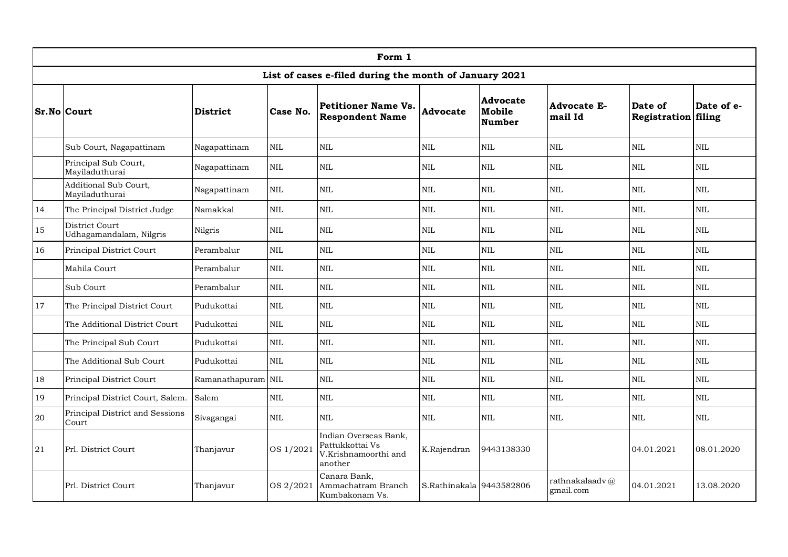|    | Form 1                                    |                    |              |                                                                             |                          |                                     |                               |                                       |              |  |  |  |
|----|-------------------------------------------|--------------------|--------------|-----------------------------------------------------------------------------|--------------------------|-------------------------------------|-------------------------------|---------------------------------------|--------------|--|--|--|
|    |                                           |                    |              | List of cases e-filed during the month of January 2021                      |                          |                                     |                               |                                       |              |  |  |  |
|    | <b>Sr.No Court</b>                        | <b>District</b>    | Case No.     | <b>Petitioner Name Vs.</b><br><b>Respondent Name</b>                        | <b>Advocate</b>          | Advocate<br>Mobile<br><b>Number</b> | <b>Advocate E-</b><br>mail Id | Date of<br><b>Registration filing</b> | Date of e-   |  |  |  |
|    | Sub Court, Nagapattinam                   | Nagapattinam       | $\text{NIL}$ | $\mbox{NIL}$                                                                | $\mbox{NIL}$             | $\mbox{NIL}$                        | $\mbox{NIL}$                  | $\mbox{NIL}$                          | $\mbox{NIL}$ |  |  |  |
|    | Principal Sub Court,<br>Mayiladuthurai    | Nagapattinam       | NIL          | <b>NIL</b>                                                                  | <b>NIL</b>               | $\mbox{NIL}$                        | $\mbox{NIL}$                  | <b>NIL</b>                            | <b>NIL</b>   |  |  |  |
|    | Additional Sub Court,<br>Mayiladuthurai   | Nagapattinam       | NIL          | $\mbox{NIL}$                                                                | $\mbox{NIL}$             | $\mbox{NIL}$                        | $\mbox{NIL}$                  | <b>NIL</b>                            | $\text{NIL}$ |  |  |  |
| 14 | The Principal District Judge              | Namakkal           | <b>NIL</b>   | $\mbox{NIL}$                                                                | $\mbox{NIL}$             | NIL                                 | NIL                           | NIL                                   | NIL          |  |  |  |
| 15 | District Court<br>Udhagamandalam, Nilgris | Nilgris            | NIL          | $\mbox{NIL}$                                                                | $\mbox{NIL}$             | $\mbox{NIL}$                        | $\mbox{NIL}$                  | NIL                                   | NIL.         |  |  |  |
| 16 | Principal District Court                  | Perambalur         | <b>NIL</b>   | $\mbox{NIL}$                                                                | $\mbox{NIL}$             | <b>NIL</b>                          | $\mbox{NIL}$                  | NIL                                   | NIL          |  |  |  |
|    | Mahila Court                              | Perambalur         | <b>NIL</b>   | $\mbox{NIL}$                                                                | $\mbox{NIL}$             | <b>NIL</b>                          | $\mbox{NIL}$                  | <b>NIL</b>                            | $\mbox{NIL}$ |  |  |  |
|    | Sub Court                                 | Perambalur         | NIL          | $\text{NIL}$                                                                | $\mbox{NIL}$             | <b>NIL</b>                          | $\mbox{NIL}$                  | <b>NIL</b>                            | NIL          |  |  |  |
| 17 | The Principal District Court              | Pudukottai         | $\text{NIL}$ | $\mbox{NIL}$                                                                | $\mbox{NIL}$             | $\mbox{NIL}$                        | $\mbox{NIL}$                  | NIL                                   | $\mbox{NIL}$ |  |  |  |
|    | The Additional District Court             | Pudukottai         | NIL          | $\text{NIL}$                                                                | $\text{NIL}$             | <b>NIL</b>                          | $\mbox{NIL}$                  | <b>NIL</b>                            | <b>NIL</b>   |  |  |  |
|    | The Principal Sub Court                   | Pudukottai         | <b>NIL</b>   | $\text{NIL}$                                                                | $\text{NIL}$             | NIL                                 | $\mbox{NIL}$                  | <b>NIL</b>                            | NIL          |  |  |  |
|    | The Additional Sub Court                  | Pudukottai         | <b>NIL</b>   | $\text{NIL}$                                                                | $\text{NIL}$             | NIL                                 | NIL                           | <b>NIL</b>                            | NIL          |  |  |  |
| 18 | Principal District Court                  | Ramanathapuram NIL |              | <b>NIL</b>                                                                  | $\mbox{NIL}$             | NIL                                 | $\mbox{NIL}$                  | <b>NIL</b>                            | NIL.         |  |  |  |
| 19 | Principal District Court, Salem.          | Salem              | <b>NIL</b>   | $\mbox{NIL}$                                                                | $\mbox{NIL}$             | <b>NIL</b>                          | <b>NIL</b>                    | $\mbox{NIL}$                          | NIL.         |  |  |  |
| 20 | Principal District and Sessions<br>Court  | Sivagangai         | $\mbox{NIL}$ | $\mbox{NIL}$                                                                | $\mbox{NIL}$             | $\rm NIL$                           | $\mbox{NIL}$                  | $\mbox{NIL}$                          | $\rm NIL$    |  |  |  |
| 21 | Prl. District Court                       | Thanjavur          | OS 1/2021    | Indian Overseas Bank,<br>Pattukkottai Vs<br>V.Krishnamoorthi and<br>another | K.Rajendran              | 9443138330                          |                               | 04.01.2021                            | 08.01.2020   |  |  |  |
|    | Prl. District Court                       | Thanjavur          | OS 2/2021    | Canara Bank,<br>Ammachatram Branch<br>Kumbakonam Vs.                        | S.Rathinakala 9443582806 |                                     | rathnakalaadv@<br>gmail.com   | 04.01.2021                            | 13.08.2020   |  |  |  |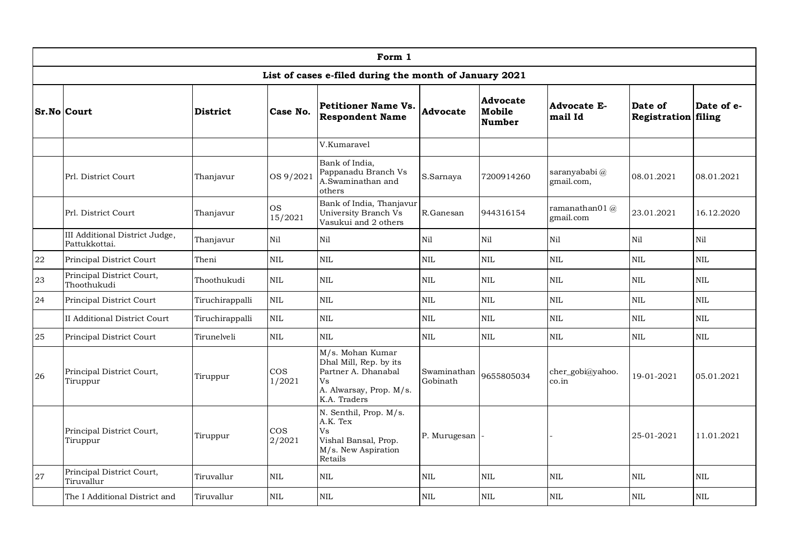|            | Form 1                                          |                 |                      |                                                                                                                    |                         |                                     |                               |                                |              |  |  |  |
|------------|-------------------------------------------------|-----------------|----------------------|--------------------------------------------------------------------------------------------------------------------|-------------------------|-------------------------------------|-------------------------------|--------------------------------|--------------|--|--|--|
|            |                                                 |                 |                      | List of cases e-filed during the month of January 2021                                                             |                         |                                     |                               |                                |              |  |  |  |
|            | <b>Sr.No Court</b>                              | <b>District</b> | Case No.             | <b>Petitioner Name Vs.</b><br><b>Respondent Name</b>                                                               | Advocate                | Advocate<br>Mobile<br><b>Number</b> | <b>Advocate E-</b><br>mail Id | Date of<br>Registration filing | Date of e-   |  |  |  |
|            |                                                 |                 |                      | V.Kumaravel                                                                                                        |                         |                                     |                               |                                |              |  |  |  |
|            | Prl. District Court                             | Thanjavur       | OS 9/2021            | Bank of India,<br>Pappanadu Branch Vs<br>A.Swaminathan and<br>others                                               | S.Sarnaya               | 7200914260                          | saranyababi@<br>gmail.com,    | 08.01.2021                     | 08.01.2021   |  |  |  |
|            | Prl. District Court                             | Thanjavur       | <b>OS</b><br>15/2021 | Bank of India, Thanjavur<br>University Branch Vs<br>Vasukui and 2 others                                           | R.Ganesan               | 944316154                           | ramanathan01 $@$<br>gmail.com | 23.01.2021                     | 16.12.2020   |  |  |  |
|            | III Additional District Judge,<br>Pattukkottai. | Thanjavur       | Nil                  | $\rm Ni1$                                                                                                          | Nil                     | Nil                                 | Nil                           | Nil                            | Nil          |  |  |  |
| ${\bf 22}$ | Principal District Court                        | Theni           | $\rm NIL$            | $\mbox{NIL}$                                                                                                       | NIL                     | NIL                                 | $\mbox{NIL}$                  | $\mbox{NIL}$                   | NIL          |  |  |  |
| 23         | Principal District Court,<br>Thoothukudi        | Thoothukudi     | NIL                  | $\mbox{NIL}$                                                                                                       | NIL                     | $\mbox{NIL}$                        | <b>NIL</b>                    | $\mbox{NIL}$                   | <b>NIL</b>   |  |  |  |
| 24         | Principal District Court                        | Tiruchirappalli | $\mbox{NIL}$         | $\mbox{NIL}$                                                                                                       | NIL                     | $\mbox{NIL}$                        | $\mbox{NIL}$                  | $\mbox{NIL}$                   | NIL          |  |  |  |
|            | II Additional District Court                    | Tiruchirappalli | $\mbox{NIL}$         | $\mbox{NIL}$                                                                                                       | NIL                     | $\mbox{NIL}$                        | $\mbox{NIL}$                  | $\mbox{NIL}$                   | <b>NIL</b>   |  |  |  |
| $25\,$     | Principal District Court                        | Tirunelveli     | <b>NIL</b>           | $\mbox{NIL}$                                                                                                       | <b>NIL</b>              | NIL                                 | $\mbox{NIL}$                  | $\mbox{NIL}$                   | $\text{NIL}$ |  |  |  |
| 26         | Principal District Court,<br>Tiruppur           | Tiruppur        | $\cos$<br>1/2021     | M/s. Mohan Kumar<br>Dhal Mill, Rep. by its<br>Partner A. Dhanabal<br>Vs<br>A. Alwarsay, Prop. M/s.<br>K.A. Traders | Swaminathan<br>Gobinath | 9655805034                          | cher_gobi@yahoo.<br>co.in     | 19-01-2021                     | 05.01.2021   |  |  |  |
|            | Principal District Court,<br>Tiruppur           | Tiruppur        | $\cos$<br>2/2021     | N. Senthil, Prop. M/s.<br>A.K. Tex<br>Vs<br>Vishal Bansal, Prop.<br>M/s. New Aspiration<br>Retails                 | P. Murugesan            |                                     |                               | 25-01-2021                     | 11.01.2021   |  |  |  |
| 27         | Principal District Court,<br>Tiruvallur         | Tiruvallur      | <b>NIL</b>           | <b>NIL</b>                                                                                                         | <b>NIL</b>              | <b>NIL</b>                          | <b>NIL</b>                    | <b>NIL</b>                     | <b>NIL</b>   |  |  |  |
|            | The I Additional District and                   | Tiruvallur      | <b>NIL</b>           | $\mbox{NIL}$                                                                                                       | <b>NIL</b>              | NIL                                 | <b>NIL</b>                    | $\mbox{NIL}$                   | <b>NIL</b>   |  |  |  |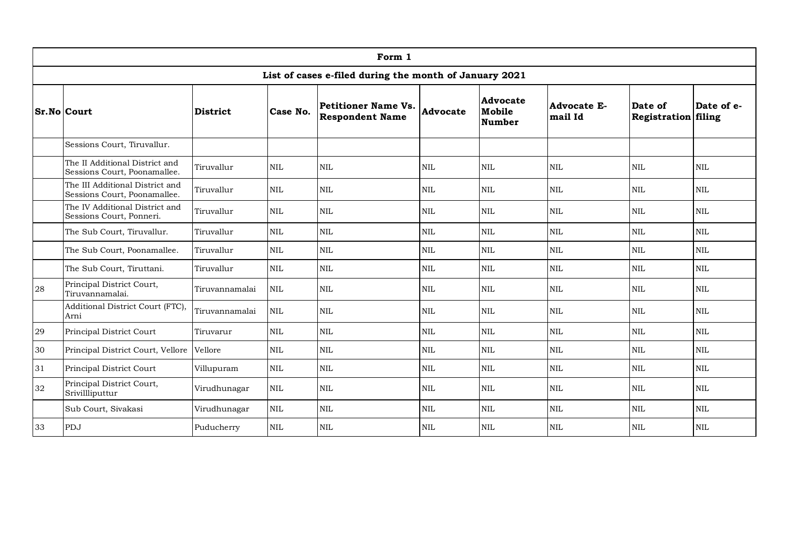| Form 1 |                                                                 |                |              |                                                        |                 |                                     |                               |                                |              |  |
|--------|-----------------------------------------------------------------|----------------|--------------|--------------------------------------------------------|-----------------|-------------------------------------|-------------------------------|--------------------------------|--------------|--|
|        |                                                                 |                |              | List of cases e-filed during the month of January 2021 |                 |                                     |                               |                                |              |  |
|        | <b>Sr.No Court</b><br>District                                  |                | Case No.     | <b>Petitioner Name Vs.</b><br><b>Respondent Name</b>   | <b>Advocate</b> | Advocate<br>Mobile<br><b>Number</b> | <b>Advocate E-</b><br>mail Id | Date of<br>Registration filing | Date of e-   |  |
|        | Sessions Court, Tiruvallur.                                     |                |              |                                                        |                 |                                     |                               |                                |              |  |
|        | The II Additional District and<br>Sessions Court, Poonamallee.  | Tiruvallur     | <b>NIL</b>   | <b>NIL</b>                                             | <b>NIL</b>      | <b>NIL</b>                          | <b>NIL</b>                    | <b>NIL</b>                     | $\text{NIL}$ |  |
|        | The III Additional District and<br>Sessions Court, Poonamallee. | Tiruvallur     | $\mbox{NIL}$ | $\mbox{NIL}$                                           | $\mbox{NIL}$    | $\mbox{NIL}$                        | <b>NIL</b>                    | $\rm NIL$                      | $\mbox{NIL}$ |  |
|        | The IV Additional District and<br>Sessions Court, Ponneri.      | Tiruvallur     | $\mbox{NIL}$ | $\mbox{NIL}$                                           | <b>NIL</b>      | <b>NIL</b>                          | <b>NIL</b>                    | $\rm NIL$                      | $\mbox{NIL}$ |  |
|        | The Sub Court, Tiruvallur.                                      | Tiruvallur     | $\mbox{NIL}$ | $\mbox{NIL}$                                           | $\mbox{NIL}$    | $\textsc{NIL}$                      | <b>NIL</b>                    | $\rm NIL$                      | $\mbox{NIL}$ |  |
|        | The Sub Court, Poonamallee.                                     | Tiruvallur     | NIL          | <b>NIL</b>                                             | <b>NIL</b>      | <b>NIL</b>                          | <b>NIL</b>                    | NIL                            | NIL          |  |
|        | The Sub Court, Tiruttani.                                       | Tiruvallur     | $\mbox{NIL}$ | $\mbox{NIL}$                                           | <b>NIL</b>      | $\textsc{NIL}$                      | <b>NIL</b>                    | $\rm NIL$                      | $\mbox{NIL}$ |  |
| 28     | Principal District Court,<br>Tiruvannamalai.                    | Tiruvannamalai | <b>NIL</b>   | $\mbox{NIL}$                                           | $\mbox{NIL}$    | $\mbox{NIL}$                        | <b>NIL</b>                    | $\rm NIL$                      | $\mbox{NIL}$ |  |
|        | Additional District Court (FTC),<br>Arni                        | Tiruvannamalai | $\mbox{NIL}$ | <b>NIL</b>                                             | $\mbox{NIL}$    | <b>NIL</b>                          | <b>NIL</b>                    | <b>NIL</b>                     | $\mbox{NIL}$ |  |
| 29     | Principal District Court                                        | Tiruvarur      | $\mbox{NIL}$ | $\text{NIL}$                                           | <b>NIL</b>      | <b>NIL</b>                          | <b>NIL</b>                    | <b>NIL</b>                     | <b>NIL</b>   |  |
| 30     | Principal District Court, Vellore                               | Vellore        | NIL          | $\mbox{NIL}$                                           | <b>NIL</b>      | <b>NIL</b>                          | <b>NIL</b>                    | <b>NIL</b>                     | $\mbox{NIL}$ |  |
| 31     | Principal District Court                                        | Villupuram     | $\mbox{NIL}$ | <b>NIL</b>                                             | <b>NIL</b>      | <b>NIL</b>                          | <b>NIL</b>                    | <b>NIL</b>                     | $\mbox{NIL}$ |  |
| 32     | Principal District Court,<br>Srivillliputtur                    | Virudhunagar   | <b>NIL</b>   | <b>NIL</b>                                             | <b>NIL</b>      | <b>NIL</b>                          | <b>NIL</b>                    | <b>NIL</b>                     | <b>NIL</b>   |  |
|        | Sub Court, Sivakasi                                             | Virudhunagar   | $\mbox{NIL}$ | $\mbox{NIL}$                                           | <b>NIL</b>      | $\mbox{NIL}$                        | <b>NIL</b>                    | $\rm NIL$                      | $\rm NIL$    |  |
| 33     | PDJ                                                             | Puducherry     | <b>NIL</b>   | <b>NIL</b>                                             | NIL             | <b>NIL</b>                          | <b>NIL</b>                    | <b>NIL</b>                     | NIL          |  |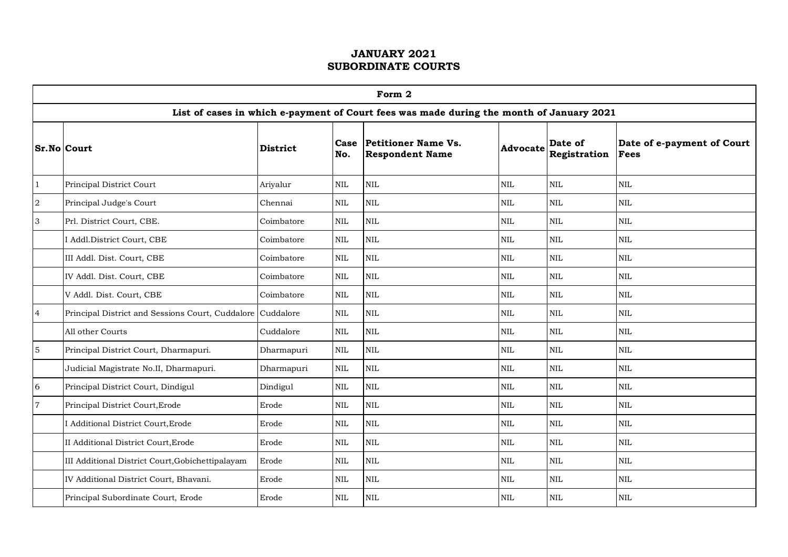|                | Form 2                                                     |                 |              |                                                                                          |                 |                         |                                           |  |  |  |  |
|----------------|------------------------------------------------------------|-----------------|--------------|------------------------------------------------------------------------------------------|-----------------|-------------------------|-------------------------------------------|--|--|--|--|
|                |                                                            |                 |              | List of cases in which e-payment of Court fees was made during the month of January 2021 |                 |                         |                                           |  |  |  |  |
|                | <b>Sr.No Court</b>                                         | <b>District</b> | Case<br>No.  | <b>Petitioner Name Vs.</b><br><b>Respondent Name</b>                                     | <b>Advocate</b> | Date of<br>Registration | Date of e-payment of Court<br><b>Fees</b> |  |  |  |  |
| $\mathbf{1}$   | Principal District Court                                   | Ariyalur        | <b>NIL</b>   | $\rm NIL$                                                                                | $\mbox{NIL}$    | $\mbox{NIL}$            | <b>NIL</b>                                |  |  |  |  |
| $\sqrt{2}$     | Principal Judge's Court                                    | Chennai         | $\mbox{NIL}$ | <b>NIL</b>                                                                               | $\mbox{NIL}$    | $\text{NIL}$            | $\mbox{NIL}$                              |  |  |  |  |
| 3              | Prl. District Court, CBE.                                  | Coimbatore      | $\mbox{NIL}$ | <b>NIL</b>                                                                               | $\mbox{NIL}$    | $\mbox{NIL}$            | $\mbox{NIL}$                              |  |  |  |  |
|                | I Addl.District Court, CBE                                 | Coimbatore      | $\mbox{NIL}$ | $\mbox{NIL}$                                                                             | $\mbox{NIL}$    | $\rm NIL$               | $\mbox{NIL}$                              |  |  |  |  |
|                | III Addl. Dist. Court, CBE                                 | Coimbatore      | $\mbox{NIL}$ | $\mbox{NIL}$                                                                             | $\mbox{NIL}$    | $\mbox{NIL}$            | $\mbox{NIL}$                              |  |  |  |  |
|                | IV Addl. Dist. Court, CBE                                  | Coimbatore      | $\mbox{NIL}$ | $\rm NIL$                                                                                | $\mbox{NIL}$    | $\text{NIL}$            | $\mbox{NIL}$                              |  |  |  |  |
|                | V Addl. Dist. Court, CBE                                   | Coimbatore      | $\mbox{NIL}$ | NIL                                                                                      | $\mbox{NIL}$    | $\mbox{NIL}$            | $\mbox{NIL}$                              |  |  |  |  |
| $\overline{4}$ | Principal District and Sessions Court, Cuddalore Cuddalore |                 | $\mbox{NIL}$ | $\rm NIL$                                                                                | $\mbox{NIL}$    | $\mbox{NIL}$            | NIL                                       |  |  |  |  |
|                | All other Courts                                           | Cuddalore       | $\mbox{NIL}$ | NIL                                                                                      | $\mbox{NIL}$    | $\text{NIL}$            | NIL                                       |  |  |  |  |
| $\sqrt{5}$     | Principal District Court, Dharmapuri.                      | Dharmapuri      | <b>NIL</b>   | <b>NIL</b>                                                                               | <b>NIL</b>      | <b>NIL</b>              | $\mbox{NIL}$                              |  |  |  |  |
|                | Judicial Magistrate No.II, Dharmapuri.                     | Dharmapuri      | $\mbox{NIL}$ | $\rm NIL$                                                                                | $\mbox{NIL}$    | $\mbox{NIL}$            | $\mbox{NIL}$                              |  |  |  |  |
| 6              | Principal District Court, Dindigul                         | Dindigul        | $\mbox{NIL}$ | $\mbox{NIL}$                                                                             | <b>NIL</b>      | $\mbox{NIL}$            | $\mbox{NIL}$                              |  |  |  |  |
| $\overline{7}$ | Principal District Court, Erode                            | Erode           | $\mbox{NIL}$ | NIL                                                                                      | $\mbox{NIL}$    | $\mbox{NIL}$            | $\mbox{NIL}$                              |  |  |  |  |
|                | I Additional District Court, Erode                         | Erode           | $\mbox{NIL}$ | $\mbox{NIL}$                                                                             | $\mbox{NIL}$    | $\mbox{NIL}$            | $\mbox{NIL}$                              |  |  |  |  |
|                | II Additional District Court, Erode                        | Erode           | <b>NIL</b>   | $\mbox{NIL}$                                                                             | $\mbox{NIL}$    | $\mbox{NIL}$            | $\mbox{NIL}$                              |  |  |  |  |
|                | III Additional District Court, Gobichettipalayam           | Erode           | $\mbox{NIL}$ | <b>NIL</b>                                                                               | $\mbox{NIL}$    | $\mbox{NIL}$            | $\mbox{NIL}$                              |  |  |  |  |
|                | IV Additional District Court, Bhavani.                     | Erode           | $\mbox{NIL}$ | $\rm NIL$                                                                                | $\mbox{NIL}$    | NIL                     | $\mbox{NIL}$                              |  |  |  |  |
|                | Principal Subordinate Court, Erode                         | Erode           | $\mbox{NIL}$ | <b>NIL</b>                                                                               | <b>NIL</b>      | $\mbox{NIL}$            | NIL                                       |  |  |  |  |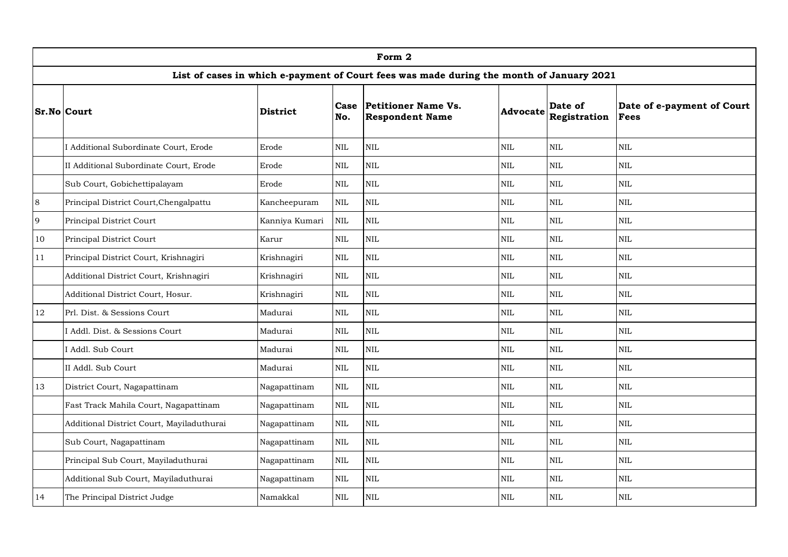|        | Form 2                                    |                 |              |                                                                                          |              |                         |                                    |  |  |  |
|--------|-------------------------------------------|-----------------|--------------|------------------------------------------------------------------------------------------|--------------|-------------------------|------------------------------------|--|--|--|
|        |                                           |                 |              | List of cases in which e-payment of Court fees was made during the month of January 2021 |              |                         |                                    |  |  |  |
|        | <b>Sr.No Court</b>                        | <b>District</b> | Case<br>No.  | Petitioner Name Vs.<br><b>Respondent Name</b>                                            | Advocate     | Date of<br>Registration | Date of e-payment of Court<br>Fees |  |  |  |
|        | I Additional Subordinate Court, Erode     | Erode           | $\rm NIL$    | $\rm NIL$                                                                                | NIL          | <b>NIL</b>              | <b>NIL</b>                         |  |  |  |
|        | II Additional Subordinate Court, Erode    | Erode           | NIL          | <b>NIL</b>                                                                               | <b>NIL</b>   | <b>NIL</b>              | <b>NIL</b>                         |  |  |  |
|        | Sub Court, Gobichettipalayam              | Erode           | $\mbox{NIL}$ | NIL                                                                                      | <b>NIL</b>   | <b>NIL</b>              | $\mbox{NIL}$                       |  |  |  |
| 8      | Principal District Court, Chengalpattu    | Kancheepuram    | $\mbox{NIL}$ | $\mbox{NIL}$                                                                             | <b>NIL</b>   | $\mbox{NIL}$            | <b>NIL</b>                         |  |  |  |
| 9      | Principal District Court                  | Kanniya Kumari  | <b>NIL</b>   | NIL                                                                                      | $\mbox{NIL}$ | $\mbox{NIL}$            | NIL                                |  |  |  |
| 10     | Principal District Court                  | Karur           | $\mbox{NIL}$ | NIL                                                                                      | $\mbox{NIL}$ | $\mbox{NIL}$            | <b>NIL</b>                         |  |  |  |
| 11     | Principal District Court, Krishnagiri     | Krishnagiri     | $\rm NIL$    | $\rm NIL$                                                                                | $\mbox{NIL}$ | $\mbox{NIL}$            | $\mbox{NIL}$                       |  |  |  |
|        | Additional District Court, Krishnagiri    | Krishnagiri     | NIL          | <b>NIL</b>                                                                               | $\mbox{NIL}$ | $\mbox{NIL}$            | NIL                                |  |  |  |
|        | Additional District Court, Hosur.         | Krishnagiri     | NIL          | NIL                                                                                      | $\mbox{NIL}$ | $\mbox{NIL}$            | $\mbox{NIL}$                       |  |  |  |
| $12\,$ | Prl. Dist. & Sessions Court               | Madurai         | $\rm NIL$    | <b>NIL</b>                                                                               | $\mbox{NIL}$ | $\mbox{NIL}$            | $\mbox{NIL}$                       |  |  |  |
|        | I Addl. Dist. & Sessions Court            | Madurai         | $\rm NIL$    | $\rm NIL$                                                                                | $\mbox{NIL}$ | $\mbox{NIL}$            | $\mbox{NIL}$                       |  |  |  |
|        | I Addl. Sub Court                         | Madurai         | $\rm NIL$    | <b>NIL</b>                                                                               | $\mbox{NIL}$ | $\text{NIL}$            | NIL                                |  |  |  |
|        | II Addl. Sub Court                        | Madurai         | NIL          | $\rm NIL$                                                                                | $\mbox{NIL}$ | $\text{NIL}$            | $\mbox{NIL}$                       |  |  |  |
| 13     | District Court, Nagapattinam              | Nagapattinam    | $\rm NIL$    | $\rm NIL$                                                                                | $\mbox{NIL}$ | $\mbox{NIL}$            | $\mbox{NIL}$                       |  |  |  |
|        | Fast Track Mahila Court, Nagapattinam     | Nagapattinam    | NIL          | <b>NIL</b>                                                                               | $\mbox{NIL}$ | $\text{NIL}$            | NIL                                |  |  |  |
|        | Additional District Court, Mayiladuthurai | Nagapattinam    | NIL          | $\rm NIL$                                                                                | <b>NIL</b>   | <b>NIL</b>              | $\mbox{NIL}$                       |  |  |  |
|        | Sub Court, Nagapattinam                   | Nagapattinam    | $\rm NIL$    | <b>NIL</b>                                                                               | $\mbox{NIL}$ | $\mbox{NIL}$            | $\mbox{NIL}$                       |  |  |  |
|        | Principal Sub Court, Mayiladuthurai       | Nagapattinam    | NIL          | $\rm NIL$                                                                                | $\mbox{NIL}$ | $\mbox{NIL}$            | <b>NIL</b>                         |  |  |  |
|        | Additional Sub Court, Mayiladuthurai      | Nagapattinam    | $\rm NIL$    | NIL                                                                                      | <b>NIL</b>   | <b>NIL</b>              | $\mbox{NIL}$                       |  |  |  |
| 14     | The Principal District Judge              | Namakkal        | $\rm NIL$    | <b>NIL</b>                                                                               | <b>NIL</b>   | $\mbox{NIL}$            | <b>NIL</b>                         |  |  |  |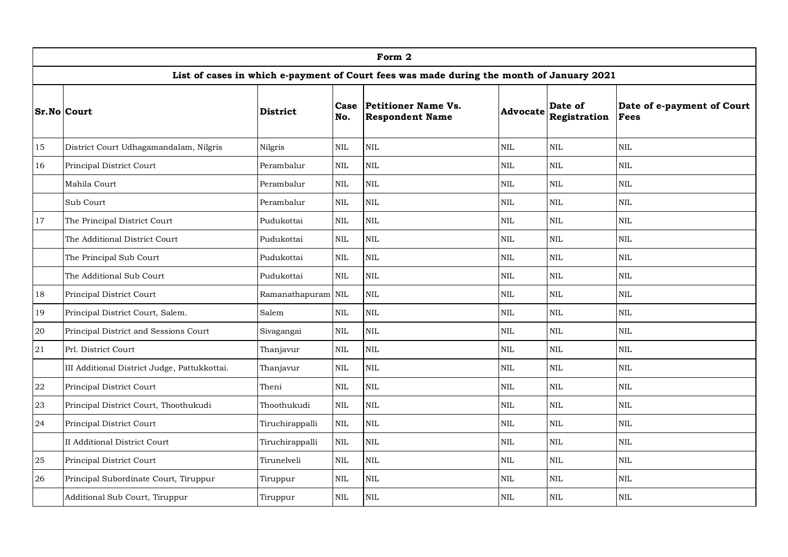|    | Form 2                                       |                 |              |                                                                                          |              |                         |                                           |  |  |  |  |
|----|----------------------------------------------|-----------------|--------------|------------------------------------------------------------------------------------------|--------------|-------------------------|-------------------------------------------|--|--|--|--|
|    |                                              |                 |              | List of cases in which e-payment of Court fees was made during the month of January 2021 |              |                         |                                           |  |  |  |  |
|    | <b>Sr.No Court</b>                           | <b>District</b> | Case<br>No.  | Petitioner Name Vs.<br><b>Respondent Name</b>                                            | Advocate     | Date of<br>Registration | Date of e-payment of Court<br><b>Fees</b> |  |  |  |  |
| 15 | District Court Udhagamandalam, Nilgris       | Nilgris         | NIL          | NIL                                                                                      | $\mbox{NIL}$ | $\text{NIL}$            | NIL                                       |  |  |  |  |
| 16 | Principal District Court                     | Perambalur      | $\rm NIL$    | NIL                                                                                      | $\mbox{NIL}$ | $\mbox{NIL}$            | $\rm NIL$                                 |  |  |  |  |
|    | Mahila Court                                 | Perambalur      | <b>NIL</b>   | <b>NIL</b>                                                                               | $\mbox{NIL}$ | NIL                     | <b>NIL</b>                                |  |  |  |  |
|    | Sub Court                                    | Perambalur      | NIL          | NIL                                                                                      | <b>NIL</b>   | $\mbox{NIL}$            | $\rm NIL$                                 |  |  |  |  |
| 17 | The Principal District Court                 | Pudukottai      | $\mbox{NIL}$ | $\rm NIL$                                                                                | $\mbox{NIL}$ | $\mbox{NIL}$            | $\rm NIL$                                 |  |  |  |  |
|    | The Additional District Court                | Pudukottai      | $\mbox{NIL}$ | $\rm NIL$                                                                                | $\mbox{NIL}$ | $\mbox{NIL}$            | $\rm NIL$                                 |  |  |  |  |
|    | The Principal Sub Court                      | Pudukottai      | $\rm NIL$    | $\rm NIL$                                                                                | $\mbox{NIL}$ | NIL                     | NIL                                       |  |  |  |  |
|    | The Additional Sub Court                     | Pudukottai      | NIL          | NIL                                                                                      | <b>NIL</b>   | $\mbox{NIL}$            | NIL                                       |  |  |  |  |
| 18 | Principal District Court                     | Ramanathapuram  | $\mbox{NIL}$ | $\rm NIL$                                                                                | $\mbox{NIL}$ | $\mbox{NIL}$            | $\rm NIL$                                 |  |  |  |  |
| 19 | Principal District Court, Salem.             | Salem           | $\mbox{NIL}$ | $\rm NIL$                                                                                | $\mbox{NIL}$ | $\mbox{NIL}$            | $\rm NIL$                                 |  |  |  |  |
| 20 | Principal District and Sessions Court        | Sivagangai      | $\rm NIL$    | $\rm NIL$                                                                                | $\mbox{NIL}$ | $\mbox{NIL}$            | NIL                                       |  |  |  |  |
| 21 | Prl. District Court                          | Thanjavur       | $\rm NIL$    | <b>NIL</b>                                                                               | $\mbox{NIL}$ | $\mbox{NIL}$            | $\rm NIL$                                 |  |  |  |  |
|    | III Additional District Judge, Pattukkottai. | Thanjavur       | $\rm NIL$    | $\rm NIL$                                                                                | $\mbox{NIL}$ | $\mbox{NIL}$            | $\rm NIL$                                 |  |  |  |  |
| 22 | Principal District Court                     | Theni           | $\rm NIL$    | <b>NIL</b>                                                                               | $\mbox{NIL}$ | NIL                     | NIL                                       |  |  |  |  |
| 23 | Principal District Court, Thoothukudi        | Thoothukudi     | NIL          | <b>NIL</b>                                                                               | $\mbox{NIL}$ | $\mbox{NIL}$            | $\rm NIL$                                 |  |  |  |  |
| 24 | Principal District Court                     | Tiruchirappalli | $\rm NIL$    | <b>NIL</b>                                                                               | $\mbox{NIL}$ | $\mbox{NIL}$            | $\rm NIL$                                 |  |  |  |  |
|    | <b>II Additional District Court</b>          | Tiruchirappalli | $\rm NIL$    | <b>NIL</b>                                                                               | $\mbox{NIL}$ | $\mbox{NIL}$            | $\rm NIL$                                 |  |  |  |  |
| 25 | Principal District Court                     | Tirunelveli     | NIL          | <b>NIL</b>                                                                               | $\mbox{NIL}$ | $\mbox{NIL}$            | NIL                                       |  |  |  |  |
| 26 | Principal Subordinate Court, Tiruppur        | Tiruppur        | NIL          | <b>NIL</b>                                                                               | $\mbox{NIL}$ | $\mbox{NIL}$            | $\rm NIL$                                 |  |  |  |  |
|    | Additional Sub Court, Tiruppur               | Tiruppur        | <b>NIL</b>   | NIL                                                                                      | $\mbox{NIL}$ | $\mbox{NIL}$            | $\mbox{NIL}$                              |  |  |  |  |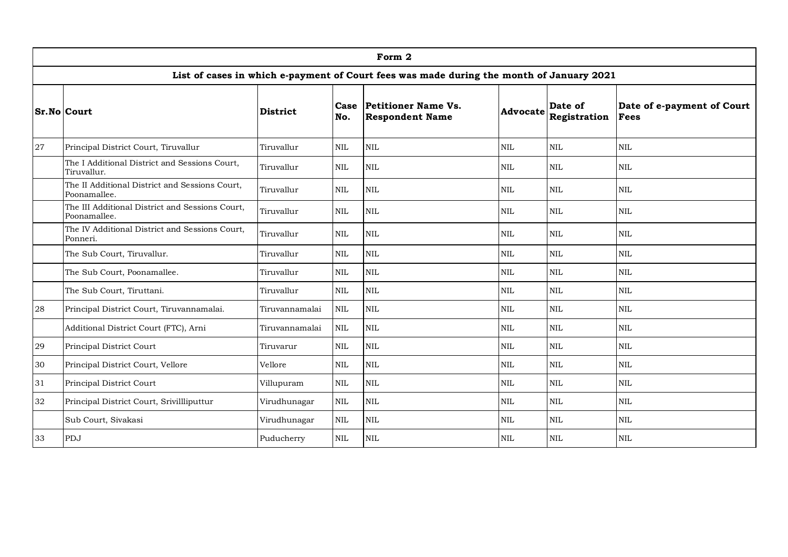|    | Form 2                                                                                   |                 |              |                                                      |                 |                         |                                           |  |  |  |  |
|----|------------------------------------------------------------------------------------------|-----------------|--------------|------------------------------------------------------|-----------------|-------------------------|-------------------------------------------|--|--|--|--|
|    | List of cases in which e-payment of Court fees was made during the month of January 2021 |                 |              |                                                      |                 |                         |                                           |  |  |  |  |
|    | <b>Sr.No Court</b>                                                                       | <b>District</b> | Case<br>No.  | <b>Petitioner Name Vs.</b><br><b>Respondent Name</b> | <b>Advocate</b> | Date of<br>Registration | Date of e-payment of Court<br><b>Fees</b> |  |  |  |  |
| 27 | Principal District Court, Tiruvallur                                                     | Tiruvallur      | $\mbox{NIL}$ | <b>NIL</b>                                           | $\mbox{NIL}$    | $\mbox{NIL}$            | <b>NIL</b>                                |  |  |  |  |
|    | The I Additional District and Sessions Court,<br>Tiruvallur.                             | Tiruvallur      | <b>NIL</b>   | <b>NIL</b>                                           | <b>NIL</b>      | <b>NIL</b>              | <b>NIL</b>                                |  |  |  |  |
|    | The II Additional District and Sessions Court,<br>Poonamallee.                           | Tiruvallur      | <b>NIL</b>   | NIL                                                  | $\mbox{NIL}$    | $\mbox{NIL}$            | <b>NIL</b>                                |  |  |  |  |
|    | The III Additional District and Sessions Court,<br>Poonamallee.                          | Tiruvallur      | $\mbox{NIL}$ | NIL                                                  | $\mbox{NIL}$    | <b>NIL</b>              | <b>NIL</b>                                |  |  |  |  |
|    | The IV Additional District and Sessions Court,<br>Ponneri.                               | Tiruvallur      | NIL          | $\rm NIL$                                            | $\rm NIL$       | $\rm NIL$               | <b>NIL</b>                                |  |  |  |  |
|    | The Sub Court, Tiruvallur.                                                               | Tiruvallur      | NIL          | NIL                                                  | $\mbox{NIL}$    | $\mbox{NIL}$            | <b>NIL</b>                                |  |  |  |  |
|    | The Sub Court, Poonamallee.                                                              | Tiruvallur      | $\rm NIL$    | $\rm NIL$                                            | <b>NIL</b>      | <b>NIL</b>              | <b>NIL</b>                                |  |  |  |  |
|    | The Sub Court, Tiruttani.                                                                | Tiruvallur      | NIL          | NIL                                                  | <b>NIL</b>      | <b>NIL</b>              | <b>NIL</b>                                |  |  |  |  |
| 28 | Principal District Court, Tiruvannamalai.                                                | Tiruvannamalai  | <b>NIL</b>   | <b>NIL</b>                                           | <b>NIL</b>      | <b>NIL</b>              | <b>NIL</b>                                |  |  |  |  |
|    | Additional District Court (FTC), Arni                                                    | Tiruvannamalai  | <b>NIL</b>   | NIL                                                  | $\mbox{NIL}$    | $\text{NIL}$            | <b>NIL</b>                                |  |  |  |  |
| 29 | Principal District Court                                                                 | Tiruvarur       | $\mbox{NIL}$ | NIL                                                  | $\mbox{NIL}$    | $\mbox{NIL}$            | <b>NIL</b>                                |  |  |  |  |
| 30 | Principal District Court, Vellore                                                        | Vellore         | $\mbox{NIL}$ | NIL                                                  | $\mbox{NIL}$    | $\mbox{NIL}$            | $\mbox{NIL}$                              |  |  |  |  |
| 31 | Principal District Court                                                                 | Villupuram      | $\mbox{NIL}$ | <b>NIL</b>                                           | $\mbox{NIL}$    | $\text{NIL}$            | <b>NIL</b>                                |  |  |  |  |
| 32 | Principal District Court, Srivillliputtur                                                | Virudhunagar    | $\mbox{NIL}$ | $\textsc{nil}$                                       | <b>NIL</b>      | <b>NIL</b>              | <b>NIL</b>                                |  |  |  |  |
|    | Sub Court, Sivakasi                                                                      | Virudhunagar    | $\mbox{NIL}$ | NIL                                                  | $\mbox{NIL}$    | $\mbox{NIL}$            | $\mbox{NIL}$                              |  |  |  |  |
| 33 | PDJ                                                                                      | Puducherry      | $\mbox{NIL}$ | <b>NIL</b>                                           | <b>NIL</b>      | <b>NIL</b>              | <b>NIL</b>                                |  |  |  |  |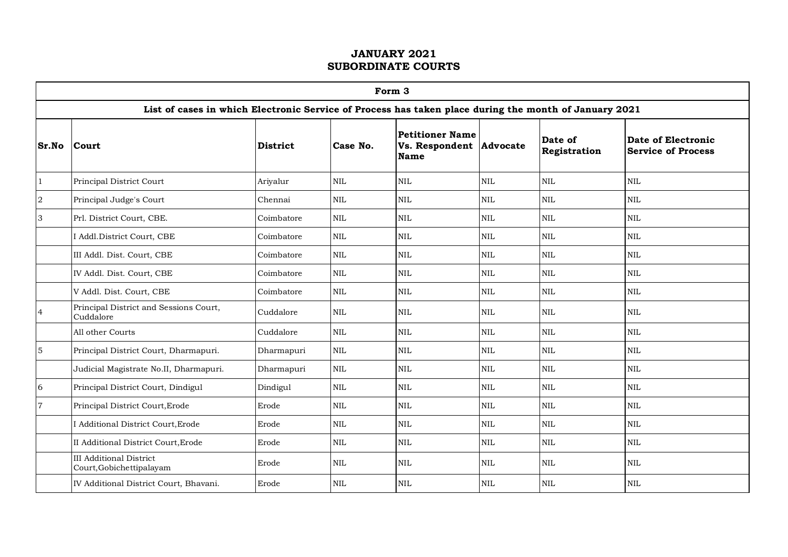|                | Form 3                                                                                                |            |              |                                                                  |              |                         |                                                 |  |  |  |  |
|----------------|-------------------------------------------------------------------------------------------------------|------------|--------------|------------------------------------------------------------------|--------------|-------------------------|-------------------------------------------------|--|--|--|--|
|                | List of cases in which Electronic Service of Process has taken place during the month of January 2021 |            |              |                                                                  |              |                         |                                                 |  |  |  |  |
| Sr.No          | Court                                                                                                 | District   | Case No.     | <b>Petitioner Name</b><br>Vs. Respondent Advocate<br><b>Name</b> |              | Date of<br>Registration | Date of Electronic<br><b>Service of Process</b> |  |  |  |  |
| $\mathbf{1}$   | Principal District Court                                                                              | Ariyalur   | <b>NIL</b>   | $\mbox{NIL}$                                                     | NIL          | $\mbox{NIL}$            | $\mbox{NIL}$                                    |  |  |  |  |
| $\sqrt{2}$     | Principal Judge's Court                                                                               | Chennai    | $\mbox{NIL}$ | NIL                                                              | $\mbox{NIL}$ | $\mbox{NIL}$            | $\mbox{NIL}$                                    |  |  |  |  |
| 3              | Prl. District Court, CBE.                                                                             | Coimbatore | $\mbox{NIL}$ | $\mbox{NIL}$                                                     | $\mbox{NIL}$ | $\mbox{NIL}$            | $\mbox{NIL}$                                    |  |  |  |  |
|                | I Addl.District Court, CBE                                                                            | Coimbatore | <b>NIL</b>   | <b>NIL</b>                                                       | <b>NIL</b>   | <b>NIL</b>              | <b>NIL</b>                                      |  |  |  |  |
|                | III Addl. Dist. Court, CBE                                                                            | Coimbatore | <b>NIL</b>   | <b>NIL</b>                                                       | $\mbox{NIL}$ | <b>NIL</b>              | NIL                                             |  |  |  |  |
|                | IV Addl. Dist. Court, CBE                                                                             | Coimbatore | <b>NIL</b>   | <b>NIL</b>                                                       | <b>NIL</b>   | $\mbox{NIL}$            | NIL                                             |  |  |  |  |
|                | V Addl. Dist. Court, CBE                                                                              | Coimbatore | NIL          | NIL                                                              | $\mbox{NIL}$ | $\text{NIL}$            | NIL                                             |  |  |  |  |
| $\overline{4}$ | Principal District and Sessions Court,<br>Cuddalore                                                   | Cuddalore  | <b>NIL</b>   | $\mbox{NIL}$                                                     | <b>NIL</b>   | $\mbox{NIL}$            | $\mbox{NIL}$                                    |  |  |  |  |
|                | All other Courts                                                                                      | Cuddalore  | <b>NIL</b>   | $\mbox{NIL}$                                                     | $\mbox{NIL}$ | $\mbox{NIL}$            | $\mbox{NIL}$                                    |  |  |  |  |
| $\mathbf 5$    | Principal District Court, Dharmapuri.                                                                 | Dharmapuri | <b>NIL</b>   | <b>NIL</b>                                                       | <b>NIL</b>   | <b>NIL</b>              | <b>NIL</b>                                      |  |  |  |  |
|                | Judicial Magistrate No.II, Dharmapuri.                                                                | Dharmapuri | <b>NIL</b>   | <b>NIL</b>                                                       | $\mbox{NIL}$ | $\mbox{NIL}$            | NIL                                             |  |  |  |  |
| 6              | Principal District Court, Dindigul                                                                    | Dindigul   | NIL          | NIL                                                              | $\mbox{NIL}$ | $\rm NIL$               | NIL                                             |  |  |  |  |
| $\overline{7}$ | Principal District Court, Erode                                                                       | Erode      | $\mbox{NIL}$ | $\rm NIL$                                                        | $\mbox{NIL}$ | $\mbox{NIL}$            | $\mbox{NIL}$                                    |  |  |  |  |
|                | I Additional District Court, Erode                                                                    | Erode      | $\mbox{NIL}$ | $\mbox{NIL}$                                                     | $\mbox{NIL}$ | $\mbox{NIL}$            | $\mbox{NIL}$                                    |  |  |  |  |
|                | II Additional District Court, Erode                                                                   | Erode      | NIL          | <b>NIL</b>                                                       | <b>NIL</b>   | <b>NIL</b>              | <b>NIL</b>                                      |  |  |  |  |
|                | <b>III</b> Additional District<br>Court, Gobichettipalayam                                            | Erode      | <b>NIL</b>   | <b>NIL</b>                                                       | <b>NIL</b>   | <b>NIL</b>              | <b>NIL</b>                                      |  |  |  |  |
|                | IV Additional District Court, Bhavani.                                                                | Erode      | $\mbox{NIL}$ | NIL                                                              | <b>NIL</b>   | $\mbox{NIL}$            | <b>NIL</b>                                      |  |  |  |  |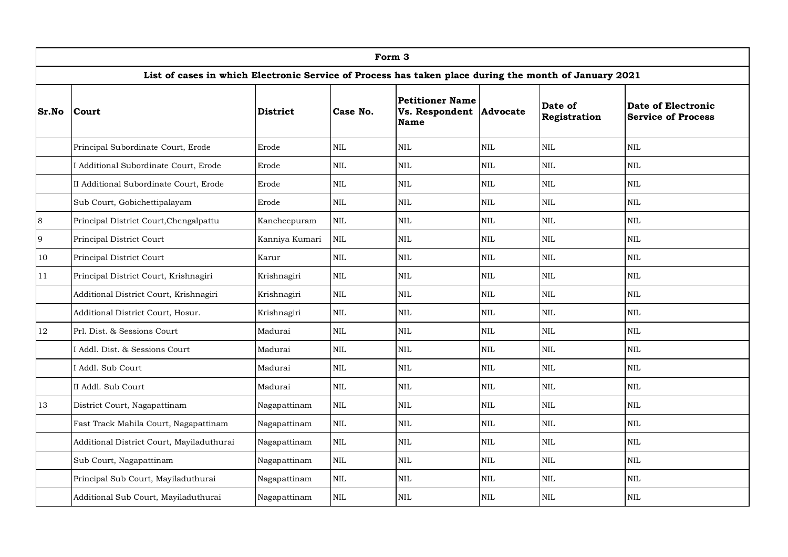|         | Form 3                                                                                                |                 |              |                                                           |              |                         |                                                        |  |  |  |  |
|---------|-------------------------------------------------------------------------------------------------------|-----------------|--------------|-----------------------------------------------------------|--------------|-------------------------|--------------------------------------------------------|--|--|--|--|
|         | List of cases in which Electronic Service of Process has taken place during the month of January 2021 |                 |              |                                                           |              |                         |                                                        |  |  |  |  |
| Sr.No   | Court                                                                                                 | <b>District</b> | Case No.     | Petitioner Name<br>Vs. Respondent Advocate<br><b>Name</b> |              | Date of<br>Registration | <b>Date of Electronic</b><br><b>Service of Process</b> |  |  |  |  |
|         | Principal Subordinate Court, Erode                                                                    | Erode           | $\mbox{NIL}$ | <b>NIL</b>                                                | $\rm NIL$    | <b>NIL</b>              | $\text{NIL}$                                           |  |  |  |  |
|         | I Additional Subordinate Court, Erode                                                                 | Erode           | $\mbox{NIL}$ | $\mbox{NIL}$                                              | $\mbox{NIL}$ | NIL                     | $\mbox{NIL}$                                           |  |  |  |  |
|         | II Additional Subordinate Court, Erode                                                                | Erode           | $\mbox{NIL}$ | $\mbox{NIL}$                                              | $\mbox{NIL}$ | $\text{NIL}$            | $\mbox{NIL}$                                           |  |  |  |  |
|         | Sub Court, Gobichettipalayam                                                                          | Erode           | $\mbox{NIL}$ | $\mbox{NIL}$                                              | $\mbox{NIL}$ | <b>NIL</b>              | $\mbox{NIL}$                                           |  |  |  |  |
| $\,8\,$ | Principal District Court, Chengalpattu                                                                | Kancheepuram    | $\mbox{NIL}$ | $\mbox{NIL}$                                              | $\mbox{NIL}$ | $\text{NIL}$            | $\mbox{NIL}$                                           |  |  |  |  |
| 9       | Principal District Court                                                                              | Kanniya Kumari  | $\mbox{NIL}$ | $\mbox{NIL}$                                              | $\mbox{NIL}$ | $\mbox{NIL}$            | $\mbox{NIL}$                                           |  |  |  |  |
| 10      | Principal District Court                                                                              | Karur           | $\mbox{NIL}$ | $\mbox{NIL}$                                              | $\mbox{NIL}$ | $\text{NIL}$            | $\mbox{NIL}$                                           |  |  |  |  |
| 11      | Principal District Court, Krishnagiri                                                                 | Krishnagiri     | $\mbox{NIL}$ | $\mbox{NIL}$                                              | $\mbox{NIL}$ | $\mbox{NIL}$            | $\mbox{NIL}$                                           |  |  |  |  |
|         | Additional District Court, Krishnagiri                                                                | Krishnagiri     | $\mbox{NIL}$ | <b>NIL</b>                                                | $\mbox{NIL}$ | $\text{NIL}$            | $\text{NIL}$                                           |  |  |  |  |
|         | Additional District Court, Hosur.                                                                     | Krishnagiri     | $\mbox{NIL}$ | $\mbox{NIL}$                                              | $\rm NIL$    | $\text{NIL}$            | $\mbox{NIL}$                                           |  |  |  |  |
| 12      | Prl. Dist. & Sessions Court                                                                           | Madurai         | $\mbox{NIL}$ | $\mbox{NIL}$                                              | $\mbox{NIL}$ | <b>NIL</b>              | $\mbox{NIL}$                                           |  |  |  |  |
|         | Addl. Dist. & Sessions Court                                                                          | Madurai         | $\mbox{NIL}$ | <b>NIL</b>                                                | $\mbox{NIL}$ | <b>NIL</b>              | $\mbox{NIL}$                                           |  |  |  |  |
|         | I Addl. Sub Court                                                                                     | Madurai         | $\text{NIL}$ | <b>NIL</b>                                                | $\rm NIL$    | $\text{NIL}$            | $\text{NIL}$                                           |  |  |  |  |
|         | II Addl. Sub Court                                                                                    | Madurai         | $\mbox{NIL}$ | $\mbox{NIL}$                                              | <b>NIL</b>   | <b>NIL</b>              | $\mbox{NIL}$                                           |  |  |  |  |
| 13      | District Court, Nagapattinam                                                                          | Nagapattinam    | $\mbox{NIL}$ | <b>NIL</b>                                                | $\mbox{NIL}$ | <b>NIL</b>              | $\mbox{NIL}$                                           |  |  |  |  |
|         | Fast Track Mahila Court, Nagapattinam                                                                 | Nagapattinam    | <b>NIL</b>   | <b>NIL</b>                                                | $\mbox{NIL}$ | <b>NIL</b>              | <b>NIL</b>                                             |  |  |  |  |
|         | Additional District Court, Mayiladuthurai                                                             | Nagapattinam    | $\mbox{NIL}$ | $\mbox{NIL}$                                              | $\rm NIL$    | NIL                     | $\mbox{NIL}$                                           |  |  |  |  |
|         | Sub Court, Nagapattinam                                                                               | Nagapattinam    | <b>NIL</b>   | <b>NIL</b>                                                | $\rm NIL$    | <b>NIL</b>              | <b>NIL</b>                                             |  |  |  |  |
|         | Principal Sub Court, Mayiladuthurai                                                                   | Nagapattinam    | $\mbox{NIL}$ | $\mbox{NIL}$                                              | $\mbox{NIL}$ | <b>NIL</b>              | $\mbox{NIL}$                                           |  |  |  |  |
|         | Additional Sub Court, Mayiladuthurai                                                                  | Nagapattinam    | $\mbox{NIL}$ | $\mbox{NIL}$                                              | $\mbox{NIL}$ | NIL                     | $\mbox{NIL}$                                           |  |  |  |  |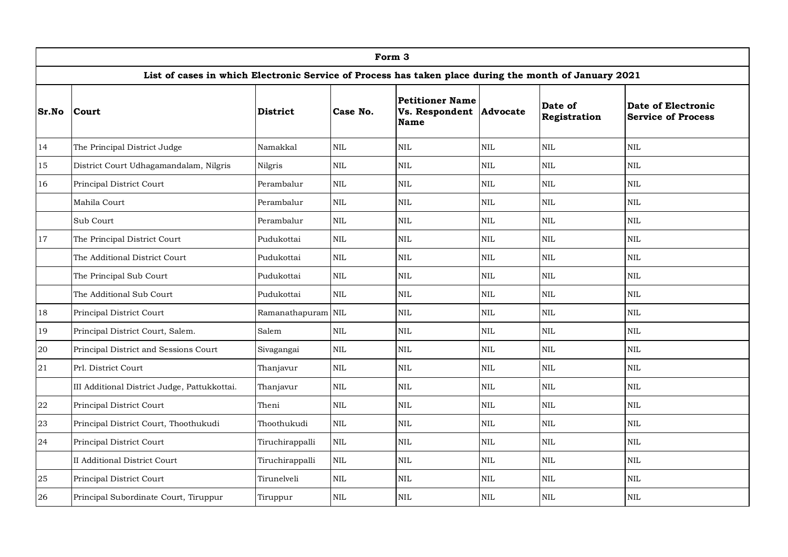|        | Form 3                                                                                                |                    |              |                                                           |              |                         |                                                        |  |  |  |  |
|--------|-------------------------------------------------------------------------------------------------------|--------------------|--------------|-----------------------------------------------------------|--------------|-------------------------|--------------------------------------------------------|--|--|--|--|
|        | List of cases in which Electronic Service of Process has taken place during the month of January 2021 |                    |              |                                                           |              |                         |                                                        |  |  |  |  |
| Sr.No  | <b>Court</b>                                                                                          | <b>District</b>    | Case No.     | Petitioner Name<br>Vs. Respondent Advocate<br><b>Name</b> |              | Date of<br>Registration | <b>Date of Electronic</b><br><b>Service of Process</b> |  |  |  |  |
| 14     | The Principal District Judge                                                                          | Namakkal           | $\mbox{NIL}$ | <b>NIL</b>                                                | $\mbox{NIL}$ | <b>NIL</b>              | $\text{NIL}$                                           |  |  |  |  |
| 15     | District Court Udhagamandalam, Nilgris                                                                | Nilgris            | $\mbox{NIL}$ | $\mbox{NIL}$                                              | $\mbox{NIL}$ | NIL                     | $\mbox{NIL}$                                           |  |  |  |  |
| 16     | Principal District Court                                                                              | Perambalur         | $\mbox{NIL}$ | $\mbox{NIL}$                                              | $\mbox{NIL}$ | $\mbox{NIL}$            | $\mbox{NIL}$                                           |  |  |  |  |
|        | Mahila Court                                                                                          | Perambalur         | $\mbox{NIL}$ | $\mbox{NIL}$                                              | $\mbox{NIL}$ | NIL                     | $\mbox{NIL}$                                           |  |  |  |  |
|        | Sub Court                                                                                             | Perambalur         | $\mbox{NIL}$ | <b>NIL</b>                                                | $\rm NIL$    | $\text{NIL}$            | $\text{NIL}$                                           |  |  |  |  |
| 17     | The Principal District Court                                                                          | Pudukottai         | $\mbox{NIL}$ | <b>NIL</b>                                                | $\mbox{NIL}$ | <b>NIL</b>              | $\mbox{NIL}$                                           |  |  |  |  |
|        | The Additional District Court                                                                         | Pudukottai         | $\mbox{NIL}$ | $\mbox{NIL}$                                              | $\rm NIL$    | $\mbox{NIL}$            | $\mbox{NIL}$                                           |  |  |  |  |
|        | The Principal Sub Court                                                                               | Pudukottai         | $\mbox{NIL}$ | <b>NIL</b>                                                | $\mbox{NIL}$ | <b>NIL</b>              | $\mbox{NIL}$                                           |  |  |  |  |
|        | The Additional Sub Court                                                                              | Pudukottai         | $\mbox{NIL}$ | $\mbox{NIL}$                                              | $\mbox{NIL}$ | $\text{NIL}$            | $\mbox{NIL}$                                           |  |  |  |  |
| 18     | Principal District Court                                                                              | Ramanathapuram NIL |              | $\mbox{NIL}$                                              | $\mbox{NIL}$ | <b>NIL</b>              | $\mbox{NIL}$                                           |  |  |  |  |
| 19     | Principal District Court, Salem.                                                                      | Salem              | $\mbox{NIL}$ | $\mbox{NIL}$                                              | $\mbox{NIL}$ | $\text{NIL}$            | $\mbox{NIL}$                                           |  |  |  |  |
| $20\,$ | Principal District and Sessions Court                                                                 | Sivagangai         | $\mbox{NIL}$ | $\mbox{NIL}$                                              | $\mbox{NIL}$ | $\text{NIL}$            | $\mbox{NIL}$                                           |  |  |  |  |
| 21     | Prl. District Court                                                                                   | Thanjavur          | $\mbox{NIL}$ | $\mbox{NIL}$                                              | $\mbox{NIL}$ | <b>NIL</b>              | $\mbox{NIL}$                                           |  |  |  |  |
|        | III Additional District Judge, Pattukkottai.                                                          | Thanjavur          | <b>NIL</b>   | <b>NIL</b>                                                | $\mbox{NIL}$ | $\text{NIL}$            | <b>NIL</b>                                             |  |  |  |  |
| 22     | Principal District Court                                                                              | Theni              | $\mbox{NIL}$ | $\mbox{NIL}$                                              | $\rm NIL$    | $\text{NIL}$            | $\mbox{NIL}$                                           |  |  |  |  |
| 23     | Principal District Court, Thoothukudi                                                                 | Thoothukudi        | $\mbox{NIL}$ | NIL                                                       | $\rm NIL$    | $\text{NIL}$            | <b>NIL</b>                                             |  |  |  |  |
| 24     | Principal District Court                                                                              | Tiruchirappalli    | $\mbox{NIL}$ | $\mbox{NIL}$                                              | $\mbox{NIL}$ | NIL                     | $\mbox{NIL}$                                           |  |  |  |  |
|        | <b>II Additional District Court</b>                                                                   | Tiruchirappalli    | <b>NIL</b>   | $\mbox{NIL}$                                              | $\mbox{NIL}$ | $\mbox{NIL}$            | $\mbox{NIL}$                                           |  |  |  |  |
| 25     | Principal District Court                                                                              | Tirunelveli        | <b>NIL</b>   | <b>NIL</b>                                                | $\rm NIL$    | $\text{NIL}$            | $\text{NIL}$                                           |  |  |  |  |
| 26     | Principal Subordinate Court, Tiruppur                                                                 | Tiruppur           | <b>NIL</b>   | $\mbox{NIL}$                                              | <b>NIL</b>   | NIL                     | $\mbox{NIL}$                                           |  |  |  |  |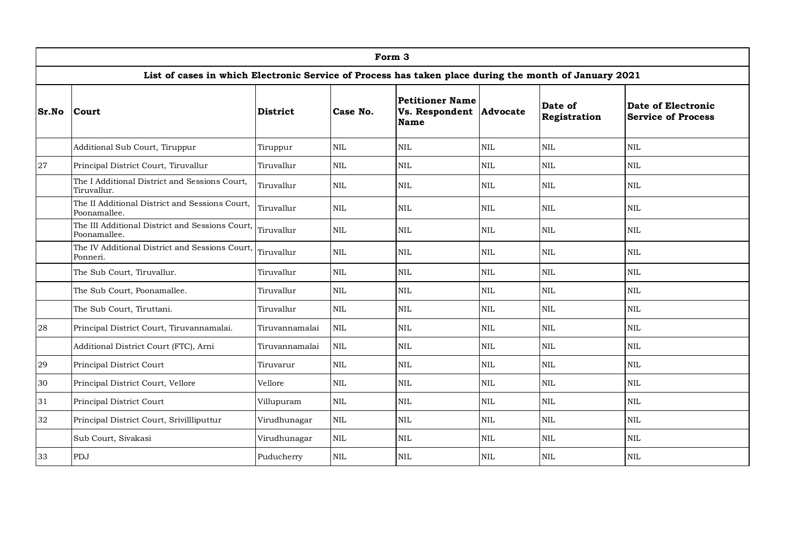|       | Form 3                                                                                                |                 |              |                                                                  |              |                         |                                                 |  |  |  |  |
|-------|-------------------------------------------------------------------------------------------------------|-----------------|--------------|------------------------------------------------------------------|--------------|-------------------------|-------------------------------------------------|--|--|--|--|
|       | List of cases in which Electronic Service of Process has taken place during the month of January 2021 |                 |              |                                                                  |              |                         |                                                 |  |  |  |  |
| Sr.No | <b>Court</b>                                                                                          | <b>District</b> | Case No.     | <b>Petitioner Name</b><br>Vs. Respondent Advocate<br><b>Name</b> |              | Date of<br>Registration | Date of Electronic<br><b>Service of Process</b> |  |  |  |  |
|       | Additional Sub Court, Tiruppur                                                                        | Tiruppur        | $\mbox{NIL}$ | <b>NIL</b>                                                       | NIL          | $\mbox{NIL}$            | $\mbox{NIL}$                                    |  |  |  |  |
| 27    | Principal District Court, Tiruvallur                                                                  | Tiruvallur      | $\mbox{NIL}$ | <b>NIL</b>                                                       | $\mbox{NIL}$ | $\mbox{NIL}$            | $\mbox{NIL}$                                    |  |  |  |  |
|       | The I Additional District and Sessions Court,<br>Tiruvallur.                                          | Tiruvallur      | $\mbox{NIL}$ | <b>NIL</b>                                                       | $\mbox{NIL}$ | <b>NIL</b>              | $\mbox{NIL}$                                    |  |  |  |  |
|       | The II Additional District and Sessions Court,<br>Poonamallee.                                        | Tiruvallur      | $\mbox{NIL}$ | <b>NIL</b>                                                       | $\mbox{NIL}$ | $\mbox{NIL}$            | $\mbox{NIL}$                                    |  |  |  |  |
|       | The III Additional District and Sessions Court,<br>Poonamallee.                                       | Tiruvallur      | <b>NIL</b>   | <b>NIL</b>                                                       | $\mbox{NIL}$ | <b>NIL</b>              | <b>NIL</b>                                      |  |  |  |  |
|       | The IV Additional District and Sessions Court,<br>Ponneri.                                            | Tiruvallur      | <b>NIL</b>   | <b>NIL</b>                                                       | $\mbox{NIL}$ | <b>NIL</b>              | <b>NIL</b>                                      |  |  |  |  |
|       | The Sub Court, Tiruvallur.                                                                            | Tiruvallur      | $\mbox{NIL}$ | <b>NIL</b>                                                       | $\mbox{NIL}$ | $\mbox{NIL}$            | $\mbox{NIL}$                                    |  |  |  |  |
|       | The Sub Court, Poonamallee.                                                                           | Tiruvallur      | $\mbox{NIL}$ | <b>NIL</b>                                                       | NIL          | $\mbox{NIL}$            | $\mbox{NIL}$                                    |  |  |  |  |
|       | The Sub Court, Tiruttani.                                                                             | Tiruvallur      | NIL          | <b>NIL</b>                                                       | $\rm NIL$    | $\mbox{NIL}$            | $\mbox{NIL}$                                    |  |  |  |  |
| 28    | Principal District Court, Tiruvannamalai.                                                             | Tiruvannamalai  | $\mbox{NIL}$ | $\mbox{NIL}$                                                     | $\rm NIL$    | $\mbox{NIL}$            | $\mbox{NIL}$                                    |  |  |  |  |
|       | Additional District Court (FTC), Arni                                                                 | Tiruvannamalai  | $\mbox{NIL}$ | <b>NIL</b>                                                       | $\mbox{NIL}$ | <b>NIL</b>              | $\rm NIL$                                       |  |  |  |  |
| 29    | Principal District Court                                                                              | Tiruvarur       | $\mbox{NIL}$ | <b>NIL</b>                                                       | $\rm NIL$    | $\mbox{NIL}$            | <b>NIL</b>                                      |  |  |  |  |
| 30    | Principal District Court, Vellore                                                                     | Vellore         | $\mbox{NIL}$ | <b>NIL</b>                                                       | $\mbox{NIL}$ | $\mbox{NIL}$            | $\mbox{NIL}$                                    |  |  |  |  |
| 31    | Principal District Court                                                                              | Villupuram      | <b>NIL</b>   | <b>NIL</b>                                                       | $\mbox{NIL}$ | <b>NIL</b>              | <b>NIL</b>                                      |  |  |  |  |
| 32    | Principal District Court, Srivillliputtur                                                             | Virudhunagar    | <b>NIL</b>   | <b>NIL</b>                                                       | NIL          | $\mbox{NIL}$            | $\mbox{NIL}$                                    |  |  |  |  |
|       | Sub Court, Sivakasi                                                                                   | Virudhunagar    | $\mbox{NIL}$ | <b>NIL</b>                                                       | $\mbox{NIL}$ | $\mbox{NIL}$            | $\mbox{NIL}$                                    |  |  |  |  |
| 33    | PDJ                                                                                                   | Puducherry      | <b>NIL</b>   | <b>NIL</b>                                                       | <b>NIL</b>   | $\rm NIL$               | $\rm NIL$                                       |  |  |  |  |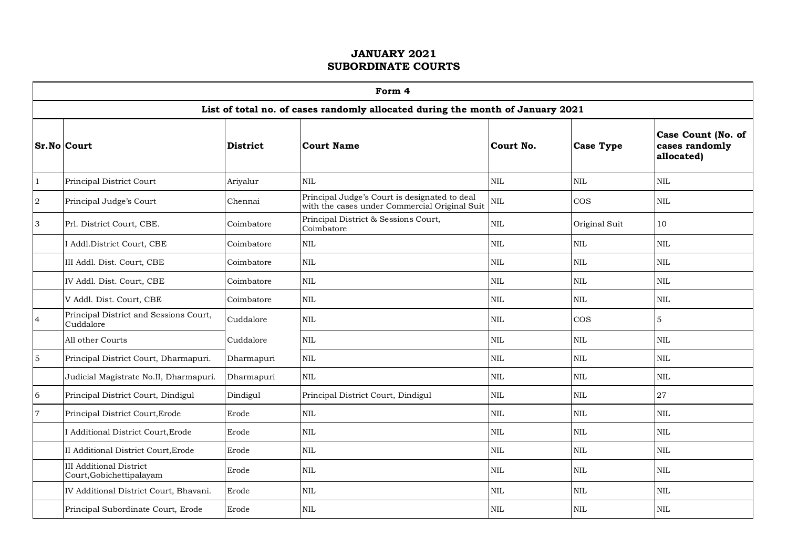|                | Form 4                                                     |                 |                                                                                                |              |                  |                                                    |  |  |  |  |  |  |
|----------------|------------------------------------------------------------|-----------------|------------------------------------------------------------------------------------------------|--------------|------------------|----------------------------------------------------|--|--|--|--|--|--|
|                |                                                            |                 | List of total no. of cases randomly allocated during the month of January 2021                 |              |                  |                                                    |  |  |  |  |  |  |
|                | <b>Sr.No Court</b>                                         | <b>District</b> | <b>Court Name</b>                                                                              | Court No.    | <b>Case Type</b> | Case Count (No. of<br>cases randomly<br>allocated) |  |  |  |  |  |  |
| 1              | Principal District Court                                   | Ariyalur        | $\mbox{NIL}$                                                                                   | $\mbox{NIL}$ | <b>NIL</b>       | $\mbox{NIL}$                                       |  |  |  |  |  |  |
| $\,2$          | Principal Judge's Court                                    | Chennai         | Principal Judge's Court is designated to deal<br>with the cases under Commercial Original Suit | $\mbox{NIL}$ | <b>COS</b>       | $\rm NIL$                                          |  |  |  |  |  |  |
| 3              | Prl. District Court, CBE.                                  | Coimbatore      | Principal District & Sessions Court,<br>Coimbatore                                             | $\text{NIL}$ | Original Suit    | 10                                                 |  |  |  |  |  |  |
|                | I Addl.District Court, CBE                                 | Coimbatore      | $\text{NIL}$                                                                                   | NIL          | <b>NIL</b>       | NIL                                                |  |  |  |  |  |  |
|                | III Addl. Dist. Court, CBE                                 | Coimbatore      | $\mbox{NIL}$                                                                                   | $\text{NIL}$ | <b>NIL</b>       | $\mbox{NIL}$                                       |  |  |  |  |  |  |
|                | IV Addl. Dist. Court, CBE                                  | Coimbatore      | $\mbox{NIL}$                                                                                   | <b>NIL</b>   | <b>NIL</b>       | $\rm NIL$                                          |  |  |  |  |  |  |
|                | V Addl. Dist. Court, CBE                                   | Coimbatore      | $\mbox{NIL}$                                                                                   | $\text{NIL}$ | $\mbox{NIL}$     | NIL                                                |  |  |  |  |  |  |
| $\overline{4}$ | Principal District and Sessions Court,<br>Cuddalore        | Cuddalore       | $\mbox{NIL}$                                                                                   | $\mbox{NIL}$ | <b>COS</b>       | 5                                                  |  |  |  |  |  |  |
|                | All other Courts                                           | Cuddalore       | $\mbox{NIL}$                                                                                   | $\mbox{NIL}$ | <b>NIL</b>       | $\mbox{NIL}$                                       |  |  |  |  |  |  |
| $\mathbf 5$    | Principal District Court, Dharmapuri.                      | Dharmapuri      | $\mbox{NIL}$                                                                                   | $\rm NIL$    | <b>NIL</b>       | $\rm NIL$                                          |  |  |  |  |  |  |
|                | Judicial Magistrate No.II, Dharmapuri.                     | Dharmapuri      | $\mbox{NIL}$                                                                                   | $\mbox{NIL}$ | <b>NIL</b>       | $\mbox{NIL}$                                       |  |  |  |  |  |  |
| 6              | Principal District Court, Dindigul                         | Dindigul        | Principal District Court, Dindigul                                                             | $\mbox{NIL}$ | <b>NIL</b>       | 27                                                 |  |  |  |  |  |  |
| $\overline{7}$ | Principal District Court, Erode                            | Erode           | $\mbox{NIL}$                                                                                   | $\text{NIL}$ | <b>NIL</b>       | $\mbox{NIL}$                                       |  |  |  |  |  |  |
|                | I Additional District Court, Erode                         | Erode           | $\mbox{NIL}$                                                                                   | $\mbox{NIL}$ | <b>NIL</b>       | $\mbox{NIL}$                                       |  |  |  |  |  |  |
|                | II Additional District Court, Erode                        | Erode           | <b>NIL</b>                                                                                     | <b>NIL</b>   | <b>NIL</b>       | <b>NIL</b>                                         |  |  |  |  |  |  |
|                | <b>III</b> Additional District<br>Court, Gobichettipalayam | Erode           | $\mbox{NIL}$                                                                                   | $\mbox{NIL}$ | <b>NIL</b>       | $\rm NIL$                                          |  |  |  |  |  |  |
|                | IV Additional District Court, Bhavani.                     | Erode           | $\text{NIL}$                                                                                   | <b>NIL</b>   | <b>NIL</b>       | $\mbox{NIL}$                                       |  |  |  |  |  |  |
|                | Principal Subordinate Court, Erode                         | Erode           | $\mbox{NIL}$                                                                                   | $\rm NIL$    | <b>NIL</b>       | $\mbox{NIL}$                                       |  |  |  |  |  |  |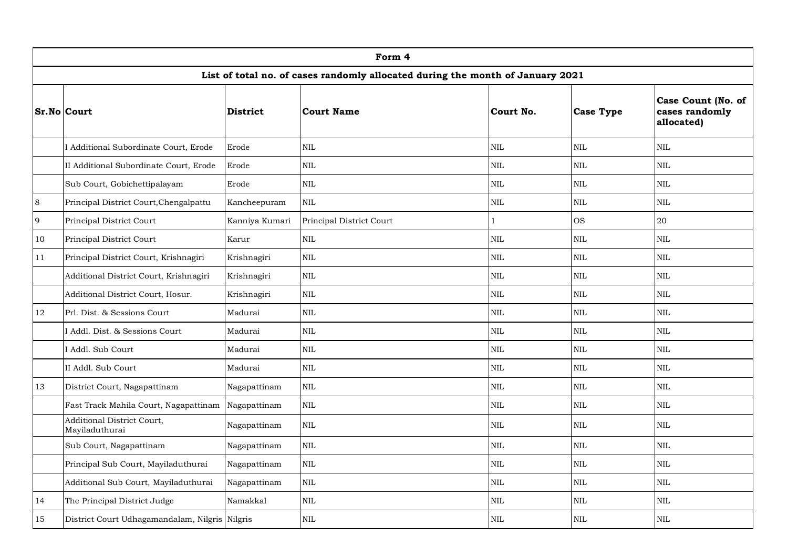|    |                                                |                 | Form 4                                                                         |              |                  |                                                    |
|----|------------------------------------------------|-----------------|--------------------------------------------------------------------------------|--------------|------------------|----------------------------------------------------|
|    |                                                |                 | List of total no. of cases randomly allocated during the month of January 2021 |              |                  |                                                    |
|    | Sr.No Court                                    | <b>District</b> | <b>Court Name</b>                                                              | Court No.    | <b>Case Type</b> | Case Count (No. of<br>cases randomly<br>allocated) |
|    | I Additional Subordinate Court, Erode          | Erode           | $\mbox{NIL}$                                                                   | $\rm NIL$    | $\mbox{NIL}$     | $\mbox{NIL}$                                       |
|    | II Additional Subordinate Court, Erode         | Erode           | $\mbox{NIL}$                                                                   | $\rm NIL$    | $\text{NIL}$     | $\mbox{NIL}$                                       |
|    | Sub Court, Gobichettipalayam                   | Erode           | $\mbox{NIL}$                                                                   | $\mbox{NIL}$ | $\mbox{NIL}$     | $\mbox{NIL}$                                       |
| 8  | Principal District Court, Chengalpattu         | Kancheepuram    | $\mbox{NIL}$                                                                   | NIL          | $\rm NIL$        | $\mbox{NIL}$                                       |
| 9  | Principal District Court                       | Kanniya Kumari  | Principal District Court                                                       | 1            | <b>OS</b>        | 20                                                 |
| 10 | Principal District Court                       | Karur           | $\mbox{NIL}$                                                                   | $\rm NIL$    | $\mbox{NIL}$     | $\mbox{NIL}$                                       |
| 11 | Principal District Court, Krishnagiri          | Krishnagiri     | $\mbox{NIL}$                                                                   | $\rm NIL$    | $\text{NIL}$     | $\mbox{NIL}$                                       |
|    | Additional District Court, Krishnagiri         | Krishnagiri     | $\mbox{NIL}$                                                                   | $\rm NIL$    | $\rm NIL$        | $\mbox{NIL}$                                       |
|    | Additional District Court, Hosur.              | Krishnagiri     | $\mbox{NIL}$                                                                   | NIL          | $\mbox{NIL}$     | $\mbox{NIL}$                                       |
| 12 | Prl. Dist. & Sessions Court                    | Madurai         | NIL                                                                            | NIL          | <b>NIL</b>       | $\mbox{NIL}$                                       |
|    | I Addl. Dist. & Sessions Court                 | Madurai         | NIL                                                                            | NIL          | $\mbox{NIL}$     | $\mbox{NIL}$                                       |
|    | I Addl. Sub Court                              | Madurai         | $\mbox{NIL}$                                                                   | $\mbox{NIL}$ | $\mbox{NIL}$     | $\mbox{NIL}$                                       |
|    | II Addl. Sub Court                             | Madurai         | $\mbox{NIL}$                                                                   | $\rm NIL$    | $\text{NIL}$     | $\mbox{NIL}$                                       |
| 13 | District Court, Nagapattinam                   | Nagapattinam    | $\mbox{NIL}$                                                                   | $\mbox{NIL}$ | $\mbox{NIL}$     | $\rm NIL$                                          |
|    | Fast Track Mahila Court, Nagapattinam          | Nagapattinam    | $\mbox{NIL}$                                                                   | $\mbox{NIL}$ | <b>NIL</b>       | $\mbox{NIL}$                                       |
|    | Additional District Court,<br>Mayiladuthurai   | Nagapattinam    | $\mbox{NIL}$                                                                   | NIL          | <b>NIL</b>       | $\mbox{NIL}$                                       |
|    | Sub Court, Nagapattinam                        | Nagapattinam    | <b>NIL</b>                                                                     | <b>NIL</b>   | <b>NIL</b>       | NIL                                                |
|    | Principal Sub Court, Mayiladuthurai            | Nagapattinam    | $\mbox{NIL}$                                                                   | <b>NIL</b>   | <b>NIL</b>       | <b>NIL</b>                                         |
|    | Additional Sub Court, Mayiladuthurai           | Nagapattinam    | $\mbox{NIL}$                                                                   | $\mbox{NIL}$ | $\mbox{NIL}$     | $\mbox{NIL}$                                       |
| 14 | The Principal District Judge                   | Namakkal        | <b>NIL</b>                                                                     | <b>NIL</b>   | <b>NIL</b>       | <b>NIL</b>                                         |
| 15 | District Court Udhagamandalam, Nilgris Nilgris |                 | $\mbox{NIL}$                                                                   | $\rm NIL$    | $\mbox{NIL}$     | $\mbox{NIL}$                                       |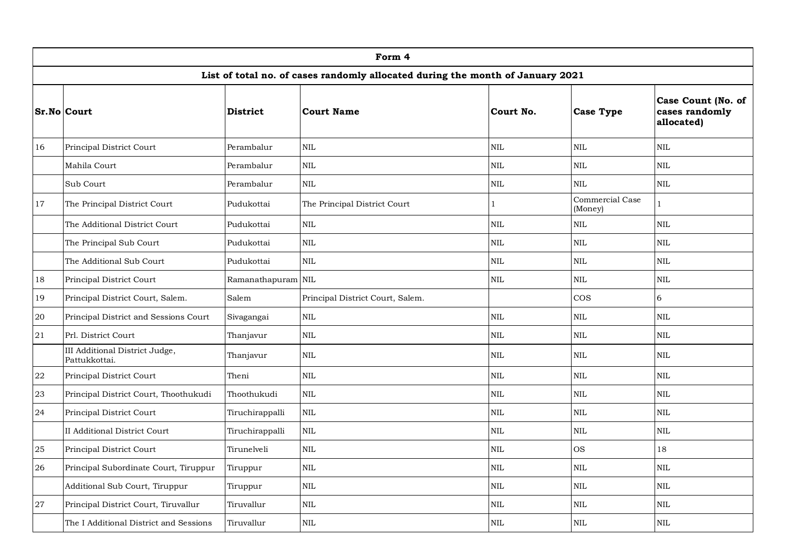|        |                                                 |                    | Form 4                                                                         |              |                            |                                                    |
|--------|-------------------------------------------------|--------------------|--------------------------------------------------------------------------------|--------------|----------------------------|----------------------------------------------------|
|        |                                                 |                    | List of total no. of cases randomly allocated during the month of January 2021 |              |                            |                                                    |
|        | Sr.No Court                                     | <b>District</b>    | <b>Court Name</b>                                                              | Court No.    | <b>Case Type</b>           | Case Count (No. of<br>cases randomly<br>allocated) |
| 16     | Principal District Court                        | Perambalur         | NIL                                                                            | <b>NIL</b>   | <b>NIL</b>                 | <b>NIL</b>                                         |
|        | Mahila Court                                    | Perambalur         | NIL                                                                            | <b>NIL</b>   | <b>NIL</b>                 | <b>NIL</b>                                         |
|        | Sub Court                                       | Perambalur         | $\rm NIL$                                                                      | <b>NIL</b>   | $\rm NIL$                  | NIL                                                |
| 17     | The Principal District Court                    | Pudukottai         | The Principal District Court                                                   | $\mathbf{1}$ | Commercial Case<br>(Money) | $\mathbf{1}$                                       |
|        | The Additional District Court                   | Pudukottai         | <b>NIL</b>                                                                     | NIL          | $\rm NIL$                  | $\mbox{NIL}$                                       |
|        | The Principal Sub Court                         | Pudukottai         | NIL                                                                            | <b>NIL</b>   | $\mbox{NIL}$               | <b>NIL</b>                                         |
|        | The Additional Sub Court                        | Pudukottai         | NIL                                                                            | $\rm NIL$    | $\rm NIL$                  | NIL                                                |
| 18     | Principal District Court                        | Ramanathapuram NIL |                                                                                | <b>NIL</b>   | $\mbox{NIL}$               | $\mbox{NIL}$                                       |
| 19     | Principal District Court, Salem.                | Salem              | Principal District Court, Salem.                                               |              | $\cos$                     | 6                                                  |
| 20     | Principal District and Sessions Court           | Sivagangai         | <b>NIL</b>                                                                     | <b>NIL</b>   | <b>NIL</b>                 | <b>NIL</b>                                         |
| 21     | Prl. District Court                             | Thanjavur          | NIL                                                                            | <b>NIL</b>   | $\mbox{NIL}$               | $\mbox{NIL}$                                       |
|        | III Additional District Judge,<br>Pattukkottai. | Thanjavur          | NIL                                                                            | <b>NIL</b>   | <b>NIL</b>                 | <b>NIL</b>                                         |
| $22\,$ | Principal District Court                        | Theni              | <b>NIL</b>                                                                     | <b>NIL</b>   | $\text{NIL}$               | <b>NIL</b>                                         |
| 23     | Principal District Court, Thoothukudi           | Thoothukudi        | $\mbox{NIL}$                                                                   | $\mbox{NIL}$ | $\rm NIL$                  | $\mbox{NIL}$                                       |
| 24     | Principal District Court                        | Tiruchirappalli    | $\mbox{NIL}$                                                                   | NIL          | $\rm NIL$                  | $\mbox{NIL}$                                       |
|        | <b>II Additional District Court</b>             | Tiruchirappalli    | <b>NIL</b>                                                                     | NIL          | <b>NIL</b>                 | NIL                                                |
| $25\,$ | Principal District Court                        | Tirunelveli        | NIL                                                                            | <b>NIL</b>   | <b>OS</b>                  | 18                                                 |
| 26     | Principal Subordinate Court, Tiruppur           | Tiruppur           | $\mbox{NIL}$                                                                   | <b>NIL</b>   | $\mbox{NIL}$               | <b>NIL</b>                                         |
|        | Additional Sub Court, Tiruppur                  | Tiruppur           | $\rm NIL$                                                                      | NIL          | <b>NIL</b>                 | NIL                                                |
| 27     | Principal District Court, Tiruvallur            | Tiruvallur         | $\mbox{NIL}$                                                                   | <b>NIL</b>   | $\mbox{NIL}$               | $\mbox{NIL}$                                       |
|        | The I Additional District and Sessions          | Tiruvallur         | NIL                                                                            | <b>NIL</b>   | <b>NIL</b>                 | NIL                                                |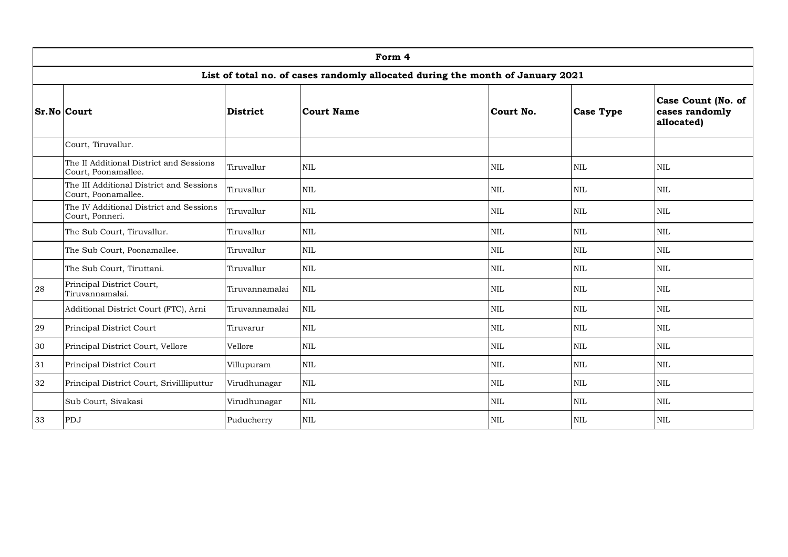|                    | Form 4                                                                         |                 |              |              |                  |                                                    |  |  |  |  |  |  |
|--------------------|--------------------------------------------------------------------------------|-----------------|--------------|--------------|------------------|----------------------------------------------------|--|--|--|--|--|--|
|                    | List of total no. of cases randomly allocated during the month of January 2021 |                 |              |              |                  |                                                    |  |  |  |  |  |  |
| <b>Sr.No Court</b> |                                                                                | <b>District</b> | Court Name   | Court No.    | <b>Case Type</b> | Case Count (No. of<br>cases randomly<br>allocated) |  |  |  |  |  |  |
|                    | Court, Tiruvallur.                                                             |                 |              |              |                  |                                                    |  |  |  |  |  |  |
|                    | The II Additional District and Sessions<br>Court, Poonamallee.                 | Tiruvallur      | <b>NIL</b>   | <b>NIL</b>   | <b>NIL</b>       | $\mbox{NIL}$                                       |  |  |  |  |  |  |
|                    | The III Additional District and Sessions<br>Court, Poonamallee.                | Tiruvallur      | <b>NIL</b>   | <b>NIL</b>   | <b>NIL</b>       | $\mbox{NIL}$                                       |  |  |  |  |  |  |
|                    | The IV Additional District and Sessions<br>Court, Ponneri.                     | Tiruvallur      | <b>NIL</b>   | <b>NIL</b>   | <b>NIL</b>       | <b>NIL</b>                                         |  |  |  |  |  |  |
|                    | The Sub Court, Tiruvallur.                                                     | Tiruvallur      | <b>NIL</b>   | <b>NIL</b>   | $\mbox{NIL}$     | $\mbox{NIL}$                                       |  |  |  |  |  |  |
|                    | The Sub Court, Poonamallee.                                                    | Tiruvallur      | <b>NIL</b>   | <b>NIL</b>   | $\mbox{NIL}$     | $\mbox{NIL}$                                       |  |  |  |  |  |  |
|                    | The Sub Court, Tiruttani.                                                      | Tiruvallur      | <b>NIL</b>   | $\mbox{NIL}$ | $\mbox{NIL}$     | $\mbox{NIL}$                                       |  |  |  |  |  |  |
| 28                 | Principal District Court,<br>Tiruvannamalai.                                   | Tiruvannamalai  | <b>NIL</b>   | <b>NIL</b>   | <b>NIL</b>       | <b>NIL</b>                                         |  |  |  |  |  |  |
|                    | Additional District Court (FTC), Arni                                          | Tiruvannamalai  | $\mbox{NIL}$ | <b>NIL</b>   | <b>NIL</b>       | <b>NIL</b>                                         |  |  |  |  |  |  |
| 29                 | Principal District Court                                                       | Tiruvarur       | <b>NIL</b>   | <b>NIL</b>   | <b>NIL</b>       | <b>NIL</b>                                         |  |  |  |  |  |  |
| 30                 | Principal District Court, Vellore                                              | Vellore         | <b>NIL</b>   | $\mbox{NIL}$ | $\mbox{NIL}$     | $\mbox{NIL}$                                       |  |  |  |  |  |  |
| 31                 | Principal District Court                                                       | Villupuram      | <b>NIL</b>   | <b>NIL</b>   | <b>NIL</b>       | $\mbox{NIL}$                                       |  |  |  |  |  |  |
| 32                 | Principal District Court, Srivillliputtur                                      | Virudhunagar    | <b>NIL</b>   | <b>NIL</b>   | <b>NIL</b>       | <b>NIL</b>                                         |  |  |  |  |  |  |
|                    | Sub Court, Sivakasi                                                            | Virudhunagar    | <b>NIL</b>   | <b>NIL</b>   | <b>NIL</b>       | <b>NIL</b>                                         |  |  |  |  |  |  |
| 33                 | PDJ                                                                            | Puducherry      | <b>NIL</b>   | <b>NIL</b>   | <b>NIL</b>       | <b>NIL</b>                                         |  |  |  |  |  |  |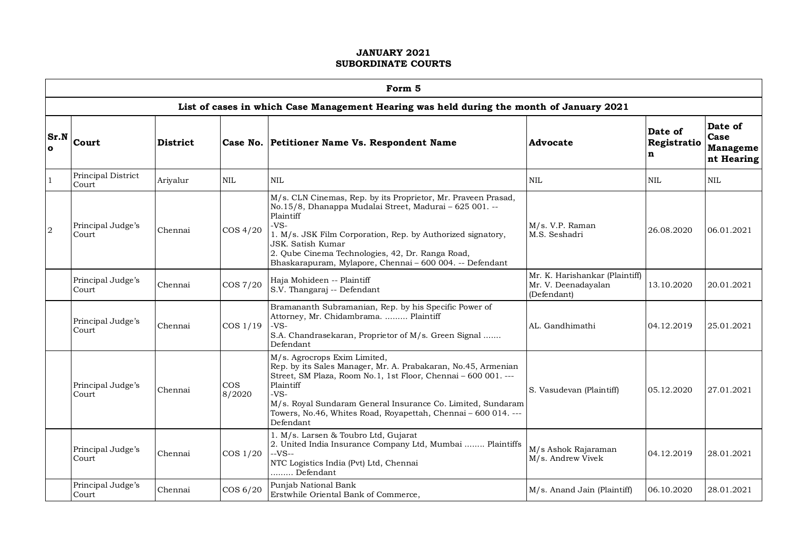|                      |                             |          |                  | Form 5                                                                                                                                                                                                                                                                                                                                              |                                                                      |                             |                                                  |
|----------------------|-----------------------------|----------|------------------|-----------------------------------------------------------------------------------------------------------------------------------------------------------------------------------------------------------------------------------------------------------------------------------------------------------------------------------------------------|----------------------------------------------------------------------|-----------------------------|--------------------------------------------------|
|                      |                             |          |                  | List of cases in which Case Management Hearing was held during the month of January 2021                                                                                                                                                                                                                                                            |                                                                      |                             |                                                  |
| Sr.N<br>$\mathbf{o}$ | Court                       | District |                  | Case No. Petitioner Name Vs. Respondent Name                                                                                                                                                                                                                                                                                                        | Advocate                                                             | Date of<br>Registratio<br>n | Date of<br>Case<br><b>Manageme</b><br>nt Hearing |
| $\mathbf{1}$         | Principal District<br>Court | Ariyalur | <b>NIL</b>       | <b>NIL</b>                                                                                                                                                                                                                                                                                                                                          | <b>NIL</b>                                                           | <b>NIL</b>                  | $\mbox{NIL}$                                     |
| $\overline{2}$       | Principal Judge's<br>Court  | Chennai  | $\cos 4/20$      | M/s. CLN Cinemas, Rep. by its Proprietor, Mr. Praveen Prasad,<br>No.15/8, Dhanappa Mudalai Street, Madurai - 625 001. --<br>Plaintiff<br>$-VS-$<br>1. M/s. JSK Film Corporation, Rep. by Authorized signatory,<br>JSK. Satish Kumar<br>2. Qube Cinema Technologies, 42, Dr. Ranga Road,<br>Bhaskarapuram, Mylapore, Chennai - 600 004. -- Defendant | M/s. V.P. Raman<br>M.S. Seshadri                                     | 26.08.2020                  | 06.01.2021                                       |
|                      | Principal Judge's<br>Court  | Chennai  | COS 7/20         | Haja Mohideen -- Plaintiff<br>S.V. Thangaraj -- Defendant                                                                                                                                                                                                                                                                                           | Mr. K. Harishankar (Plaintiff)<br>Mr. V. Deenadayalan<br>(Defendant) | 13.10.2020                  | 20.01.2021                                       |
|                      | Principal Judge's<br>Court  | Chennai  | COS 1/19         | Bramananth Subramanian, Rep. by his Specific Power of<br>Attorney, Mr. Chidambrama.  Plaintiff<br>-VS-<br>S.A. Chandrasekaran, Proprietor of M/s. Green Signal<br>Defendant                                                                                                                                                                         | AL. Gandhimathi                                                      | 04.12.2019                  | 25.01.2021                                       |
|                      | Principal Judge's<br>Court  | Chennai  | $\cos$<br>8/2020 | M/s. Agrocrops Exim Limited,<br>Rep. by its Sales Manager, Mr. A. Prabakaran, No.45, Armenian<br>Street, SM Plaza, Room No.1, 1st Floor, Chennai - 600 001. ---<br>Plaintiff<br>$-VS-$<br>M/s. Royal Sundaram General Insurance Co. Limited, Sundaram<br>Towers, No.46, Whites Road, Royapettah, Chennai - 600 014. ---<br>Defendant                | S. Vasudevan (Plaintiff)                                             | 05.12.2020                  | 27.01.2021                                       |
|                      | Principal Judge's<br>Court  | Chennai  | $\cos 1/20$      | 1. M/s. Larsen & Toubro Ltd, Gujarat<br>2. United India Insurance Company Ltd, Mumbai  Plaintiffs<br>$-VS-$<br>NTC Logistics India (Pvt) Ltd, Chennai<br>Defendant                                                                                                                                                                                  | M/s Ashok Rajaraman<br>M/s. Andrew Vivek                             | 04.12.2019                  | 28.01.2021                                       |
|                      | Principal Judge's<br>Court  | Chennai  | COS 6/20         | Punjab National Bank<br>Erstwhile Oriental Bank of Commerce,                                                                                                                                                                                                                                                                                        | M/s. Anand Jain (Plaintiff)                                          | 06.10.2020                  | 28.01.2021                                       |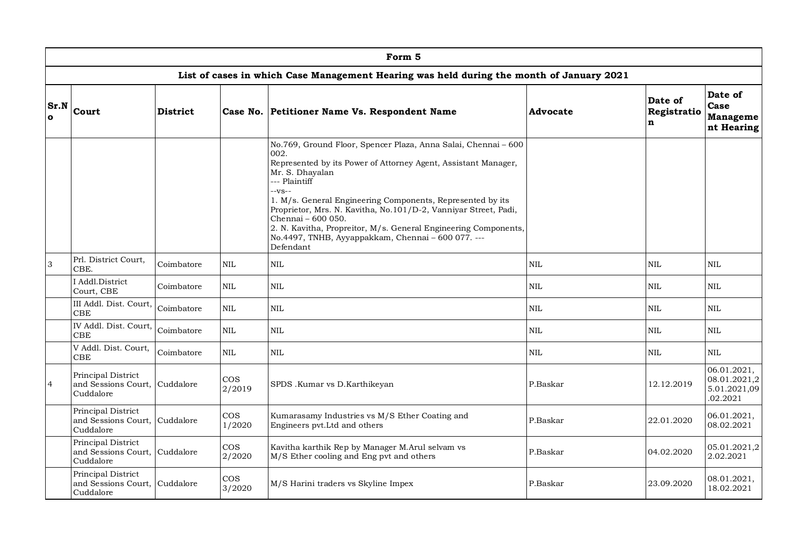|                            | Form 5                                                           |                 |                      |                                                                                                                                                                                                                                                                                                                                                                                                                                                                                     |              |                             |                                                         |  |  |  |  |  |
|----------------------------|------------------------------------------------------------------|-----------------|----------------------|-------------------------------------------------------------------------------------------------------------------------------------------------------------------------------------------------------------------------------------------------------------------------------------------------------------------------------------------------------------------------------------------------------------------------------------------------------------------------------------|--------------|-----------------------------|---------------------------------------------------------|--|--|--|--|--|
|                            |                                                                  |                 |                      | List of cases in which Case Management Hearing was held during the month of January 2021                                                                                                                                                                                                                                                                                                                                                                                            |              |                             |                                                         |  |  |  |  |  |
| <b>Sr.N</b><br>$\mathbf o$ | Court                                                            | <b>District</b> |                      | Case No. Petitioner Name Vs. Respondent Name                                                                                                                                                                                                                                                                                                                                                                                                                                        | Advocate     | Date of<br>Registratio<br>n | Date of<br>Case<br>Manageme<br>nt Hearing               |  |  |  |  |  |
|                            |                                                                  |                 |                      | No.769, Ground Floor, Spencer Plaza, Anna Salai, Chennai - 600<br>002.<br>Represented by its Power of Attorney Agent, Assistant Manager,<br>Mr. S. Dhayalan<br>--- Plaintiff<br>$-vs-$<br>1. M/s. General Engineering Components, Represented by its<br>Proprietor, Mrs. N. Kavitha, No.101/D-2, Vanniyar Street, Padi,<br>Chennai - 600 050.<br>2. N. Kavitha, Propreitor, M/s. General Engineering Components,<br>No.4497, TNHB, Ayyappakkam, Chennai - 600 077. ---<br>Defendant |              |                             |                                                         |  |  |  |  |  |
| 3                          | Prl. District Court.<br>CBE.                                     | Coimbatore      | $\mbox{NIL}$         | $\mbox{NIL}$                                                                                                                                                                                                                                                                                                                                                                                                                                                                        | $\mbox{NIL}$ | NIL                         | <b>NIL</b>                                              |  |  |  |  |  |
|                            | I Addl.District<br>Court, CBE                                    | Coimbatore      | $\mbox{NIL}$         | $\mbox{NIL}$                                                                                                                                                                                                                                                                                                                                                                                                                                                                        | $\mbox{NIL}$ | NIL                         | <b>NIL</b>                                              |  |  |  |  |  |
|                            | III Addl. Dist. Court,<br>CBE                                    | Coimbatore      | <b>NIL</b>           | $\mbox{NIL}$                                                                                                                                                                                                                                                                                                                                                                                                                                                                        | <b>NIL</b>   | NIL                         | <b>NIL</b>                                              |  |  |  |  |  |
|                            | IV Addl. Dist. Court,<br><b>CBE</b>                              | Coimbatore      | $\mbox{NIL}$         | <b>NIL</b>                                                                                                                                                                                                                                                                                                                                                                                                                                                                          | $\mbox{NIL}$ | $\rm NIL$                   | <b>NIL</b>                                              |  |  |  |  |  |
|                            | V Addl. Dist. Court,<br><b>CBE</b>                               | Coimbatore      | <b>NIL</b>           | <b>NIL</b>                                                                                                                                                                                                                                                                                                                                                                                                                                                                          | <b>NIL</b>   | <b>NIL</b>                  | <b>NIL</b>                                              |  |  |  |  |  |
| $\overline{4}$             | Principal District<br>and Sessions Court, Cuddalore<br>Cuddalore |                 | <b>COS</b><br>2/2019 | SPDS .Kumar vs D.Karthikeyan                                                                                                                                                                                                                                                                                                                                                                                                                                                        | P.Baskar     | 12.12.2019                  | 06.01.2021,<br>08.01.2021,2<br>5.01.2021,09<br>.02.2021 |  |  |  |  |  |
|                            | Principal District<br>and Sessions Court, Cuddalore<br>Cuddalore |                 | $\cos$<br>1/2020     | Kumarasamy Industries vs M/S Ether Coating and<br>Engineers pvt.Ltd and others                                                                                                                                                                                                                                                                                                                                                                                                      | P.Baskar     | 22.01.2020                  | 06.01.2021,<br>08.02.2021                               |  |  |  |  |  |
|                            | Principal District<br>and Sessions Court, Cuddalore<br>Cuddalore |                 | <b>COS</b><br>2/2020 | Kavitha karthik Rep by Manager M.Arul selvam vs<br>M/S Ether cooling and Eng pvt and others                                                                                                                                                                                                                                                                                                                                                                                         | P.Baskar     | 04.02.2020                  | 05.01.2021,2<br>2.02.2021                               |  |  |  |  |  |
|                            | Principal District<br>and Sessions Court,<br>Cuddalore           | Cuddalore       | $\cos$<br>3/2020     | M/S Harini traders vs Skyline Impex                                                                                                                                                                                                                                                                                                                                                                                                                                                 | P.Baskar     | 23.09.2020                  | 08.01.2021,<br>18.02.2021                               |  |  |  |  |  |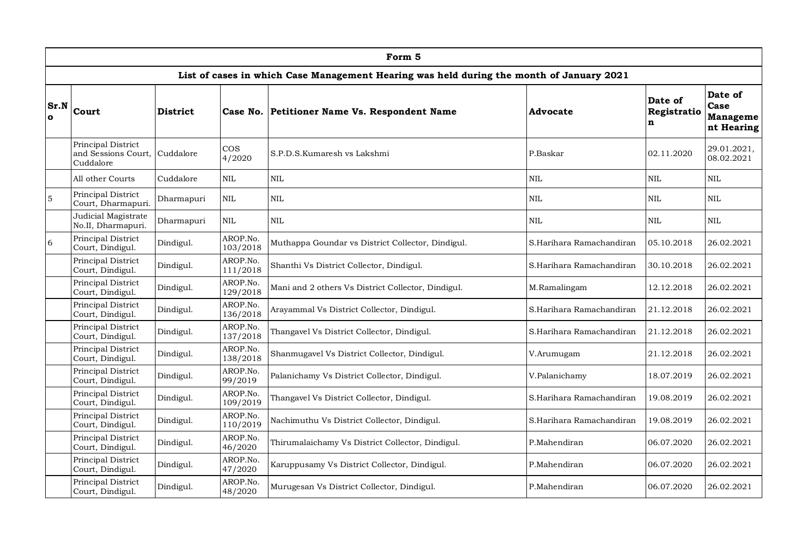|                      | Form 5                                                 |                 |                      |                                                                                          |                          |                             |                                                  |  |  |  |  |
|----------------------|--------------------------------------------------------|-----------------|----------------------|------------------------------------------------------------------------------------------|--------------------------|-----------------------------|--------------------------------------------------|--|--|--|--|
|                      |                                                        |                 |                      | List of cases in which Case Management Hearing was held during the month of January 2021 |                          |                             |                                                  |  |  |  |  |
| Sr.N<br>$\mathbf{o}$ | Court                                                  | <b>District</b> | Case No.             | Petitioner Name Vs. Respondent Name                                                      | Advocate                 | Date of<br>Registratio<br>n | Date of<br>Case<br><b>Manageme</b><br>nt Hearing |  |  |  |  |
|                      | Principal District<br>and Sessions Court,<br>Cuddalore | Cuddalore       | $\cos$<br>4/2020     | S.P.D.S.Kumaresh vs Lakshmi                                                              | P.Baskar                 | 02.11.2020                  | 29.01.2021,<br>08.02.2021                        |  |  |  |  |
|                      | All other Courts                                       | Cuddalore       | $\mbox{NIL}$         | <b>NIL</b>                                                                               | $\mbox{NIL}$             | $\rm NIL$                   | $\mbox{NIL}$                                     |  |  |  |  |
| $\overline{5}$       | Principal District<br>Court, Dharmapuri.               | Dharmapuri      | <b>NIL</b>           | <b>NIL</b>                                                                               | <b>NIL</b>               | NIL                         | <b>NIL</b>                                       |  |  |  |  |
|                      | Judicial Magistrate<br>No.II, Dharmapuri.              | Dharmapuri      | <b>NIL</b>           | <b>NIL</b>                                                                               | <b>NIL</b>               | <b>NIL</b>                  | <b>NIL</b>                                       |  |  |  |  |
| 6                    | Principal District<br>Court, Dindigul.                 | Dindigul.       | AROP.No.<br>103/2018 | Muthappa Goundar vs District Collector, Dindigul.                                        | S.Harihara Ramachandiran | 05.10.2018                  | 26.02.2021                                       |  |  |  |  |
|                      | Principal District<br>Court, Dindigul.                 | Dindigul.       | AROP.No.<br>111/2018 | Shanthi Vs District Collector, Dindigul.                                                 | S.Harihara Ramachandiran | 30.10.2018                  | 26.02.2021                                       |  |  |  |  |
|                      | Principal District<br>Court, Dindigul.                 | Dindigul.       | AROP.No.<br>129/2018 | Mani and 2 others Vs District Collector, Dindigul.                                       | M.Ramalingam             | 12.12.2018                  | 26.02.2021                                       |  |  |  |  |
|                      | Principal District<br>Court, Dindigul.                 | Dindigul.       | AROP.No.<br>136/2018 | Arayammal Vs District Collector, Dindigul.                                               | S.Harihara Ramachandiran | 21.12.2018                  | 26.02.2021                                       |  |  |  |  |
|                      | Principal District<br>Court, Dindigul.                 | Dindigul.       | AROP.No.<br>137/2018 | Thangavel Vs District Collector, Dindigul.                                               | S.Harihara Ramachandiran | 21.12.2018                  | 26.02.2021                                       |  |  |  |  |
|                      | Principal District<br>Court, Dindigul.                 | Dindigul.       | AROP.No.<br>138/2018 | Shanmugavel Vs District Collector, Dindigul.                                             | V.Arumugam               | 21.12.2018                  | 26.02.2021                                       |  |  |  |  |
|                      | Principal District<br>Court, Dindigul.                 | Dindigul.       | AROP.No.<br>99/2019  | Palanichamy Vs District Collector, Dindigul.                                             | V.Palanichamy            | 18.07.2019                  | 26.02.2021                                       |  |  |  |  |
|                      | Principal District<br>Court, Dindigul.                 | Dindigul.       | AROP.No.<br>109/2019 | Thangavel Vs District Collector, Dindigul.                                               | S.Harihara Ramachandiran | 19.08.2019                  | 26.02.2021                                       |  |  |  |  |
|                      | Principal District<br>Court, Dindigul.                 | Dindigul.       | AROP.No.<br>110/2019 | Nachimuthu Vs District Collector, Dindigul.                                              | S.Harihara Ramachandiran | 19.08.2019                  | 26.02.2021                                       |  |  |  |  |
|                      | Principal District<br>Court, Dindigul.                 | Dindigul.       | AROP.No.<br>46/2020  | Thirumalaichamy Vs District Collector, Dindigul.                                         | P.Mahendiran             | 06.07.2020                  | 26.02.2021                                       |  |  |  |  |
|                      | Principal District<br>Court, Dindigul.                 | Dindigul.       | AROP.No.<br>47/2020  | Karuppusamy Vs District Collector, Dindigul.                                             | P.Mahendiran             | 06.07.2020                  | 26.02.2021                                       |  |  |  |  |
|                      | Principal District<br>Court, Dindigul.                 | Dindigul.       | AROP.No.<br>48/2020  | Murugesan Vs District Collector, Dindigul.                                               | P.Mahendiran             | 06.07.2020                  | 26.02.2021                                       |  |  |  |  |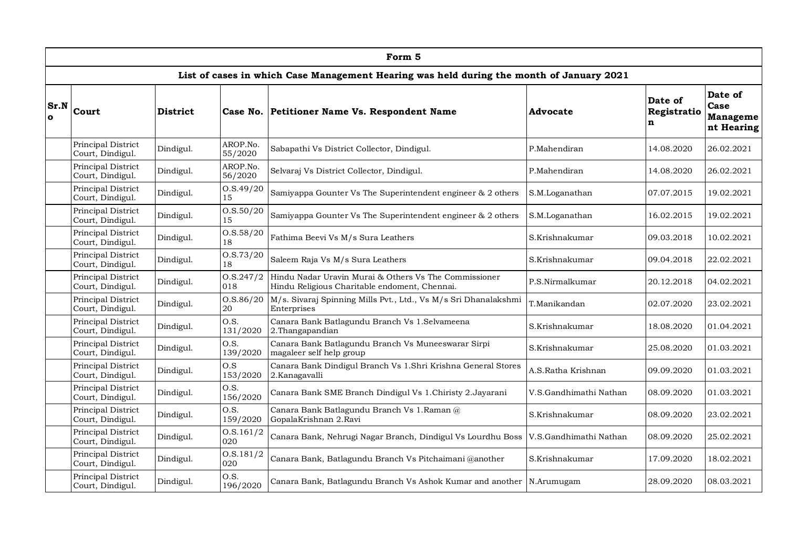|                      | Form 5                                 |                 |                     |                                                                                                        |                        |                             |                                                  |  |  |  |  |
|----------------------|----------------------------------------|-----------------|---------------------|--------------------------------------------------------------------------------------------------------|------------------------|-----------------------------|--------------------------------------------------|--|--|--|--|
|                      |                                        |                 |                     | List of cases in which Case Management Hearing was held during the month of January 2021               |                        |                             |                                                  |  |  |  |  |
| Sr.N<br>$\mathbf{o}$ | Court                                  | <b>District</b> | Case No.            | Petitioner Name Vs. Respondent Name                                                                    | Advocate               | Date of<br>Registratio<br>n | Date of<br>Case<br><b>Manageme</b><br>nt Hearing |  |  |  |  |
|                      | Principal District<br>Court, Dindigul. | Dindigul.       | AROP.No.<br>55/2020 | Sabapathi Vs District Collector, Dindigul.                                                             | P.Mahendiran           | 14.08.2020                  | 26.02.2021                                       |  |  |  |  |
|                      | Principal District<br>Court, Dindigul. | Dindigul.       | AROP.No.<br>56/2020 | Selvaraj Vs District Collector, Dindigul.                                                              | P.Mahendiran           | 14.08.2020                  | 26.02.2021                                       |  |  |  |  |
|                      | Principal District<br>Court, Dindigul. | Dindigul.       | O.S.49/20<br>15     | Samiyappa Gounter Vs The Superintendent engineer & 2 others                                            | S.M.Loganathan         | 07.07.2015                  | 19.02.2021                                       |  |  |  |  |
|                      | Principal District<br>Court, Dindigul. | Dindigul.       | 0. S. 50/20<br>15   | Samiyappa Gounter Vs The Superintendent engineer & 2 others                                            | S.M.Loganathan         | 16.02.2015                  | 19.02.2021                                       |  |  |  |  |
|                      | Principal District<br>Court, Dindigul. | Dindigul.       | O.S.58/20<br>18     | Fathima Beevi Vs M/s Sura Leathers                                                                     | S.Krishnakumar         | 09.03.2018                  | 10.02.2021                                       |  |  |  |  |
|                      | Principal District<br>Court, Dindigul. | Dindigul.       | 0. S. 73/20<br>18   | Saleem Raja Vs M/s Sura Leathers                                                                       | S.Krishnakumar         | 09.04.2018                  | 22.02.2021                                       |  |  |  |  |
|                      | Principal District<br>Court, Dindigul. | Dindigul.       | 0. S. 247/2<br>018  | Hindu Nadar Uravin Murai & Others Vs The Commissioner<br>Hindu Religious Charitable endoment, Chennai. | P.S.Nirmalkumar        | 20.12.2018                  | 04.02.2021                                       |  |  |  |  |
|                      | Principal District<br>Court, Dindigul. | Dindigul.       | 0. S. 86 / 20<br>20 | M/s. Sivaraj Spinning Mills Pvt., Ltd., Vs M/s Sri Dhanalakshmi<br>Enterprises                         | T.Manikandan           | 02.07.2020                  | 23.02.2021                                       |  |  |  |  |
|                      | Principal District<br>Court, Dindigul. | Dindigul.       | O.S.<br>131/2020    | Canara Bank Batlagundu Branch Vs 1.Selvameena<br>2. Thangapandian                                      | S.Krishnakumar         | 18.08.2020                  | 01.04.2021                                       |  |  |  |  |
|                      | Principal District<br>Court, Dindigul. | Dindigul.       | O.S.<br>139/2020    | Canara Bank Batlagundu Branch Vs Muneeswarar Sirpi<br>magaleer self help group                         | S.Krishnakumar         | 25.08.2020                  | 01.03.2021                                       |  |  |  |  |
|                      | Principal District<br>Court, Dindigul. | Dindigul.       | O.S<br>153/2020     | Canara Bank Dindigul Branch Vs 1.Shri Krishna General Stores<br>2.Kanagavalli                          | A.S.Ratha Krishnan     | 09.09.2020                  | 01.03.2021                                       |  |  |  |  |
|                      | Principal District<br>Court, Dindigul. | Dindigul.       | O.S.<br>156/2020    | Canara Bank SME Branch Dindigul Vs 1. Chiristy 2. Jayarani                                             | V.S.Gandhimathi Nathan | 08.09.2020                  | 01.03.2021                                       |  |  |  |  |
|                      | Principal District<br>Court, Dindigul. | Dindigul.       | O.S.<br>159/2020    | Canara Bank Batlagundu Branch Vs 1.Raman @<br>GopalaKrishnan 2.Ravi                                    | S.Krishnakumar         | 08.09.2020                  | 23.02.2021                                       |  |  |  |  |
|                      | Principal District<br>Court, Dindigul. | Dindigul.       | 0. S. 161/2<br>020  | Canara Bank, Nehrugi Nagar Branch, Dindigul Vs Lourdhu Boss                                            | V.S.Gandhimathi Nathan | 08.09.2020                  | 25.02.2021                                       |  |  |  |  |
|                      | Principal District<br>Court, Dindigul. | Dindigul.       | 0. S. 181/2<br>020  | Canara Bank, Batlagundu Branch Vs Pitchaimani @another                                                 | S.Krishnakumar         | 17.09.2020                  | 18.02.2021                                       |  |  |  |  |
|                      | Principal District<br>Court, Dindigul. | Dindigul.       | O.S.<br>196/2020    | Canara Bank, Batlagundu Branch Vs Ashok Kumar and another   N. Arumugam                                |                        | 28.09.2020                  | 08.03.2021                                       |  |  |  |  |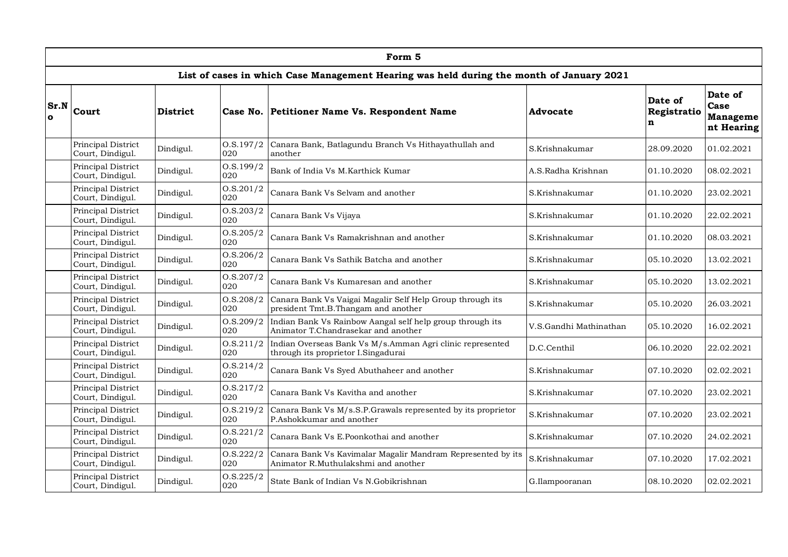|                      | Form 5                                 |                 |                      |                                                                                                    |                        |                             |                                                  |  |  |  |  |
|----------------------|----------------------------------------|-----------------|----------------------|----------------------------------------------------------------------------------------------------|------------------------|-----------------------------|--------------------------------------------------|--|--|--|--|
|                      |                                        |                 |                      | List of cases in which Case Management Hearing was held during the month of January 2021           |                        |                             |                                                  |  |  |  |  |
| Sr.N<br>$\mathbf{o}$ | Court                                  | <b>District</b> | Case No.             | Petitioner Name Vs. Respondent Name                                                                | Advocate               | Date of<br>Registratio<br>n | Date of<br>Case<br><b>Manageme</b><br>nt Hearing |  |  |  |  |
|                      | Principal District<br>Court, Dindigul. | Dindigul.       | 0. S. 197/2<br>020   | Canara Bank, Batlagundu Branch Vs Hithayathullah and<br>another                                    | S.Krishnakumar         | 28.09.2020                  | 01.02.2021                                       |  |  |  |  |
|                      | Principal District<br>Court, Dindigul. | Dindigul.       | O.S.199/2<br>020     | Bank of India Vs M. Karthick Kumar                                                                 | A.S.Radha Krishnan     | 01.10.2020                  | 08.02.2021                                       |  |  |  |  |
|                      | Principal District<br>Court, Dindigul. | Dindigul.       | 0. S. 201/2<br>020   | Canara Bank Vs Selvam and another                                                                  | S.Krishnakumar         | 01.10.2020                  | 23.02.2021                                       |  |  |  |  |
|                      | Principal District<br>Court, Dindigul. | Dindigul.       | 0. S. 203/2<br>020   | Canara Bank Vs Vijaya                                                                              | S.Krishnakumar         | 01.10.2020                  | 22.02.2021                                       |  |  |  |  |
|                      | Principal District<br>Court, Dindigul. | Dindigul.       | O.S.205/2<br>020     | Canara Bank Vs Ramakrishnan and another                                                            | S.Krishnakumar         | 01.10.2020                  | 08.03.2021                                       |  |  |  |  |
|                      | Principal District<br>Court, Dindigul. | Dindigul.       | O.S.206/2<br>020     | Canara Bank Vs Sathik Batcha and another                                                           | S.Krishnakumar         | 05.10.2020                  | 13.02.2021                                       |  |  |  |  |
|                      | Principal District<br>Court, Dindigul. | Dindigul.       | 0. S. 207/2<br>020   | Canara Bank Vs Kumaresan and another                                                               | S.Krishnakumar         | 05.10.2020                  | 13.02.2021                                       |  |  |  |  |
|                      | Principal District<br>Court, Dindigul. | Dindigul.       | O.S.208/2<br>020     | Canara Bank Vs Vaigai Magalir Self Help Group through its<br>president Tmt.B.Thangam and another   | S.Krishnakumar         | 05.10.2020                  | 26.03.2021                                       |  |  |  |  |
|                      | Principal District<br>Court, Dindigul. | Dindigul.       | 0. S. 209/2<br>020   | Indian Bank Vs Rainbow Aangal self help group through its<br>Animator T.Chandrasekar and another   | V.S.Gandhi Mathinathan | 05.10.2020                  | 16.02.2021                                       |  |  |  |  |
|                      | Principal District<br>Court, Dindigul. | Dindigul.       | 0. S. 211/2<br>020   | Indian Overseas Bank Vs M/s.Amman Agri clinic represented<br>through its proprietor I.Singadurai   | D.C.Centhil            | 06.10.2020                  | 22.02.2021                                       |  |  |  |  |
|                      | Principal District<br>Court, Dindigul. | Dindigul.       | 0. S. 214/2<br>020   | Canara Bank Vs Syed Abuthaheer and another                                                         | S.Krishnakumar         | 07.10.2020                  | 02.02.2021                                       |  |  |  |  |
|                      | Principal District<br>Court, Dindigul. | Dindigul.       | 0. S. 217/2<br>020   | Canara Bank Vs Kavitha and another                                                                 | S.Krishnakumar         | 07.10.2020                  | 23.02.2021                                       |  |  |  |  |
|                      | Principal District<br>Court, Dindigul. | Dindigul.       | 0. S. 219/2<br>020   | Canara Bank Vs M/s.S.P.Grawals represented by its proprietor<br>P.Ashokkumar and another           | S.Krishnakumar         | 07.10.2020                  | 23.02.2021                                       |  |  |  |  |
|                      | Principal District<br>Court, Dindigul. | Dindigul.       | 0. S. 221/2<br>020   | Canara Bank Vs E.Poonkothai and another                                                            | S.Krishnakumar         | 07.10.2020                  | 24.02.2021                                       |  |  |  |  |
|                      | Principal District<br>Court, Dindigul. | Dindigul.       | 0. S. 222/2<br>020   | Canara Bank Vs Kavimalar Magalir Mandram Represented by its<br>Animator R.Muthulakshmi and another | S.Krishnakumar         | 07.10.2020                  | 17.02.2021                                       |  |  |  |  |
|                      | Principal District<br>Court, Dindigul. | Dindigul.       | 0. S. 225 / 2<br>020 | State Bank of Indian Vs N.Gobikrishnan                                                             | G.Ilampooranan         | 08.10.2020                  | 02.02.2021                                       |  |  |  |  |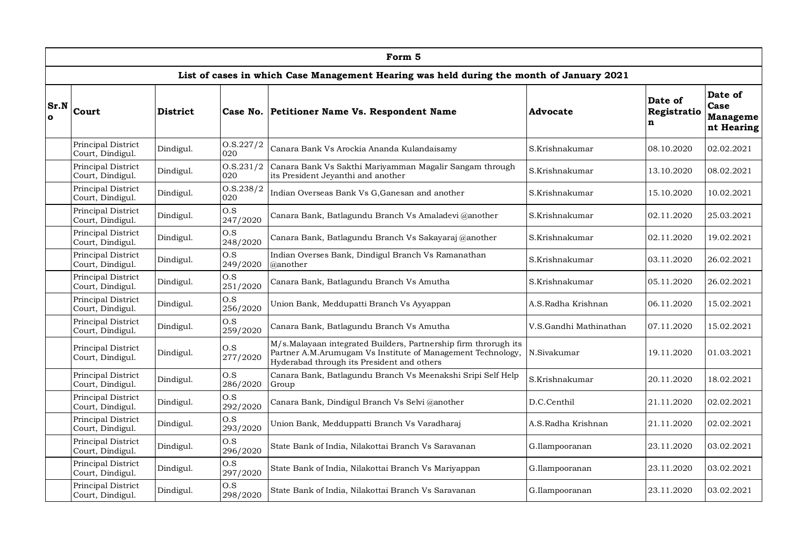|                      |                                        |                 |                    | Form 5                                                                                                                                                                       |                        |                             |                                                  |
|----------------------|----------------------------------------|-----------------|--------------------|------------------------------------------------------------------------------------------------------------------------------------------------------------------------------|------------------------|-----------------------------|--------------------------------------------------|
|                      |                                        |                 |                    | List of cases in which Case Management Hearing was held during the month of January 2021                                                                                     |                        |                             |                                                  |
| Sr.N<br>$\mathbf{o}$ | Court                                  | <b>District</b> | Case No.           | Petitioner Name Vs. Respondent Name                                                                                                                                          | Advocate               | Date of<br>Registratio<br>n | Date of<br>Case<br><b>Manageme</b><br>nt Hearing |
|                      | Principal District<br>Court, Dindigul. | Dindigul.       | 0. S. 227/2<br>020 | Canara Bank Vs Arockia Ananda Kulandaisamy                                                                                                                                   | S.Krishnakumar         | 08.10.2020                  | 02.02.2021                                       |
|                      | Principal District<br>Court, Dindigul. | Dindigul.       | 0. S. 231/2<br>020 | Canara Bank Vs Sakthi Mariyamman Magalir Sangam through<br>its President Jeyanthi and another                                                                                | S.Krishnakumar         | 13.10.2020                  | 08.02.2021                                       |
|                      | Principal District<br>Court, Dindigul. | Dindigul.       | 0. S. 238/2<br>020 | Indian Overseas Bank Vs G, Ganesan and another                                                                                                                               | S.Krishnakumar         | 15.10.2020                  | 10.02.2021                                       |
|                      | Principal District<br>Court, Dindigul. | Dindigul.       | O.S<br>247/2020    | Canara Bank, Batlagundu Branch Vs Amaladevi @another                                                                                                                         | S.Krishnakumar         | 02.11.2020                  | 25.03.2021                                       |
|                      | Principal District<br>Court, Dindigul. | Dindigul.       | O.S<br>248/2020    | Canara Bank, Batlagundu Branch Vs Sakayaraj @another                                                                                                                         | S.Krishnakumar         | 02.11.2020                  | 19.02.2021                                       |
|                      | Principal District<br>Court, Dindigul. | Dindigul.       | O.S<br>249/2020    | Indian Overses Bank, Dindigul Branch Vs Ramanathan<br>@another                                                                                                               | S.Krishnakumar         | 03.11.2020                  | 26.02.2021                                       |
|                      | Principal District<br>Court, Dindigul. | Dindigul.       | O.S<br>251/2020    | Canara Bank, Batlagundu Branch Vs Amutha                                                                                                                                     | S.Krishnakumar         | 05.11.2020                  | 26.02.2021                                       |
|                      | Principal District<br>Court, Dindigul. | Dindigul.       | O.S<br>256/2020    | Union Bank, Meddupatti Branch Vs Ayyappan                                                                                                                                    | A.S.Radha Krishnan     | 06.11.2020                  | 15.02.2021                                       |
|                      | Principal District<br>Court, Dindigul. | Dindigul.       | O.S<br>259/2020    | Canara Bank, Batlagundu Branch Vs Amutha                                                                                                                                     | V.S.Gandhi Mathinathan | 07.11.2020                  | 15.02.2021                                       |
|                      | Principal District<br>Court, Dindigul. | Dindigul.       | O.S<br>277/2020    | M/s.Malayaan integrated Builders, Partnership firm throrugh its<br>Partner A.M.Arumugam Vs Institute of Management Technology,<br>Hyderabad through its President and others | N.Sivakumar            | 19.11.2020                  | 01.03.2021                                       |
|                      | Principal District<br>Court, Dindigul. | Dindigul.       | O.S<br>286/2020    | Canara Bank, Batlagundu Branch Vs Meenakshi Sripi Self Help<br>Group                                                                                                         | S.Krishnakumar         | 20.11.2020                  | 18.02.2021                                       |
|                      | Principal District<br>Court, Dindigul. | Dindigul.       | O.S<br>292/2020    | Canara Bank, Dindigul Branch Vs Selvi @another                                                                                                                               | D.C.Centhil            | 21.11.2020                  | 02.02.2021                                       |
|                      | Principal District<br>Court, Dindigul. | Dindigul.       | O.S<br>293/2020    | Union Bank, Medduppatti Branch Vs Varadharaj                                                                                                                                 | A.S.Radha Krishnan     | 21.11.2020                  | 02.02.2021                                       |
|                      | Principal District<br>Court, Dindigul. | Dindigul.       | O.S<br>296/2020    | State Bank of India, Nilakottai Branch Vs Saravanan                                                                                                                          | G.Ilampooranan         | 23.11.2020                  | 03.02.2021                                       |
|                      | Principal District<br>Court, Dindigul. | Dindigul.       | O.S<br>297/2020    | State Bank of India, Nilakottai Branch Vs Mariyappan                                                                                                                         | G.Ilampooranan         | 23.11.2020                  | 03.02.2021                                       |
|                      | Principal District<br>Court, Dindigul. | Dindigul.       | O.S<br>298/2020    | State Bank of India, Nilakottai Branch Vs Saravanan                                                                                                                          | G.Ilampooranan         | 23.11.2020                  | 03.02.2021                                       |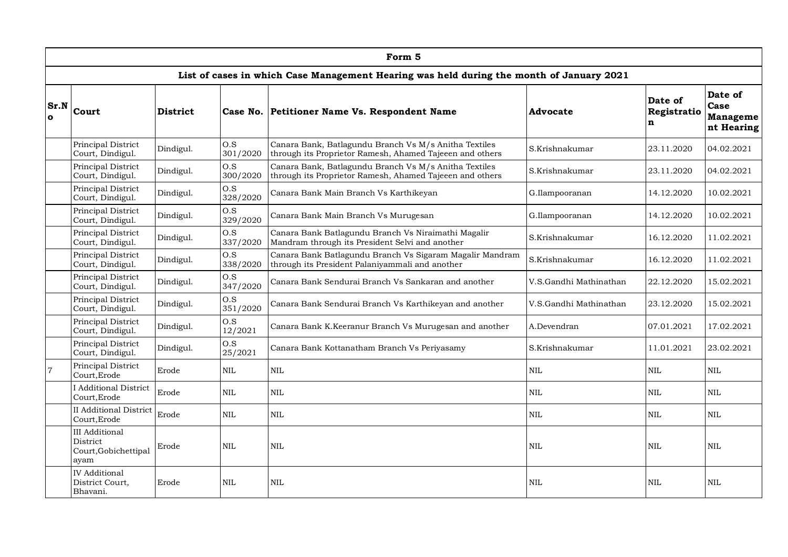|                      |                                                                   |                 |                 | Form 5                                                                                                            |                        |                             |                                                  |
|----------------------|-------------------------------------------------------------------|-----------------|-----------------|-------------------------------------------------------------------------------------------------------------------|------------------------|-----------------------------|--------------------------------------------------|
|                      |                                                                   |                 |                 | List of cases in which Case Management Hearing was held during the month of January 2021                          |                        |                             |                                                  |
| Sr.N<br>$\mathbf{o}$ | Court                                                             | <b>District</b> |                 | Case No. Petitioner Name Vs. Respondent Name                                                                      | Advocate               | Date of<br>Registratio<br>n | Date of<br>Case<br><b>Manageme</b><br>nt Hearing |
|                      | Principal District<br>Court, Dindigul.                            | Dindigul.       | O.S<br>301/2020 | Canara Bank, Batlagundu Branch Vs M/s Anitha Textiles<br>through its Proprietor Ramesh, Ahamed Tajeeen and others | S.Krishnakumar         | 23.11.2020                  | 04.02.2021                                       |
|                      | Principal District<br>Court, Dindigul.                            | Dindigul.       | O.S<br>300/2020 | Canara Bank, Batlagundu Branch Vs M/s Anitha Textiles<br>through its Proprietor Ramesh, Ahamed Tajeeen and others | S.Krishnakumar         | 23.11.2020                  | 04.02.2021                                       |
|                      | Principal District<br>Court, Dindigul.                            | Dindigul.       | O.S<br>328/2020 | Canara Bank Main Branch Vs Karthikeyan                                                                            | G.Ilampooranan         | 14.12.2020                  | 10.02.2021                                       |
|                      | Principal District<br>Court, Dindigul.                            | Dindigul.       | O.S<br>329/2020 | Canara Bank Main Branch Vs Murugesan                                                                              | G.Ilampooranan         | 14.12.2020                  | 10.02.2021                                       |
|                      | Principal District<br>Court, Dindigul.                            | Dindigul.       | O.S<br>337/2020 | Canara Bank Batlagundu Branch Vs Niraimathi Magalir<br>Mandram through its President Selvi and another            | S.Krishnakumar         | 16.12.2020                  | 11.02.2021                                       |
|                      | Principal District<br>Court, Dindigul.                            | Dindigul.       | O.S<br>338/2020 | Canara Bank Batlagundu Branch Vs Sigaram Magalir Mandram<br>through its President Palaniyammali and another       | S.Krishnakumar         | 16.12.2020                  | 11.02.2021                                       |
|                      | Principal District<br>Court, Dindigul.                            | Dindigul.       | O.S<br>347/2020 | Canara Bank Sendurai Branch Vs Sankaran and another                                                               | V.S.Gandhi Mathinathan | 22.12.2020                  | 15.02.2021                                       |
|                      | Principal District<br>Court, Dindigul.                            | Dindigul.       | O.S<br>351/2020 | Canara Bank Sendurai Branch Vs Karthikeyan and another                                                            | V.S.Gandhi Mathinathan | 23.12.2020                  | 15.02.2021                                       |
|                      | Principal District<br>Court, Dindigul.                            | Dindigul.       | O.S<br>12/2021  | Canara Bank K.Keeranur Branch Vs Murugesan and another                                                            | A.Devendran            | 07.01.2021                  | 17.02.2021                                       |
|                      | Principal District<br>Court, Dindigul.                            | Dindigul.       | O.S<br>25/2021  | Canara Bank Kottanatham Branch Vs Periyasamy                                                                      | S.Krishnakumar         | 11.01.2021                  | 23.02.2021                                       |
| $\overline{7}$       | Principal District<br>Court, Erode                                | Erode           | $\textsc{NIL}$  | $\mbox{NIL}$                                                                                                      | $\mbox{NIL}$           | $\mbox{NIL}$                | $\mbox{NIL}$                                     |
|                      | <b>I</b> Additional District<br>Court, Erode                      | Erode           | NIL             | NIL                                                                                                               | <b>NIL</b>             | $\text{NIL}$                | NIL                                              |
|                      | <b>II</b> Additional District<br>Court, Erode                     | Erode           | <b>NIL</b>      | <b>NIL</b>                                                                                                        | <b>NIL</b>             | <b>NIL</b>                  | NIL                                              |
|                      | <b>III</b> Additional<br>District<br>Court, Gobichettipal<br>avam | Erode           | <b>NIL</b>      | <b>NIL</b>                                                                                                        | <b>NIL</b>             | <b>NIL</b>                  | <b>NIL</b>                                       |
|                      | <b>IV</b> Additional<br>District Court,<br>Bhavani.               | Erode           | <b>NIL</b>      | <b>NIL</b>                                                                                                        | <b>NIL</b>             | NIL                         | <b>NIL</b>                                       |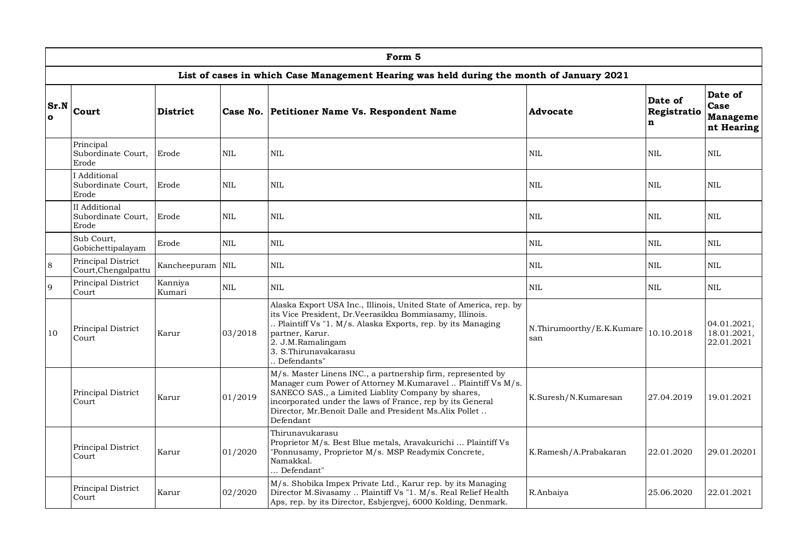|                      | Form 5                                       |                   |              |                                                                                                                                                                                                                                                                                                                       |                                  |                             |                                                  |  |  |  |  |  |
|----------------------|----------------------------------------------|-------------------|--------------|-----------------------------------------------------------------------------------------------------------------------------------------------------------------------------------------------------------------------------------------------------------------------------------------------------------------------|----------------------------------|-----------------------------|--------------------------------------------------|--|--|--|--|--|
|                      |                                              |                   |              | List of cases in which Case Management Hearing was held during the month of January 2021                                                                                                                                                                                                                              |                                  |                             |                                                  |  |  |  |  |  |
| Sr.N<br>$\mathbf{o}$ | <b>Court</b>                                 | <b>District</b>   |              | Case No. Petitioner Name Vs. Respondent Name                                                                                                                                                                                                                                                                          | <b>Advocate</b>                  | Date of<br>Registratio<br>n | Date of<br>Case<br><b>Manageme</b><br>nt Hearing |  |  |  |  |  |
|                      | Principal<br>Subordinate Court,<br>Erode     | Erode             | <b>NIL</b>   | $\mbox{NIL}$                                                                                                                                                                                                                                                                                                          | <b>NIL</b>                       | $\mbox{NIL}$                | <b>NIL</b>                                       |  |  |  |  |  |
|                      | I Additional<br>Subordinate Court,<br>Erode  | Erode             | $\mbox{NIL}$ | <b>NIL</b>                                                                                                                                                                                                                                                                                                            | $\mbox{NIL}$                     | NIL                         | <b>NIL</b>                                       |  |  |  |  |  |
|                      | II Additional<br>Subordinate Court,<br>Erode | Erode             | <b>NIL</b>   | <b>NIL</b>                                                                                                                                                                                                                                                                                                            | <b>NIL</b>                       | <b>NIL</b>                  | <b>NIL</b>                                       |  |  |  |  |  |
|                      | Sub Court,<br>Gobichettipalayam              | Erode             | $\mbox{NIL}$ | <b>NIL</b>                                                                                                                                                                                                                                                                                                            | $\mbox{NIL}$                     | <b>NIL</b>                  | <b>NIL</b>                                       |  |  |  |  |  |
| $\,8\,$              | Principal District<br>Court, Chengalpattu    | Kancheepuram      | $\mbox{NIL}$ | $\mbox{NIL}$                                                                                                                                                                                                                                                                                                          | $\mbox{NIL}$                     | NIL                         | <b>NIL</b>                                       |  |  |  |  |  |
| $\overline{9}$       | Principal District<br>Court                  | Kanniya<br>Kumari | <b>NIL</b>   | $\mbox{NIL}$                                                                                                                                                                                                                                                                                                          | <b>NIL</b>                       | <b>NIL</b>                  | <b>NIL</b>                                       |  |  |  |  |  |
| 10                   | Principal District<br>Court                  | Karur             | 03/2018      | Alaska Export USA Inc., Illinois, United State of America, rep. by<br>its Vice President, Dr.Veerasikku Bommiasamy, Illinois.<br>Plaintiff Vs "1. M/s. Alaska Exports, rep. by its Managing<br>partner, Karur.<br>2. J.M.Ramalingam<br>3. S.Thirunavakarasu<br>Defendants"                                            | N.Thirumoorthy/E.K.Kumare<br>san | 10.10.2018                  | 04.01.2021,<br>18.01.2021,<br>22.01.2021         |  |  |  |  |  |
|                      | Principal District<br>Court                  | Karur             | 01/2019      | M/s. Master Linens INC., a partnership firm, represented by<br>Manager cum Power of Attorney M.Kumaravel  Plaintiff Vs M/s.<br>SANECO SAS., a Limited Liablity Company by shares,<br>incorporated under the laws of France, rep by its General<br>Director, Mr.Benoit Dalle and President Ms.Alix Pollet<br>Defendant | K.Suresh/N.Kumaresan             | 27.04.2019                  | 19.01.2021                                       |  |  |  |  |  |
|                      | Principal District<br>Court                  | Karur             | 01/2020      | Thirunavukarasu<br>Proprietor M/s. Best Blue metals, Aravakurichi  Plaintiff Vs<br>"Ponnusamy, Proprietor M/s. MSP Readymix Concrete,<br>Namakkal.<br>Defendant"                                                                                                                                                      | K.Ramesh/A.Prabakaran            | 22.01.2020                  | 29.01.20201                                      |  |  |  |  |  |
|                      | Principal District<br>Court                  | Karur             | 02/2020      | M/s. Shobika Impex Private Ltd., Karur rep. by its Managing<br>Director M.Sivasamy  Plaintiff Vs "1. M/s. Real Relief Health<br>Aps, rep. by its Director, Esbjergvej, 6000 Kolding, Denmark.                                                                                                                         | R.Anbaiya                        | 25.06.2020                  | 22.01.2021                                       |  |  |  |  |  |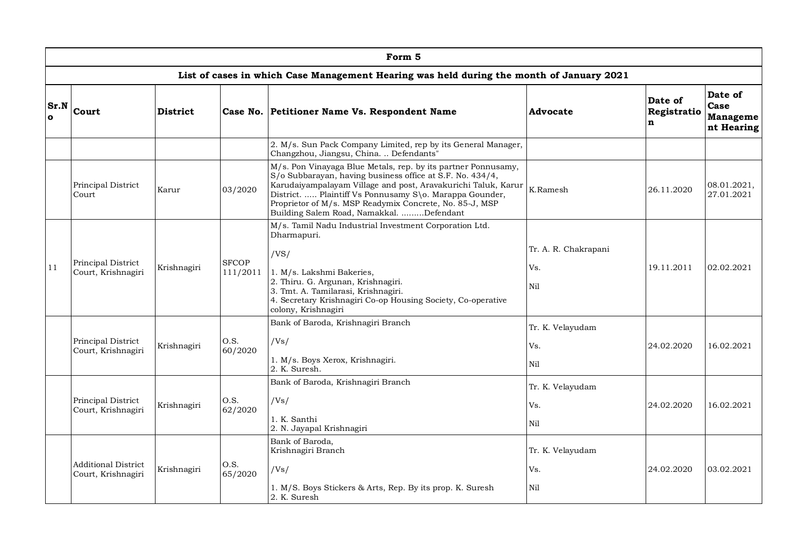|                  | Form 5                                    |                 |                          |                                                                                                                                                                                                                                                                                                                                                               |                                    |                                        |                                           |  |  |  |  |
|------------------|-------------------------------------------|-----------------|--------------------------|---------------------------------------------------------------------------------------------------------------------------------------------------------------------------------------------------------------------------------------------------------------------------------------------------------------------------------------------------------------|------------------------------------|----------------------------------------|-------------------------------------------|--|--|--|--|
|                  |                                           |                 |                          | List of cases in which Case Management Hearing was held during the month of January 2021                                                                                                                                                                                                                                                                      |                                    |                                        |                                           |  |  |  |  |
| Sr.N<br>$\Omega$ | Court                                     | <b>District</b> |                          | Case No. Petitioner Name Vs. Respondent Name                                                                                                                                                                                                                                                                                                                  | Advocate                           | Date of<br>Registratio<br>$\mathbf{n}$ | Date of<br>Case<br>Manageme<br>nt Hearing |  |  |  |  |
|                  |                                           |                 |                          | 2. M/s. Sun Pack Company Limited, rep by its General Manager,<br>Changzhou, Jiangsu, China.  Defendants"                                                                                                                                                                                                                                                      |                                    |                                        |                                           |  |  |  |  |
|                  | Principal District<br>Court               | Karur           | 03/2020                  | M/s. Pon Vinayaga Blue Metals, rep. by its partner Ponnusamy,<br>S/o Subbarayan, having business office at S.F. No. 434/4,<br>Karudaiyampalayam Village and post, Aravakurichi Taluk, Karur<br>District.  Plaintiff Vs Ponnusamy S\o. Marappa Gounder,<br>Proprietor of M/s. MSP Readymix Concrete, No. 85-J, MSP<br>Building Salem Road, Namakkal. Defendant | K.Ramesh                           | 26.11.2020                             | 08.01.2021,<br>27.01.2021                 |  |  |  |  |
| 11               | Principal District<br>Court, Krishnagiri  | Krishnagiri     | <b>SFCOP</b><br>111/2011 | M/s. Tamil Nadu Industrial Investment Corporation Ltd.<br>Dharmapuri.<br>/VS/<br>1. M/s. Lakshmi Bakeries,<br>2. Thiru. G. Argunan, Krishnagiri.<br>3. Tmt. A. Tamilarasi, Krishnagiri.<br>4. Secretary Krishnagiri Co-op Housing Society, Co-operative<br>colony, Krishnagiri                                                                                | Tr. A. R. Chakrapani<br>Vs.<br>Nil | 19.11.2011                             | 02.02.2021                                |  |  |  |  |
|                  | Principal District<br>Court, Krishnagiri  | Krishnagiri     | 0.S.<br>60/2020          | Bank of Baroda, Krishnagiri Branch<br>/Vs/<br>1. M/s. Boys Xerox, Krishnagiri.<br>2. K. Suresh.                                                                                                                                                                                                                                                               | Tr. K. Velayudam<br>Vs.<br>Ni1     | 24.02.2020                             | 16.02.2021                                |  |  |  |  |
|                  | Principal District<br>Court, Krishnagiri  | Krishnagiri     | O.S.<br>62/2020          | Bank of Baroda, Krishnagiri Branch<br>/Vs/<br>1. K. Santhi<br>2. N. Jayapal Krishnagiri                                                                                                                                                                                                                                                                       | Tr. K. Velayudam<br>Vs.<br>Nil     | 24.02.2020                             | 16.02.2021                                |  |  |  |  |
|                  | Additional District<br>Court, Krishnagiri | Krishnagiri     | O.S.<br>65/2020          | Bank of Baroda,<br>Krishnagiri Branch<br>/Vs/<br>1. M/S. Boys Stickers & Arts, Rep. By its prop. K. Suresh<br>2. K. Suresh                                                                                                                                                                                                                                    | Tr. K. Velayudam<br>Vs.<br>Nil     | 24.02.2020                             | 03.02.2021                                |  |  |  |  |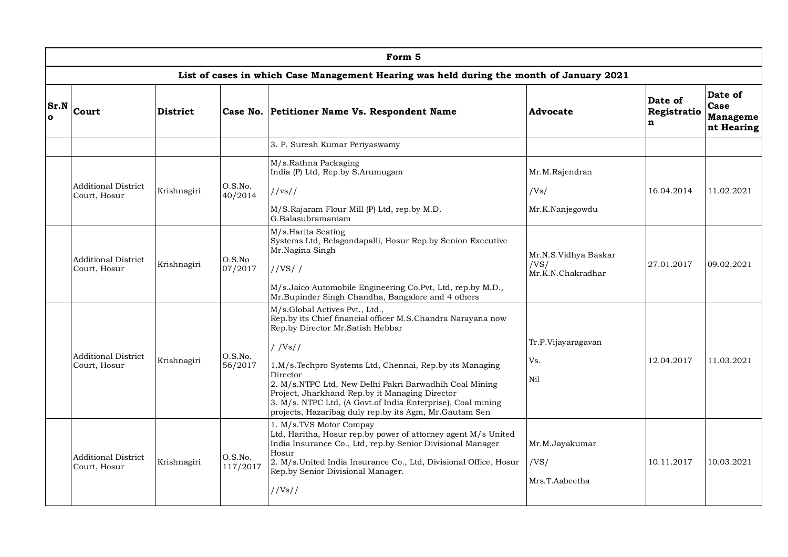|                  |                                            |                 |                     | Form 5                                                                                                                                                                                                                                                                              |                                                   |                                       |                                                  |
|------------------|--------------------------------------------|-----------------|---------------------|-------------------------------------------------------------------------------------------------------------------------------------------------------------------------------------------------------------------------------------------------------------------------------------|---------------------------------------------------|---------------------------------------|--------------------------------------------------|
|                  |                                            |                 |                     | List of cases in which Case Management Hearing was held during the month of January 2021                                                                                                                                                                                            |                                                   |                                       |                                                  |
| Sr.N<br>$\Omega$ | Court                                      | <b>District</b> |                     | Case No. Petitioner Name Vs. Respondent Name                                                                                                                                                                                                                                        | <b>Advocate</b>                                   | Date of<br>Registratio<br>$\mathbf n$ | Date of<br>Case<br><b>Manageme</b><br>nt Hearing |
|                  |                                            |                 |                     | 3. P. Suresh Kumar Periyaswamy                                                                                                                                                                                                                                                      |                                                   |                                       |                                                  |
|                  |                                            |                 |                     | M/s.Rathna Packaging<br>India (P) Ltd, Rep.by S.Arumugam                                                                                                                                                                                                                            | Mr.M.Rajendran                                    |                                       |                                                  |
|                  | <b>Additional District</b><br>Court, Hosur | Krishnagiri     | O.S.No.<br>40/2014  | //vs//                                                                                                                                                                                                                                                                              | /Vs/                                              | 16.04.2014                            | 11.02.2021                                       |
|                  |                                            |                 |                     | M/S.Rajaram Flour Mill (P) Ltd, rep.by M.D.<br>G.Balasubramaniam                                                                                                                                                                                                                    | Mr.K.Nanjegowdu                                   |                                       |                                                  |
|                  | <b>Additional District</b><br>Court, Hosur | Krishnagiri     | O.S.No<br>07/2017   | M/s.Harita Seating<br>Systems Ltd, Belagondapalli, Hosur Rep.by Senion Executive<br>Mr.Nagina Singh<br>//VS//                                                                                                                                                                       | Mr.N.S.Vidhya Baskar<br>/VS/<br>Mr.K.N.Chakradhar | 27.01.2017                            | 09.02.2021                                       |
|                  |                                            |                 |                     | M/s.Jaico Automobile Engineering Co.Pvt, Ltd, rep.by M.D.,<br>Mr.Bupinder Singh Chandha, Bangalore and 4 others                                                                                                                                                                     |                                                   |                                       |                                                  |
|                  |                                            |                 |                     | M/s.Global Actives Pvt., Ltd.,<br>Rep.by its Chief financial officer M.S.Chandra Narayana now<br>Rep.by Director Mr.Satish Hebbar                                                                                                                                                   |                                                   |                                       |                                                  |
|                  |                                            |                 |                     | $/$ /Vs//                                                                                                                                                                                                                                                                           | Tr.P.Vijayaragavan                                |                                       |                                                  |
|                  | <b>Additional District</b><br>Court, Hosur | Krishnagiri     | O.S.No.<br>56/2017  | 1.M/s.Techpro Systems Ltd, Chennai, Rep.by its Managing                                                                                                                                                                                                                             | Vs.                                               | 12.04.2017                            | 11.03.2021                                       |
|                  |                                            |                 |                     | Director<br>2. M/s.NTPC Ltd, New Delhi Pakri Barwadhih Coal Mining<br>Project, Jharkhand Rep.by it Managing Director<br>3. M/s. NTPC Ltd, (A Govt.of India Enterprise), Coal mining<br>projects, Hazaribag duly rep.by its Agm, Mr. Gautam Sen                                      | Nil                                               |                                       |                                                  |
|                  | <b>Additional District</b><br>Court, Hosur | Krishnagiri     | O.S.No.<br>117/2017 | 1. M/s.TVS Motor Compay<br>Ltd, Haritha, Hosur rep.by power of attorney agent M/s United<br>India Insurance Co., Ltd, rep.by Senior Divisional Manager<br>Hosur<br>2. M/s. United India Insurance Co., Ltd, Divisional Office, Hosur<br>Rep.by Senior Divisional Manager.<br>//Vs// | Mr.M.Jayakumar<br>/VS/<br>Mrs.T.Aabeetha          | 10.11.2017                            | 10.03.2021                                       |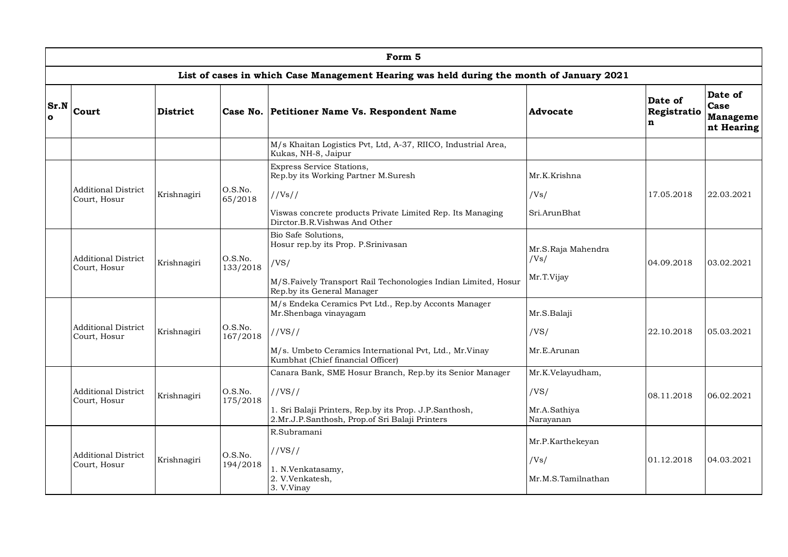|                      |                                            |             |                     | Form 5                                                                                                   |                            |                             |                                           |
|----------------------|--------------------------------------------|-------------|---------------------|----------------------------------------------------------------------------------------------------------|----------------------------|-----------------------------|-------------------------------------------|
|                      |                                            |             |                     | List of cases in which Case Management Hearing was held during the month of January 2021                 |                            |                             |                                           |
| Sr.N<br>$\mathbf{o}$ | Court                                      | District    |                     | Case No. Petitioner Name Vs. Respondent Name                                                             | <b>Advocate</b>            | Date of<br>Registratio<br>n | Date of<br>Case<br>Manageme<br>nt Hearing |
|                      |                                            |             |                     | M/s Khaitan Logistics Pvt, Ltd, A-37, RIICO, Industrial Area,<br>Kukas, NH-8, Jaipur                     |                            |                             |                                           |
|                      |                                            |             |                     | Express Service Stations,<br>Rep.by its Working Partner M.Suresh                                         | Mr.K.Krishna               |                             |                                           |
|                      | <b>Additional District</b><br>Court, Hosur | Krishnagiri | O.S.No.<br>65/2018  | //Vs//                                                                                                   | /Vs/                       | 17.05.2018                  | 22.03.2021                                |
|                      |                                            |             |                     | Viswas concrete products Private Limited Rep. Its Managing<br>Dirctor.B.R.Vishwas And Other              | Sri.ArunBhat               |                             |                                           |
|                      | <b>Additional District</b><br>Court, Hosur | Krishnagiri | O.S.No.<br>133/2018 | Bio Safe Solutions,<br>Hosur rep.by its Prop. P.Srinivasan<br>/VS/                                       | Mr.S.Raja Mahendra<br>/Vs/ | 04.09.2018                  | 03.02.2021                                |
|                      |                                            |             |                     | M/S.Faively Transport Rail Techonologies Indian Limited, Hosur<br>Rep.by its General Manager             | Mr.T.Vijay                 |                             |                                           |
|                      |                                            |             |                     | M/s Endeka Ceramics Pvt Ltd., Rep.by Acconts Manager<br>Mr.Shenbaga vinayagam                            | Mr.S.Balaji                |                             |                                           |
|                      | <b>Additional District</b><br>Court, Hosur | Krishnagiri | O.S.No.<br>167/2018 | //VS//                                                                                                   | /VS/                       | 22.10.2018                  | 05.03.2021                                |
|                      |                                            |             |                     | M/s. Umbeto Ceramics International Pvt, Ltd., Mr. Vinay<br>Kumbhat (Chief financial Officer)             | Mr.E.Arunan                |                             |                                           |
|                      |                                            |             |                     | Canara Bank, SME Hosur Branch, Rep.by its Senior Manager                                                 | Mr.K.Velayudham,           |                             |                                           |
|                      | <b>Additional District</b><br>Court, Hosur | Krishnagiri | O.S.No.<br>175/2018 | //VS//                                                                                                   | /VS/                       | 08.11.2018                  | 06.02.2021                                |
|                      |                                            |             |                     | 1. Sri Balaji Printers, Rep.by its Prop. J.P.Santhosh,<br>2.Mr.J.P.Santhosh, Prop.of Sri Balaji Printers | Mr.A.Sathiya<br>Narayanan  |                             |                                           |
|                      |                                            |             |                     | R.Subramani                                                                                              | Mr.P.Karthekeyan           |                             |                                           |
|                      | <b>Additional District</b>                 | Krishnagiri | O.S.No.             | //VS//                                                                                                   | /Vs/                       | 01.12.2018                  | 04.03.2021                                |
|                      | Court, Hosur                               |             | 194/2018            | 1. N.Venkatasamy,<br>2. V.Venkatesh,<br>3. V.Vinay                                                       | Mr.M.S.Tamilnathan         |                             |                                           |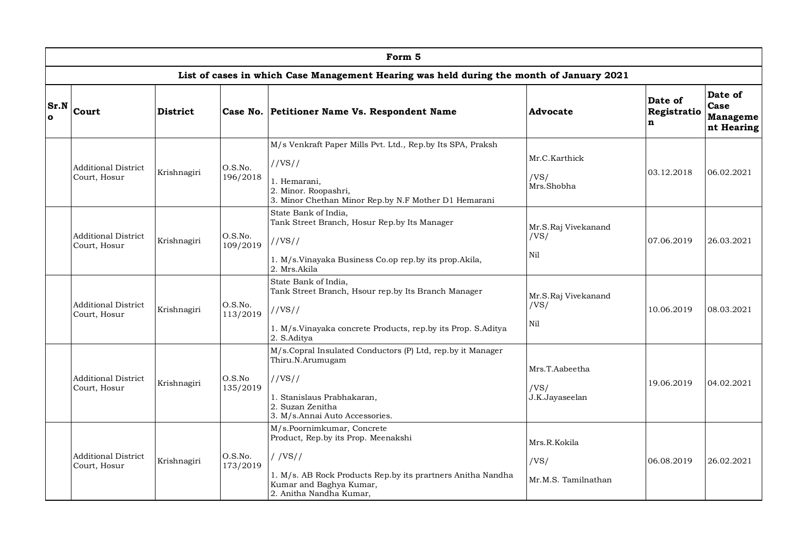|                     | Form 5                                     |                 |                     |                                                                                                                                                                                                     |                                             |                                       |                                                  |  |  |  |  |
|---------------------|--------------------------------------------|-----------------|---------------------|-----------------------------------------------------------------------------------------------------------------------------------------------------------------------------------------------------|---------------------------------------------|---------------------------------------|--------------------------------------------------|--|--|--|--|
|                     |                                            |                 |                     | List of cases in which Case Management Hearing was held during the month of January 2021                                                                                                            |                                             |                                       |                                                  |  |  |  |  |
| Sr.N<br>$\mathbf o$ | Court                                      | <b>District</b> |                     | Case No. Petitioner Name Vs. Respondent Name                                                                                                                                                        | Advocate                                    | Date of<br>Registratio<br>$\mathbf n$ | Date of<br>Case<br><b>Manageme</b><br>nt Hearing |  |  |  |  |
|                     | <b>Additional District</b><br>Court, Hosur | Krishnagiri     | O.S.No.<br>196/2018 | M/s Venkraft Paper Mills Pvt. Ltd., Rep.by Its SPA, Praksh<br>//VS//<br>1. Hemarani,<br>2. Minor. Roopashri,<br>3. Minor Chethan Minor Rep.by N.F Mother D1 Hemarani                                | Mr.C.Karthick<br>/VS/<br>Mrs.Shobha         | 03.12.2018                            | 06.02.2021                                       |  |  |  |  |
|                     | <b>Additional District</b><br>Court, Hosur | Krishnagiri     | O.S.No.<br>109/2019 | State Bank of India,<br>Tank Street Branch, Hosur Rep.by Its Manager<br>//VS//<br>1. M/s.Vinayaka Business Co.op rep.by its prop.Akila,<br>2. Mrs.Akila                                             | Mr.S.Raj Vivekanand<br>/VS/<br>Nil          | 07.06.2019                            | 26.03.2021                                       |  |  |  |  |
|                     | <b>Additional District</b><br>Court, Hosur | Krishnagiri     | O.S.No.<br>113/2019 | State Bank of India,<br>Tank Street Branch, Hsour rep.by Its Branch Manager<br>//VS//<br>1. M/s.Vinayaka concrete Products, rep.by its Prop. S.Aditya<br>2. S.Aditya                                | Mr.S.Raj Vivekanand<br>/VS/<br>Nil          | 10.06.2019                            | 08.03.2021                                       |  |  |  |  |
|                     | <b>Additional District</b><br>Court, Hosur | Krishnagiri     | O.S.No<br>135/2019  | M/s.Copral Insulated Conductors (P) Ltd, rep.by it Manager<br>Thiru.N.Arumugam<br>//VS//<br>1. Stanislaus Prabhakaran,<br>2. Suzan Zenitha<br>3. M/s.Annai Auto Accessories.                        | Mrs.T.Aabeetha<br>/VS/<br>J.K.Jayaseelan    | 19.06.2019                            | 04.02.2021                                       |  |  |  |  |
|                     | <b>Additional District</b><br>Court, Hosur | Krishnagiri     | O.S.No.<br>173/2019 | M/s.Poornimkumar, Concrete<br>Product, Rep.by its Prop. Meenakshi<br>$/$ /VS//<br>1. M/s. AB Rock Products Rep.by its prartners Anitha Nandha<br>Kumar and Baghya Kumar,<br>2. Anitha Nandha Kumar, | Mrs.R.Kokila<br>/VS/<br>Mr.M.S. Tamilnathan | 06.08.2019                            | 26.02.2021                                       |  |  |  |  |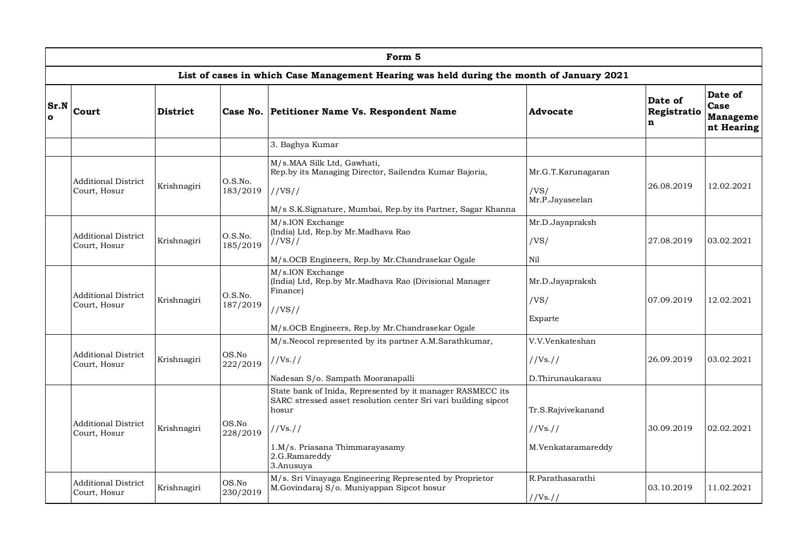|                  | Form 5                                     |                 |                     |                                                                                                                                                                                                                 |                                                      |                                       |                                           |  |  |  |  |
|------------------|--------------------------------------------|-----------------|---------------------|-----------------------------------------------------------------------------------------------------------------------------------------------------------------------------------------------------------------|------------------------------------------------------|---------------------------------------|-------------------------------------------|--|--|--|--|
|                  |                                            |                 |                     | List of cases in which Case Management Hearing was held during the month of January 2021                                                                                                                        |                                                      |                                       |                                           |  |  |  |  |
| Sr.N<br>$\Omega$ | Court                                      | <b>District</b> |                     | Case No. Petitioner Name Vs. Respondent Name                                                                                                                                                                    | <b>Advocate</b>                                      | Date of<br>Registratio<br>$\mathbf n$ | Date of<br>Case<br>Manageme<br>nt Hearing |  |  |  |  |
|                  |                                            |                 |                     | 3. Baghya Kumar                                                                                                                                                                                                 |                                                      |                                       |                                           |  |  |  |  |
|                  | <b>Additional District</b><br>Court, Hosur | Krishnagiri     | O.S.No.<br>183/2019 | M/s.MAA Silk Ltd, Gawhati,<br>Rep.by its Managing Director, Sailendra Kumar Bajoria,<br>//VS//<br>M/s S.K.Signature, Mumbai, Rep.by its Partner, Sagar Khanna                                                   | Mr.G.T.Karunagaran<br>/VS/<br>Mr.P.Jayaseelan        | 26.08.2019                            | 12.02.2021                                |  |  |  |  |
|                  | <b>Additional District</b><br>Court, Hosur | Krishnagiri     | O.S.No.<br>185/2019 | M/s.ION Exchange<br>(India) Ltd, Rep.by Mr.Madhava Rao<br>//VS//<br>M/s.OCB Engineers, Rep.by Mr.Chandrasekar Ogale                                                                                             | Mr.D.Jayapraksh<br>/VS/<br>Nil                       | 27.08.2019                            | 03.02.2021                                |  |  |  |  |
|                  | <b>Additional District</b><br>Court, Hosur | Krishnagiri     | O.S.No.<br>187/2019 | M/s.ION Exchange<br>(India) Ltd, Rep.by Mr.Madhava Rao (Divisional Manager<br>Finance)<br>//VS//<br>M/s.OCB Engineers, Rep.by Mr.Chandrasekar Ogale                                                             | Mr.D.Jayapraksh<br>/VS/<br>Exparte                   | 07.09.2019                            | 12.02.2021                                |  |  |  |  |
|                  | <b>Additional District</b><br>Court, Hosur | Krishnagiri     | OS.No<br>222/2019   | M/s.Neocol represented by its partner A.M.Sarathkumar,<br>//Vs. //<br>Nadesan S/o. Sampath Mooranapalli                                                                                                         | V.V.Venkateshan<br>//Vs. //<br>D.Thirunaukarasu      | 26.09.2019                            | 03.02.2021                                |  |  |  |  |
|                  | <b>Additional District</b><br>Court, Hosur | Krishnagiri     | OS.No<br>228/2019   | State bank of Inida, Represented by it manager RASMECC its<br>SARC stressed asset resolution center Sri vari building sipcot<br>hosur<br>//Vs//<br>1.M/s. Priasana Thimmarayasamy<br>2.G.Ramareddy<br>3.Anusuya | Tr.S.Rajvivekanand<br>//Vs. //<br>M.Venkataramareddy | 30.09.2019                            | 02.02.2021                                |  |  |  |  |
|                  | <b>Additional District</b><br>Court, Hosur | Krishnagiri     | OS.No<br>230/2019   | M/s. Sri Vinayaga Engineering Represented by Proprietor<br>M.Govindaraj S/o. Muniyappan Sipcot hosur                                                                                                            | R.Parathasarathi<br>//Vs. //                         | 03.10.2019                            | 11.02.2021                                |  |  |  |  |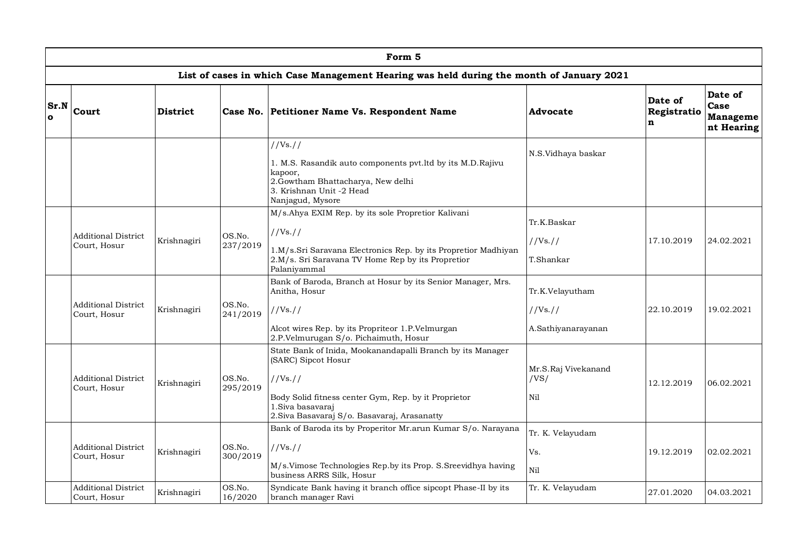|                  | Form 5                                                                                   |                 |                    |                                                                                                                                                                                                                         |                                                   |                                       |                                                  |  |  |  |  |  |
|------------------|------------------------------------------------------------------------------------------|-----------------|--------------------|-------------------------------------------------------------------------------------------------------------------------------------------------------------------------------------------------------------------------|---------------------------------------------------|---------------------------------------|--------------------------------------------------|--|--|--|--|--|
|                  | List of cases in which Case Management Hearing was held during the month of January 2021 |                 |                    |                                                                                                                                                                                                                         |                                                   |                                       |                                                  |  |  |  |  |  |
| Sr.N<br>$\Omega$ | Court                                                                                    | <b>District</b> |                    | Case No. Petitioner Name Vs. Respondent Name                                                                                                                                                                            | Advocate                                          | Date of<br>Registratio<br>$\mathbf n$ | Date of<br>Case<br><b>Manageme</b><br>nt Hearing |  |  |  |  |  |
|                  |                                                                                          |                 |                    | //Vs. //<br>1. M.S. Rasandik auto components pvt.ltd by its M.D.Rajivu<br>kapoor,<br>2.Gowtham Bhattacharya, New delhi<br>3. Krishnan Unit -2 Head<br>Nanjagud, Mysore                                                  | N.S.Vidhaya baskar                                |                                       |                                                  |  |  |  |  |  |
|                  | <b>Additional District</b><br>Court, Hosur                                               | Krishnagiri     | OS.No.<br>237/2019 | M/s.Ahya EXIM Rep. by its sole Propretior Kalivani<br>//Vs//<br>1.M/s.Sri Saravana Electronics Rep. by its Propretior Madhiyan<br>2.M/s. Sri Saravana TV Home Rep by its Propretior<br>Palaniyammal                     | Tr.K.Baskar<br>//Vs. //<br>T.Shankar              | 17.10.2019                            | 24.02.2021                                       |  |  |  |  |  |
|                  | <b>Additional District</b><br>Court, Hosur                                               | Krishnagiri     | OS.No.<br>241/2019 | Bank of Baroda, Branch at Hosur by its Senior Manager, Mrs.<br>Anitha, Hosur<br>//Vs//<br>Alcot wires Rep. by its Propriteor 1.P.Velmurgan<br>2.P.Velmurugan S/o. Pichaimuth, Hosur                                     | Tr.K.Velayutham<br>//Vs. //<br>A.Sathiyanarayanan | 22.10.2019                            | 19.02.2021                                       |  |  |  |  |  |
|                  | <b>Additional District</b><br>Court, Hosur                                               | Krishnagiri     | OS.No.<br>295/2019 | State Bank of Inida, Mookanandapalli Branch by its Manager<br>(SARC) Sipcot Hosur<br>//Vs//<br>Body Solid fitness center Gym, Rep. by it Proprietor<br>1.Siva basavaraj<br>2. Siva Basavaraj S/o. Basavaraj, Arasanatty | Mr.S.Raj Vivekanand<br>/VS/<br>Nil                | 12.12.2019                            | 06.02.2021                                       |  |  |  |  |  |
|                  | <b>Additional District</b><br>Court, Hosur                                               | Krishnagiri     | OS.No.<br>300/2019 | Bank of Baroda its by Properitor Mr.arun Kumar S/o. Narayana<br>//Vs. //<br>M/s.Vimose Technologies Rep.by its Prop. S.Sreevidhya having<br>business ARRS Silk, Hosur                                                   | Tr. K. Velayudam<br>Vs.<br>Nil                    | 19.12.2019                            | 02.02.2021                                       |  |  |  |  |  |
|                  | <b>Additional District</b><br>Court, Hosur                                               | Krishnagiri     | OS.No.<br>16/2020  | Syndicate Bank having it branch office sipcopt Phase-II by its<br>branch manager Ravi                                                                                                                                   | Tr. K. Velayudam                                  | 27.01.2020                            | 04.03.2021                                       |  |  |  |  |  |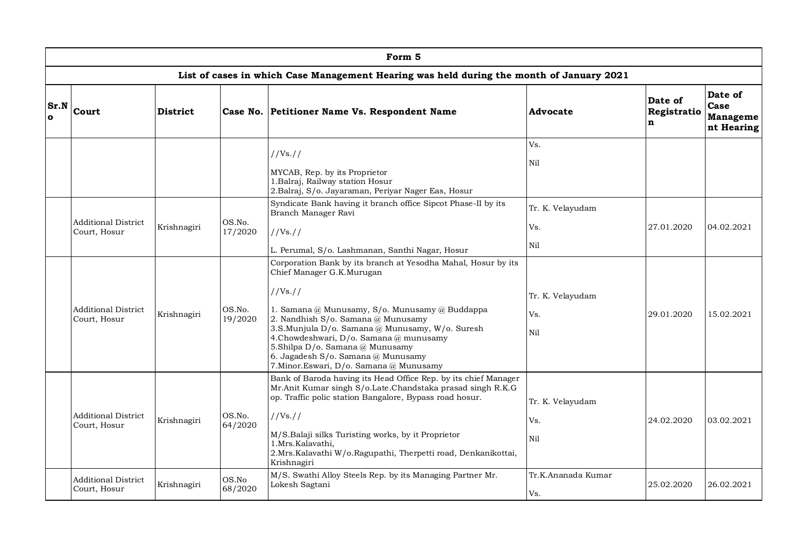|                     | Form 5                                     |                 |                   |                                                                                                                                                                                                                                                                                                                                                                                                                |                                |                             |                                           |  |  |  |  |
|---------------------|--------------------------------------------|-----------------|-------------------|----------------------------------------------------------------------------------------------------------------------------------------------------------------------------------------------------------------------------------------------------------------------------------------------------------------------------------------------------------------------------------------------------------------|--------------------------------|-----------------------------|-------------------------------------------|--|--|--|--|
|                     |                                            |                 |                   | List of cases in which Case Management Hearing was held during the month of January 2021                                                                                                                                                                                                                                                                                                                       |                                |                             |                                           |  |  |  |  |
| Sr.N<br>$\mathbf o$ | <b>Court</b>                               | <b>District</b> |                   | Case No. Petitioner Name Vs. Respondent Name                                                                                                                                                                                                                                                                                                                                                                   | Advocate                       | Date of<br>Registratio<br>n | Date of<br>Case<br>Manageme<br>nt Hearing |  |  |  |  |
|                     |                                            |                 |                   | //Vs. //<br>MYCAB, Rep. by its Proprietor<br>1. Balraj, Railway station Hosur<br>2.Balraj, S/o. Jayaraman, Periyar Nager Eas, Hosur                                                                                                                                                                                                                                                                            | Vs.<br>Nil                     |                             |                                           |  |  |  |  |
|                     | <b>Additional District</b><br>Court, Hosur | Krishnagiri     | OS.No.<br>17/2020 | Syndicate Bank having it branch office Sipcot Phase-II by its<br>Branch Manager Ravi<br>//Vs. //<br>L. Perumal, S/o. Lashmanan, Santhi Nagar, Hosur                                                                                                                                                                                                                                                            | Tr. K. Velavudam<br>Vs.<br>Nil | 27.01.2020                  | 04.02.2021                                |  |  |  |  |
|                     | <b>Additional District</b><br>Court, Hosur | Krishnagiri     | OS.No.<br>19/2020 | Corporation Bank by its branch at Yesodha Mahal, Hosur by its<br>Chief Manager G.K.Murugan<br>//Vs. //<br>1. Samana @ Munusamy, S/o. Munusamy @ Buddappa<br>2. Nandhish S/o. Samana @ Munusamy<br>3.S.Munjula D/o. Samana @ Munusamy, W/o. Suresh<br>4.Chowdeshwari, D/o. Samana @ munusamy<br>5.Shilpa D/o. Samana @ Munusamy<br>6. Jagadesh S/o. Samana @ Munusamy<br>7.Minor.Eswari, D/o. Samana @ Munusamy | Tr. K. Velayudam<br>Vs.<br>Nil | 29.01.2020                  | 15.02.2021                                |  |  |  |  |
|                     | <b>Additional District</b><br>Court, Hosur | Krishnagiri     | OS.No.<br>64/2020 | Bank of Baroda having its Head Office Rep. by its chief Manager<br>Mr.Anit Kumar singh S/o.Late.Chandstaka prasad singh R.K.G<br>op. Traffic polic station Bangalore, Bypass road hosur.<br>//Vs. //<br>M/S.Balaji silks Turisting works, by it Proprietor<br>1.Mrs.Kalavathi.<br>2.Mrs. Kalavathi W/o. Ragupathi, Therpetti road, Denkanikottai,<br>Krishnagiri                                               | Tr. K. Velavudam<br>Vs.<br>Nil | 24.02.2020                  | 03.02.2021                                |  |  |  |  |
|                     | <b>Additional District</b><br>Court, Hosur | Krishnagiri     | OS.No<br>68/2020  | M/S. Swathi Alloy Steels Rep. by its Managing Partner Mr.<br>Lokesh Sagtani                                                                                                                                                                                                                                                                                                                                    | Tr.K.Ananada Kumar<br>Vs.      | 25.02.2020                  | 26.02.2021                                |  |  |  |  |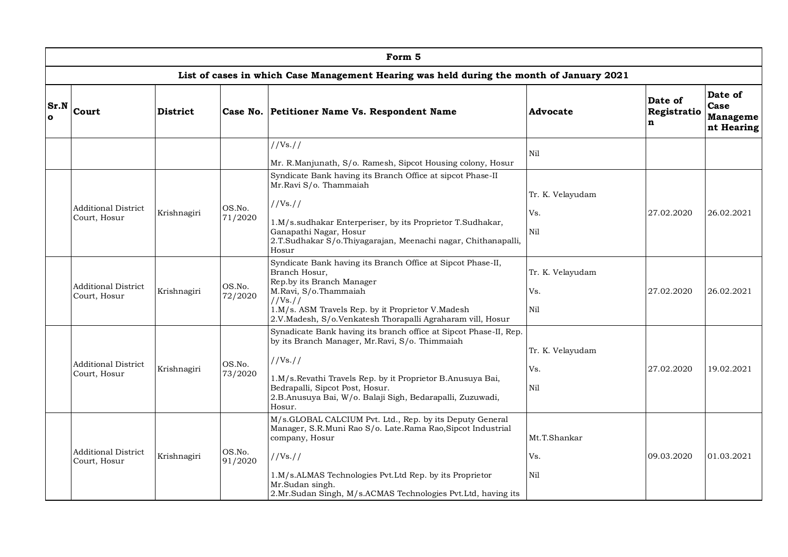|                     | Form 5                                     |             |                   |                                                                                                                                                                                                                                                                                                         |                                |                             |                                           |  |  |  |  |
|---------------------|--------------------------------------------|-------------|-------------------|---------------------------------------------------------------------------------------------------------------------------------------------------------------------------------------------------------------------------------------------------------------------------------------------------------|--------------------------------|-----------------------------|-------------------------------------------|--|--|--|--|
|                     |                                            |             |                   | List of cases in which Case Management Hearing was held during the month of January 2021                                                                                                                                                                                                                |                                |                             |                                           |  |  |  |  |
| Sr.N<br>$\mathbf o$ | <b>Court</b>                               | District    |                   | Case No. Petitioner Name Vs. Respondent Name                                                                                                                                                                                                                                                            | <b>Advocate</b>                | Date of<br>Registratio<br>n | Date of<br>Case<br>Manageme<br>nt Hearing |  |  |  |  |
|                     |                                            |             |                   | //Vs. //<br>Mr. R.Manjunath, S/o. Ramesh, Sipcot Housing colony, Hosur                                                                                                                                                                                                                                  | Nil                            |                             |                                           |  |  |  |  |
|                     | <b>Additional District</b><br>Court, Hosur | Krishnagiri | OS.No.<br>71/2020 | Syndicate Bank having its Branch Office at sipcot Phase-II<br>Mr.Ravi S/o. Thammaiah<br>//Vs. //<br>1.M/s.sudhakar Enterperiser, by its Proprietor T.Sudhakar,<br>Ganapathi Nagar, Hosur<br>2.T.Sudhakar S/o.Thiyagarajan, Meenachi nagar, Chithanapalli,<br>Hosur                                      | Tr. K. Velayudam<br>Vs.<br>Nil | 27.02.2020                  | 26.02.2021                                |  |  |  |  |
|                     | <b>Additional District</b><br>Court, Hosur | Krishnagiri | OS.No.<br>72/2020 | Syndicate Bank having its Branch Office at Sipcot Phase-II,<br>Branch Hosur.<br>Rep.by its Branch Manager<br>M.Ravi, S/o.Thammaiah<br>//Vs. //<br>1.M/s. ASM Travels Rep. by it Proprietor V.Madesh<br>2.V.Madesh, S/o.Venkatesh Thorapalli Agraharam vill, Hosur                                       | Tr. K. Velayudam<br>Vs.<br>Nil | 27.02.2020                  | 26.02.2021                                |  |  |  |  |
|                     | <b>Additional District</b><br>Court, Hosur | Krishnagiri | OS.No.<br>73/2020 | Synadicate Bank having its branch office at Sipcot Phase-II, Rep.<br>by its Branch Manager, Mr.Ravi, S/o. Thimmaiah<br>//Vs. //<br>1.M/s.Revathi Travels Rep. by it Proprietor B.Anusuya Bai,<br>Bedrapalli, Sipcot Post, Hosur.<br>2.B.Anusuya Bai, W/o. Balaji Sigh, Bedarapalli, Zuzuwadi,<br>Hosur. | Tr. K. Velayudam<br>Vs.<br>Nil | 27.02.2020                  | 19.02.2021                                |  |  |  |  |
|                     | <b>Additional District</b><br>Court, Hosur | Krishnagiri | OS.No.<br>91/2020 | M/s.GLOBAL CALCIUM Pvt. Ltd., Rep. by its Deputy General<br>Manager, S.R.Muni Rao S/o. Late.Rama Rao,Sipcot Industrial<br>company, Hosur<br>//Vs//<br>1.M/s.ALMAS Technologies Pvt.Ltd Rep. by its Proprietor<br>Mr.Sudan singh.<br>2.Mr.Sudan Singh, M/s.ACMAS Technologies Pvt.Ltd, having its        | Mt.T.Shankar<br>Vs.<br>Nil     | 09.03.2020                  | 01.03.2021                                |  |  |  |  |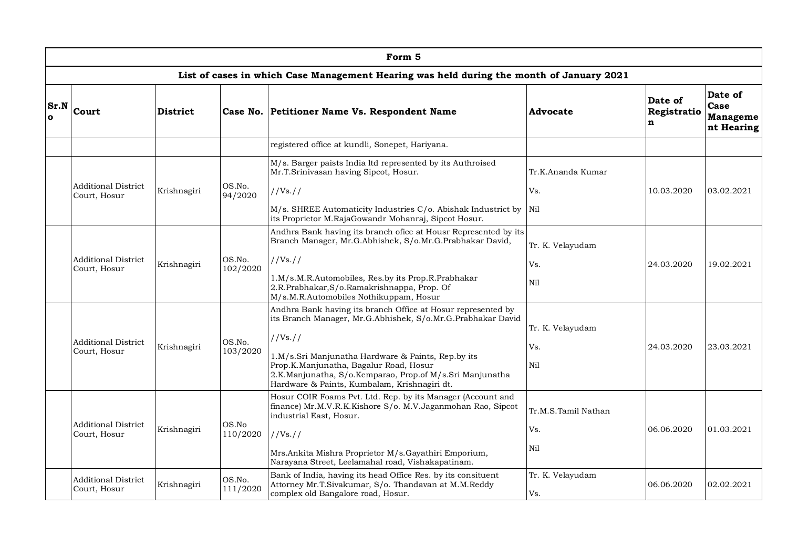|                      | Form 5                                     |                 |                    |                                                                                                                                                                                                          |                         |                             |                                           |  |  |  |  |
|----------------------|--------------------------------------------|-----------------|--------------------|----------------------------------------------------------------------------------------------------------------------------------------------------------------------------------------------------------|-------------------------|-----------------------------|-------------------------------------------|--|--|--|--|
|                      |                                            |                 |                    | List of cases in which Case Management Hearing was held during the month of January 2021                                                                                                                 |                         |                             |                                           |  |  |  |  |
| Sr.N<br>$\mathbf{o}$ | Court                                      | <b>District</b> |                    | Case No. Petitioner Name Vs. Respondent Name                                                                                                                                                             | Advocate                | Date of<br>Registratio<br>n | Date of<br>Case<br>Manageme<br>nt Hearing |  |  |  |  |
|                      |                                            |                 |                    | registered office at kundli, Sonepet, Hariyana.                                                                                                                                                          |                         |                             |                                           |  |  |  |  |
|                      |                                            |                 |                    | M/s. Barger paists India ltd represented by its Authroised<br>Mr.T.Srinivasan having Sipcot, Hosur.                                                                                                      | Tr.K.Ananda Kumar       |                             |                                           |  |  |  |  |
|                      | <b>Additional District</b><br>Court, Hosur | Krishnagiri     | OS.No.<br>94/2020  | //Vs. //                                                                                                                                                                                                 | Vs.                     | 10.03.2020                  | 03.02.2021                                |  |  |  |  |
|                      |                                            |                 |                    | M/s. SHREE Automaticity Industries C/o. Abishak Industrict by<br>its Proprietor M.RajaGowandr Mohanraj, Sipcot Hosur.                                                                                    | Nil                     |                             |                                           |  |  |  |  |
|                      |                                            |                 |                    | Andhra Bank having its branch ofice at Housr Represented by its<br>Branch Manager, Mr.G.Abhishek, S/o.Mr.G.Prabhakar David,                                                                              | Tr. K. Velayudam        |                             |                                           |  |  |  |  |
|                      | <b>Additional District</b><br>Court, Hosur | Krishnagiri     | OS.No.<br>102/2020 | //Vs. //                                                                                                                                                                                                 | Vs.                     | 24.03.2020                  | 19.02.2021                                |  |  |  |  |
|                      |                                            |                 |                    | 1.M/s.M.R.Automobiles, Res.by its Prop.R.Prabhakar<br>2.R.Prabhakar, S/o.Ramakrishnappa, Prop. Of<br>M/s.M.R.Automobiles Nothikuppam, Hosur                                                              | Nil                     |                             |                                           |  |  |  |  |
|                      | <b>Additional District</b><br>Court, Hosur | Krishnagiri     | OS.No.<br>103/2020 | Andhra Bank having its branch Office at Hosur represented by<br>its Branch Manager, Mr.G.Abhishek, S/o.Mr.G.Prabhakar David<br>//Vs. //                                                                  | Tr. K. Velayudam<br>Vs. | 24.03.2020                  | 23.03.2021                                |  |  |  |  |
|                      |                                            |                 |                    | 1.M/s.Sri Manjunatha Hardware & Paints, Rep.by its<br>Prop.K.Manjunatha, Bagalur Road, Hosur<br>2.K.Manjunatha, S/o.Kemparao, Prop.of M/s.Sri Manjunatha<br>Hardware & Paints, Kumbalam, Krishnagiri dt. | Nil                     |                             |                                           |  |  |  |  |
|                      | <b>Additional District</b>                 |                 | OS.No              | Hosur COIR Foams Pvt. Ltd. Rep. by its Manager (Account and<br>finance) Mr.M.V.R.K.Kishore S/o. M.V.Jaganmohan Rao, Sipcot<br>industrial East, Hosur.                                                    | Tr.M.S.Tamil Nathan     |                             |                                           |  |  |  |  |
|                      | Court, Hosur                               | Krishnagiri     | 110/2020           | //Vs. //                                                                                                                                                                                                 | Vs.                     | 06.06.2020                  | 01.03.2021                                |  |  |  |  |
|                      |                                            |                 |                    | Mrs.Ankita Mishra Proprietor M/s.Gayathiri Emporium,<br>Narayana Street, Leelamahal road, Vishakapatinam.                                                                                                | Nil                     |                             |                                           |  |  |  |  |
|                      | <b>Additional District</b><br>Court, Hosur | Krishnagiri     | OS.No.<br>111/2020 | Bank of India, having its head Office Res. by its consituent<br>Attorney Mr.T.Sivakumar, S/o. Thandavan at M.M.Reddy<br>complex old Bangalore road, Hosur.                                               | Tr. K. Velayudam<br>Vs. | 06.06.2020                  | 02.02.2021                                |  |  |  |  |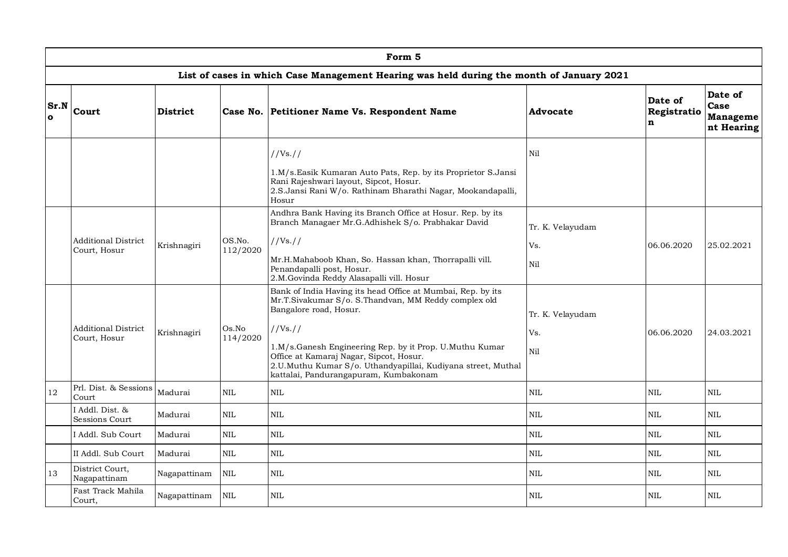|                         | Form 5                                                                                   |                 |                    |                                                                                                                                                                                                                                                                                                                                                                        |                                |                             |                                           |  |  |  |  |  |  |
|-------------------------|------------------------------------------------------------------------------------------|-----------------|--------------------|------------------------------------------------------------------------------------------------------------------------------------------------------------------------------------------------------------------------------------------------------------------------------------------------------------------------------------------------------------------------|--------------------------------|-----------------------------|-------------------------------------------|--|--|--|--|--|--|
|                         | List of cases in which Case Management Hearing was held during the month of January 2021 |                 |                    |                                                                                                                                                                                                                                                                                                                                                                        |                                |                             |                                           |  |  |  |  |  |  |
| <b>Sr.N</b><br>$\Omega$ | <b>Court</b>                                                                             | <b>District</b> |                    | Case No. Petitioner Name Vs. Respondent Name                                                                                                                                                                                                                                                                                                                           | Advocate                       | Date of<br>Registratio<br>n | Date of<br>Case<br>Manageme<br>nt Hearing |  |  |  |  |  |  |
|                         |                                                                                          |                 |                    | //Vs//<br>1.M/s.Easik Kumaran Auto Pats, Rep. by its Proprietor S.Jansi<br>Rani Rajeshwari layout, Sipcot, Hosur.<br>2.S.Jansi Rani W/o. Rathinam Bharathi Nagar, Mookandapalli,<br>Hosur                                                                                                                                                                              | Nil                            |                             |                                           |  |  |  |  |  |  |
|                         | <b>Additional District</b><br>Court, Hosur                                               | Krishnagiri     | OS.No.<br>112/2020 | Andhra Bank Having its Branch Office at Hosur. Rep. by its<br>Branch Managaer Mr.G.Adhishek S/o. Prabhakar David<br>//Vs//<br>Mr.H.Mahaboob Khan, So. Hassan khan, Thorrapalli vill.<br>Penandapalli post, Hosur.<br>2.M.Govinda Reddy Alasapalli vill. Hosur                                                                                                          | Tr. K. Velayudam<br>Vs.<br>Nil | 06.06.2020                  | 25.02.2021                                |  |  |  |  |  |  |
|                         | <b>Additional District</b><br>Court, Hosur                                               | Krishnagiri     | Os.No<br>114/2020  | Bank of India Having its head Office at Mumbai, Rep. by its<br>Mr.T.Sivakumar S/o. S.Thandvan, MM Reddy complex old<br>Bangalore road, Hosur.<br>//Vs//<br>1.M/s.Ganesh Engineering Rep. by it Prop. U.Muthu Kumar<br>Office at Kamaraj Nagar, Sipcot, Hosur.<br>2.U.Muthu Kumar S/o. Uthandyapillai, Kudiyana street, Muthal<br>kattalai, Pandurangapuram, Kumbakonam | Tr. K. Velayudam<br>Vs.<br>Nil | 06.06.2020                  | 24.03.2021                                |  |  |  |  |  |  |
| 12                      | Prl. Dist. & Sessions<br>Court                                                           | Madurai         | <b>NIL</b>         | $\mbox{NIL}$                                                                                                                                                                                                                                                                                                                                                           | $\mbox{NIL}$                   | <b>NIL</b>                  | <b>NIL</b>                                |  |  |  |  |  |  |
|                         | I Addl. Dist. &<br>Sessions Court                                                        | Madurai         | NIL                | <b>NIL</b>                                                                                                                                                                                                                                                                                                                                                             | NIL                            | NIL                         | <b>NIL</b>                                |  |  |  |  |  |  |
|                         | I Addl. Sub Court                                                                        | Madurai         | $\mbox{NIL}$       | <b>NIL</b>                                                                                                                                                                                                                                                                                                                                                             | $\mbox{NIL}$                   | $\mbox{NIL}$                | <b>NIL</b>                                |  |  |  |  |  |  |
|                         | II Addl. Sub Court                                                                       | Madurai         | $\mbox{NIL}$       | $\mbox{NIL}$                                                                                                                                                                                                                                                                                                                                                           | $\mbox{NIL}$                   | $\mbox{NIL}$                | $\mbox{NIL}$                              |  |  |  |  |  |  |
| 13                      | District Court,<br>Nagapattinam                                                          | Nagapattinam    | $\mbox{NIL}$       | $\mbox{NIL}$                                                                                                                                                                                                                                                                                                                                                           | $\mbox{NIL}$                   | NIL                         | $\text{NIL}$                              |  |  |  |  |  |  |
|                         | Fast Track Mahila<br>Court,                                                              | Nagapattinam    | <b>NIL</b>         | <b>NIL</b>                                                                                                                                                                                                                                                                                                                                                             | <b>NIL</b>                     | <b>NIL</b>                  | <b>NIL</b>                                |  |  |  |  |  |  |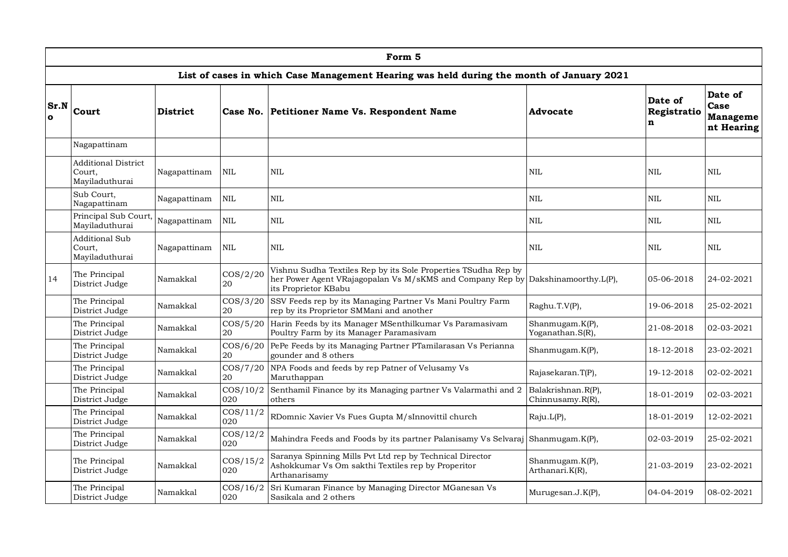|                         | Form <sub>5</sub>                                      |                 |                    |                                                                                                                                                     |                                        |                             |                                           |  |  |  |  |
|-------------------------|--------------------------------------------------------|-----------------|--------------------|-----------------------------------------------------------------------------------------------------------------------------------------------------|----------------------------------------|-----------------------------|-------------------------------------------|--|--|--|--|
|                         |                                                        |                 |                    | List of cases in which Case Management Hearing was held during the month of January 2021                                                            |                                        |                             |                                           |  |  |  |  |
| <b>Sr.N</b><br>$\Omega$ | <b>Court</b>                                           | <b>District</b> | Case No.           | Petitioner Name Vs. Respondent Name                                                                                                                 | Advocate                               | Date of<br>Registratio<br>n | Date of<br>Case<br>Manageme<br>nt Hearing |  |  |  |  |
|                         | Nagapattinam                                           |                 |                    |                                                                                                                                                     |                                        |                             |                                           |  |  |  |  |
|                         | <b>Additional District</b><br>Court.<br>Mayiladuthurai | Nagapattinam    | <b>NIL</b>         | <b>NIL</b>                                                                                                                                          | <b>NIL</b>                             | NIL                         | <b>NIL</b>                                |  |  |  |  |
|                         | Sub Court,<br>Nagapattinam                             | Nagapattinam    | $\mbox{NIL}$       | <b>NIL</b>                                                                                                                                          | $\mbox{NIL}$                           | $\mbox{NIL}$                | $\mbox{NIL}$                              |  |  |  |  |
|                         | Principal Sub Court,<br>Mayiladuthurai                 | Nagapattinam    | $\text{NIL}$       | <b>NIL</b>                                                                                                                                          | <b>NIL</b>                             | <b>NIL</b>                  | <b>NIL</b>                                |  |  |  |  |
|                         | <b>Additional Sub</b><br>Court.<br>Mayiladuthurai      | Nagapattinam    | $\mbox{NIL}$       | <b>NIL</b>                                                                                                                                          | $\mbox{NIL}$                           | $\rm NIL$                   | <b>NIL</b>                                |  |  |  |  |
| 14                      | The Principal<br>District Judge                        | Namakkal        | $\cos/2/20$<br>20  | Vishnu Sudha Textiles Rep by its Sole Properties TSudha Rep by<br>her Power Agent VRajagopalan Vs M/sKMS and Company Rep by<br>its Proprietor KBabu | Dakshinamoorthy.L(P),                  | 05-06-2018                  | 24-02-2021                                |  |  |  |  |
|                         | The Principal<br>District Judge                        | Namakkal        | $\cos/3/20$<br>20  | SSV Feeds rep by its Managing Partner Vs Mani Poultry Farm<br>rep by its Proprietor SMMani and another                                              | Raghu.T.V(P),                          | 19-06-2018                  | 25-02-2021                                |  |  |  |  |
|                         | The Principal<br>District Judge                        | Namakkal        | $\cos/5/20$<br>20  | Harin Feeds by its Manager MSenthilkumar Vs Paramasivam<br>Poultry Farm by its Manager Paramasivam                                                  | Shanmugam.K(P),<br>Yoganathan.S(R),    | 21-08-2018                  | 02-03-2021                                |  |  |  |  |
|                         | The Principal<br>District Judge                        | Namakkal        | $\cos/6/20$<br>20  | PePe Feeds by its Managing Partner PTamilarasan Vs Perianna<br>gounder and 8 others                                                                 | Shanmugam.K(P),                        | 18-12-2018                  | 23-02-2021                                |  |  |  |  |
|                         | The Principal<br>District Judge                        | Namakkal        | $\cos/7/20$<br>20  | NPA Foods and feeds by rep Patner of Velusamy Vs<br>Maruthappan                                                                                     | Rajasekaran.T(P),                      | 19-12-2018                  | 02-02-2021                                |  |  |  |  |
|                         | The Principal<br>District Judge                        | Namakkal        | $\cos/10/2$<br>020 | Senthamil Finance by its Managing partner Vs Valarmathi and 2<br>others                                                                             | Balakrishnan.R(P),<br>Chinnusamy.R(R), | 18-01-2019                  | 02-03-2021                                |  |  |  |  |
|                         | The Principal<br>District Judge                        | Namakkal        | $\cos/11/2$<br>020 | RDomnic Xavier Vs Fues Gupta M/sInnovittil church                                                                                                   | Raju.L(P),                             | 18-01-2019                  | 12-02-2021                                |  |  |  |  |
|                         | The Principal<br>District Judge                        | Namakkal        | $\cos/12/2$<br>020 | Mahindra Feeds and Foods by its partner Palanisamy Vs Selvaraj                                                                                      | Shanmugam.K(P),                        | 02-03-2019                  | 25-02-2021                                |  |  |  |  |
|                         | The Principal<br>District Judge                        | Namakkal        | $\cos/15/2$<br>020 | Saranya Spinning Mills Pvt Ltd rep by Technical Director<br>Ashokkumar Vs Om sakthi Textiles rep by Properitor<br>Arthanarisamy                     | Shanmugam.K(P),<br>Arthanari.K(R),     | 21-03-2019                  | 23-02-2021                                |  |  |  |  |
|                         | The Principal<br>District Judge                        | Namakkal        | $\cos/16/2$<br>020 | Sri Kumaran Finance by Managing Director MGanesan Vs<br>Sasikala and 2 others                                                                       | Murugesan.J.K(P),                      | 04-04-2019                  | 08-02-2021                                |  |  |  |  |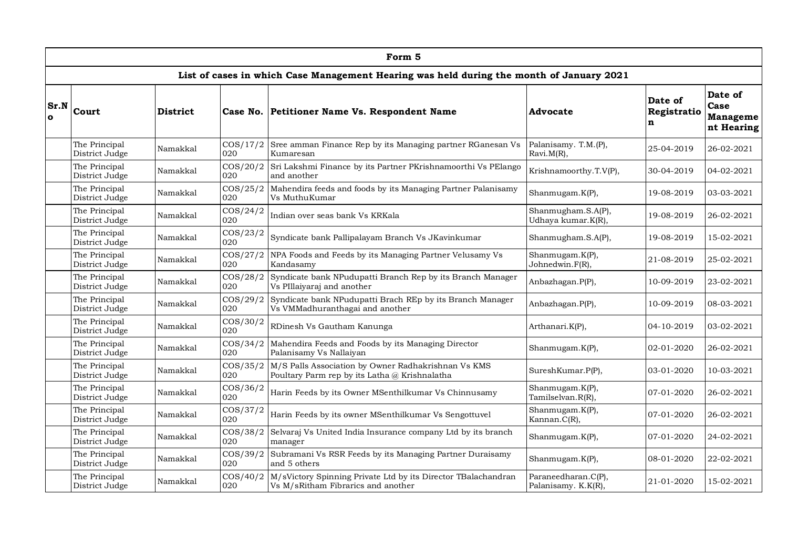|                      | Form 5                                                                                   |                                |                                                              |                                                                                                      |                                            |                             |                                                  |  |  |  |  |  |
|----------------------|------------------------------------------------------------------------------------------|--------------------------------|--------------------------------------------------------------|------------------------------------------------------------------------------------------------------|--------------------------------------------|-----------------------------|--------------------------------------------------|--|--|--|--|--|
|                      | List of cases in which Case Management Hearing was held during the month of January 2021 |                                |                                                              |                                                                                                      |                                            |                             |                                                  |  |  |  |  |  |
| Sr.N<br>$\mathbf{o}$ | Court                                                                                    | <b>District</b>                | Case No.                                                     | Petitioner Name Vs. Respondent Name                                                                  | Advocate                                   | Date of<br>Registratio<br>n | Date of<br>Case<br><b>Manageme</b><br>nt Hearing |  |  |  |  |  |
|                      | The Principal<br>District Judge                                                          | Namakkal                       | $\cos/17/2$<br>020                                           | Sree amman Finance Rep by its Managing partner RGanesan Vs<br>Kumaresan                              | Palanisamy. T.M.(P),<br>Ravi.M(R),         | 25-04-2019                  | 26-02-2021                                       |  |  |  |  |  |
|                      | The Principal<br>District Judge                                                          | Namakkal                       | $\cos(20/2)$<br>020                                          | Sri Lakshmi Finance by its Partner PKrishnamoorthi Vs PElango<br>and another                         | Krishnamoorthy.T.V(P),                     | 30-04-2019                  | 04-02-2021                                       |  |  |  |  |  |
|                      | The Principal<br>District Judge                                                          | Namakkal                       | $\cos/25/2$<br>020                                           | Mahendira feeds and foods by its Managing Partner Palanisamy<br>Vs MuthuKumar                        | Shanmugam.K(P),                            | 19-08-2019                  | 03-03-2021                                       |  |  |  |  |  |
|                      | The Principal<br>District Judge                                                          | Namakkal                       | $\cos/24/2$<br>020                                           | Indian over seas bank Vs KRKala                                                                      | Shanmugham.S.A(P),<br>Udhaya kumar.K(R),   | 19-08-2019                  | 26-02-2021                                       |  |  |  |  |  |
|                      | $\cos/23/2$<br>The Principal<br>Namakkal<br>District Judge<br>020                        |                                |                                                              | Syndicate bank Pallipalayam Branch Vs JKavinkumar                                                    | Shanmugham.S.A(P),                         | 19-08-2019                  | 15-02-2021                                       |  |  |  |  |  |
|                      | The Principal<br>District Judge                                                          | Namakkal                       | $\cos/27/2$<br>020                                           | NPA Foods and Feeds by its Managing Partner Velusamy Vs<br>Kandasamy                                 | Shanmugam.K(P),<br>Johnedwin.F(R),         | 21-08-2019                  | 25-02-2021                                       |  |  |  |  |  |
|                      | The Principal<br>District Judge                                                          | Namakkal                       | $\cos/28/2$<br>020                                           | Syndicate bank NPudupatti Branch Rep by its Branch Manager<br>Vs PIllaiyaraj and another             | Anbazhagan.P(P),                           | 10-09-2019                  | 23-02-2021                                       |  |  |  |  |  |
|                      | The Principal<br>District Judge                                                          | Namakkal                       | $\cos(29/2)$<br>020                                          | Syndicate bank NPudupatti Brach REp by its Branch Manager<br>Vs VMMadhuranthagai and another         | Anbazhagan.P(P),                           | 10-09-2019                  | 08-03-2021                                       |  |  |  |  |  |
|                      | The Principal<br>District Judge                                                          | Namakkal                       | $\cos/30/2$<br>020                                           | RDinesh Vs Gautham Kanunga                                                                           | Arthanari.K(P),                            | 04-10-2019                  | 03-02-2021                                       |  |  |  |  |  |
|                      | The Principal<br>District Judge                                                          | Namakkal                       | $\cos/34/2$<br>020                                           | Mahendira Feeds and Foods by its Managing Director<br>Palanisamy Vs Nallaiyan                        | Shanmugam.K(P),                            | 02-01-2020                  | 26-02-2021                                       |  |  |  |  |  |
|                      | The Principal<br>District Judge                                                          | Namakkal                       | $\cos/35/2$<br>020                                           | M/S Palls Association by Owner Radhakrishnan Vs KMS<br>Poultary Parm rep by its Latha @ Krishnalatha | SureshKumar.P(P),                          | 03-01-2020                  | 10-03-2021                                       |  |  |  |  |  |
|                      | The Principal<br>District Judge                                                          | Namakkal                       | $\cos/36/2$<br>020                                           | Harin Feeds by its Owner MSenthilkumar Vs Chinnusamy                                                 | Shanmugam.K(P),<br>Tamilselvan.R(R),       | 07-01-2020                  | 26-02-2021                                       |  |  |  |  |  |
|                      | The Principal<br>District Judge                                                          | $\cos/37/2$<br>Namakkal<br>020 |                                                              | Harin Feeds by its owner MSenthilkumar Vs Sengottuvel                                                | Shanmugam.K(P),<br>Kannan.C(R),            | 07-01-2020                  | 26-02-2021                                       |  |  |  |  |  |
|                      | $\cos/38/2$<br>The Principal<br>Namakkal<br>020<br>District Judge<br>manager             |                                | Selvaraj Vs United India Insurance company Ltd by its branch | Shanmugam.K(P),                                                                                      | 07-01-2020                                 | 24-02-2021                  |                                                  |  |  |  |  |  |
|                      | The Principal<br>COS/39/2<br>Namakkal<br>District Judge<br>020                           |                                |                                                              | Subramani Vs RSR Feeds by its Managing Partner Duraisamy<br>and 5 others                             | Shanmugam.K(P),                            | 08-01-2020                  | 22-02-2021                                       |  |  |  |  |  |
|                      | The Principal<br>District Judge                                                          | Namakkal                       | $\cos/40/2$<br>020                                           | M/sVictory Spinning Private Ltd by its Director TBalachandran<br>Vs M/sRitham Fibrarics and another  | Paraneedharan.C(P),<br>Palanisamy. K.K(R), | 21-01-2020                  | 15-02-2021                                       |  |  |  |  |  |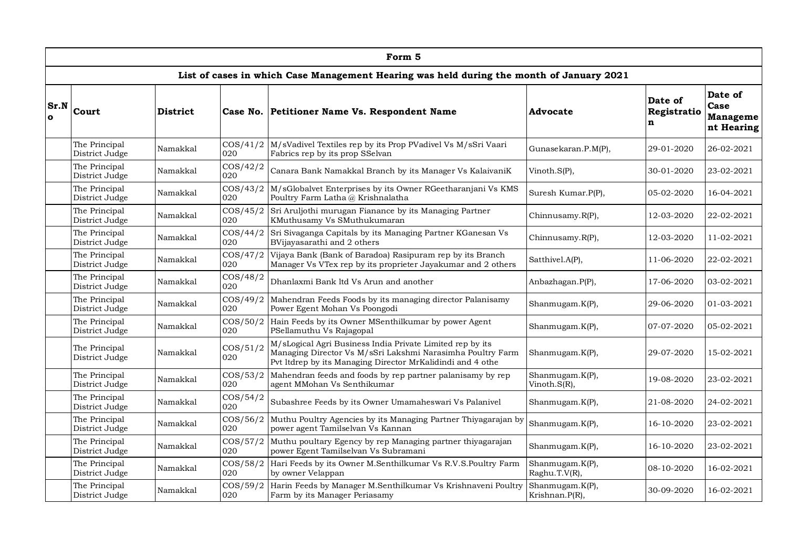|                      | Form 5                                                                                   |                                |                    |                                                                                                                                                                                       |                                     |                             |                                                  |  |  |  |  |  |
|----------------------|------------------------------------------------------------------------------------------|--------------------------------|--------------------|---------------------------------------------------------------------------------------------------------------------------------------------------------------------------------------|-------------------------------------|-----------------------------|--------------------------------------------------|--|--|--|--|--|
|                      | List of cases in which Case Management Hearing was held during the month of January 2021 |                                |                    |                                                                                                                                                                                       |                                     |                             |                                                  |  |  |  |  |  |
| Sr.N<br>$\mathbf{o}$ | Court                                                                                    | <b>District</b>                |                    | Case No. Petitioner Name Vs. Respondent Name                                                                                                                                          | Advocate                            | Date of<br>Registratio<br>n | Date of<br>Case<br><b>Manageme</b><br>nt Hearing |  |  |  |  |  |
|                      | The Principal<br>District Judge                                                          | Namakkal                       | $\cos/41/2$<br>020 | M/sVadivel Textiles rep by its Prop PVadivel Vs M/sSri Vaari<br>Fabrics rep by its prop SSelvan                                                                                       | Gunasekaran.P.M(P),                 | 29-01-2020                  | 26-02-2021                                       |  |  |  |  |  |
|                      | The Principal<br>District Judge                                                          | Namakkal                       | $\cos/42/2$<br>020 | Canara Bank Namakkal Branch by its Manager Vs KalaivaniK                                                                                                                              | Vinoth.S(P),                        | 30-01-2020                  | 23-02-2021                                       |  |  |  |  |  |
|                      | The Principal<br>District Judge                                                          | Namakkal                       | $\cos/43/2$<br>020 | M/sGlobalvet Enterprises by its Owner RGeetharanjani Vs KMS<br>Poultry Farm Latha @ Krishnalatha                                                                                      | Suresh Kumar.P(P),                  | 05-02-2020                  | 16-04-2021                                       |  |  |  |  |  |
|                      | The Principal<br>District Judge                                                          | Namakkal                       | $\cos/45/2$<br>020 | Sri Aruljothi murugan Fianance by its Managing Partner<br>KMuthusamy Vs SMuthukumaran                                                                                                 | Chinnusamy.R(P),                    | 12-03-2020                  | 22-02-2021                                       |  |  |  |  |  |
|                      | The Principal<br>District Judge                                                          | Namakkal                       | $\cos/44/2$<br>020 | Sri Sivaganga Capitals by its Managing Partner KGanesan Vs<br>BVijayasarathi and 2 others                                                                                             | Chinnusamy.R(P),                    | 12-03-2020                  | 11-02-2021                                       |  |  |  |  |  |
|                      | The Principal<br>Namakkal<br>District Judge<br>020                                       |                                | $\cos/47/2$        | Vijaya Bank (Bank of Baradoa) Rasipuram rep by its Branch<br>Manager Vs VTex rep by its proprieter Jayakumar and 2 others                                                             | Satthivel.A(P),                     | 11-06-2020                  | 22-02-2021                                       |  |  |  |  |  |
|                      | The Principal<br>District Judge                                                          | Namakkal                       | $\cos/48/2$<br>020 | Dhanlaxmi Bank ltd Vs Arun and another                                                                                                                                                | Anbazhagan.P(P),                    | 17-06-2020                  | 03-02-2021                                       |  |  |  |  |  |
|                      | The Principal<br>District Judge                                                          | Namakkal                       | $\cos/49/2$<br>020 | Mahendran Feeds Foods by its managing director Palanisamy<br>Power Egent Mohan Vs Poongodi                                                                                            | Shanmugam.K(P),                     | 29-06-2020                  | 01-03-2021                                       |  |  |  |  |  |
|                      | The Principal<br>District Judge                                                          | Namakkal                       | $\cos/50/2$<br>020 | Hain Feeds by its Owner MSenthilkumar by power Agent<br>PSellamuthu Vs Rajagopal                                                                                                      | Shanmugam.K(P),                     | 07-07-2020                  | 05-02-2021                                       |  |  |  |  |  |
|                      | The Principal<br>District Judge                                                          | Namakkal                       | $\cos/51/2$<br>020 | M/sLogical Agri Business India Private Limited rep by its<br>Managing Director Vs M/sSri Lakshmi Narasimha Poultry Farm<br>Pvt Itdrep by its Managing Director MrKalidindi and 4 othe | Shanmugam.K(P),                     | 29-07-2020                  | 15-02-2021                                       |  |  |  |  |  |
|                      | The Principal<br>District Judge                                                          | Namakkal                       | $\cos/53/2$<br>020 | Mahendran feeds and foods by rep partner palanisamy by rep<br>agent MMohan Vs Senthikumar                                                                                             | Shanmugam.K(P),<br>Vinoth. $S(R)$ , | 19-08-2020                  | 23-02-2021                                       |  |  |  |  |  |
|                      | The Principal<br>District Judge                                                          | Namakkal                       | $\cos/54/2$<br>020 | Subashree Feeds by its Owner Umamaheswari Vs Palanivel                                                                                                                                | Shanmugam.K(P),                     | 21-08-2020                  | 24-02-2021                                       |  |  |  |  |  |
|                      | The Principal<br>District Judge                                                          | $\cos/56/2$<br>Namakkal<br>020 |                    | Muthu Poultry Agencies by its Managing Partner Thiyagarajan by<br>power agent Tamilselvan Vs Kannan                                                                                   | Shanmugam.K(P),                     | 16-10-2020                  | 23-02-2021                                       |  |  |  |  |  |
|                      | $\cos/57/2$<br>The Principal<br>Namakkal<br>020<br>District Judge                        |                                |                    | Muthu poultary Egency by rep Managing partner thiyagarajan<br>power Egent Tamilselvan Vs Subramani                                                                                    | Shanmugam.K(P),                     | 16-10-2020                  | 23-02-2021                                       |  |  |  |  |  |
|                      | $\cos/58/2$<br>The Principal<br>Namakkal<br>020<br>District Judge                        |                                |                    | Hari Feeds by its Owner M.Senthilkumar Vs R.V.S.Poultry Farm<br>by owner Velappan                                                                                                     | Shanmugam.K(P),<br>Raghu.T.V(R),    | 08-10-2020                  | 16-02-2021                                       |  |  |  |  |  |
|                      | The Principal<br>District Judge                                                          | Namakkal                       | $\cos/59/2$<br>020 | Harin Feeds by Manager M.Senthilkumar Vs Krishnaveni Poultry<br>Farm by its Manager Periasamy                                                                                         | Shanmugam.K(P),<br>Krishnan.P(R),   | 30-09-2020                  | 16-02-2021                                       |  |  |  |  |  |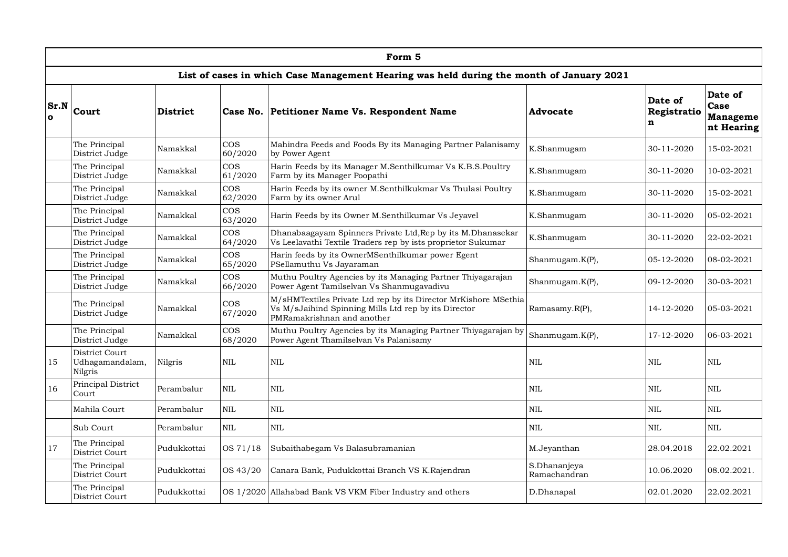|                      | Form 5                                                                                                                                            |                 |                                                                                                                               |                                                                                                                                                       |                              |                             |                                                  |  |  |  |  |  |
|----------------------|---------------------------------------------------------------------------------------------------------------------------------------------------|-----------------|-------------------------------------------------------------------------------------------------------------------------------|-------------------------------------------------------------------------------------------------------------------------------------------------------|------------------------------|-----------------------------|--------------------------------------------------|--|--|--|--|--|
|                      |                                                                                                                                                   |                 |                                                                                                                               | List of cases in which Case Management Hearing was held during the month of January 2021                                                              |                              |                             |                                                  |  |  |  |  |  |
| Sr.N<br>$\mathbf{o}$ | Court                                                                                                                                             | <b>District</b> |                                                                                                                               | Case No. Petitioner Name Vs. Respondent Name                                                                                                          | Advocate                     | Date of<br>Registratio<br>n | Date of<br>Case<br><b>Manageme</b><br>nt Hearing |  |  |  |  |  |
|                      | The Principal<br>District Judge                                                                                                                   | Namakkal        | $\cos$<br>60/2020                                                                                                             | Mahindra Feeds and Foods By its Managing Partner Palanisamy<br>by Power Agent                                                                         | K.Shanmugam                  | 30-11-2020                  | 15-02-2021                                       |  |  |  |  |  |
|                      | The Principal<br>District Judge                                                                                                                   | Namakkal        | $\cos$<br>61/2020                                                                                                             | Harin Feeds by its Manager M.Senthilkumar Vs K.B.S.Poultry<br>Farm by its Manager Poopathi                                                            | K.Shanmugam                  | 30-11-2020                  | 10-02-2021                                       |  |  |  |  |  |
|                      | The Principal<br>District Judge                                                                                                                   | Namakkal        | $\cos$<br>62/2020                                                                                                             | Harin Feeds by its owner M.Senthilkukmar Vs Thulasi Poultry<br>Farm by its owner Arul                                                                 | K.Shanmugam                  | 30-11-2020                  | 15-02-2021                                       |  |  |  |  |  |
|                      | The Principal<br>District Judge                                                                                                                   | Namakkal        | $\cos$<br>63/2020                                                                                                             | Harin Feeds by its Owner M.Senthilkumar Vs Jeyavel                                                                                                    | K.Shanmugam                  | 30-11-2020                  | 05-02-2021                                       |  |  |  |  |  |
|                      | The Principal<br>District Judge                                                                                                                   | Namakkal        | $\cos$<br>64/2020                                                                                                             | Dhanabaagayam Spinners Private Ltd, Rep by its M.Dhanasekar<br>Vs Leelavathi Textile Traders rep by ists proprietor Sukumar                           | K.Shanmugam                  | 30-11-2020                  | 22-02-2021                                       |  |  |  |  |  |
|                      | $\cos$<br>Harin feeds by its OwnerMSenthilkumar power Egent<br>The Principal<br>Namakkal<br>65/2020<br>PSellamuthu Vs Jayaraman<br>District Judge |                 | Shanmugam.K(P),                                                                                                               | 05-12-2020                                                                                                                                            | 08-02-2021                   |                             |                                                  |  |  |  |  |  |
|                      | The Principal<br>District Judge                                                                                                                   | Namakkal        | $\cos$<br>Muthu Poultry Agencies by its Managing Partner Thiyagarajan<br>66/2020<br>Power Agent Tamilselvan Vs Shanmugavadivu |                                                                                                                                                       | Shanmugam.K(P),              | 09-12-2020                  | 30-03-2021                                       |  |  |  |  |  |
|                      | The Principal<br>District Judge                                                                                                                   | Namakkal        | $\cos$<br>67/2020                                                                                                             | M/sHMTextiles Private Ltd rep by its Director MrKishore MSethia<br>Vs M/sJaihind Spinning Mills Ltd rep by its Director<br>PMRamakrishnan and another | Ramasamy.R(P),               | 14-12-2020                  | 05-03-2021                                       |  |  |  |  |  |
|                      | The Principal<br>District Judge                                                                                                                   | Namakkal        | $\cos$<br>68/2020                                                                                                             | Muthu Poultry Agencies by its Managing Partner Thiyagarajan by<br>Power Agent Thamilselvan Vs Palanisamy                                              | Shanmugam.K(P),              | 17-12-2020                  | 06-03-2021                                       |  |  |  |  |  |
| 15                   | District Court<br>Udhagamandalam,<br>Nilgris                                                                                                      | Nilgris         | $\mbox{NIL}$                                                                                                                  | $\rm NIL$                                                                                                                                             | NIL                          | <b>NIL</b>                  | $\rm NIL$                                        |  |  |  |  |  |
| 16                   | Principal District<br>Court                                                                                                                       | Perambalur      | NIL                                                                                                                           | <b>NIL</b>                                                                                                                                            | <b>NIL</b>                   | <b>NIL</b>                  | <b>NIL</b>                                       |  |  |  |  |  |
|                      | Mahila Court                                                                                                                                      | Perambalur      | NIL                                                                                                                           | NIL.                                                                                                                                                  | <b>NIL</b>                   | <b>NIL</b>                  | $\mbox{NIL}$                                     |  |  |  |  |  |
|                      | NIL<br>Sub Court<br>$\mbox{NIL}$<br>Perambalur                                                                                                    |                 | $\mbox{NIL}$                                                                                                                  | <b>NIL</b>                                                                                                                                            | $\mbox{NIL}$                 |                             |                                                  |  |  |  |  |  |
| 17                   | The Principal<br>OS 71/18<br>Pudukkottai<br>Subaithabegam Vs Balasubramanian<br>District Court                                                    |                 | M.Jeyanthan                                                                                                                   | 28.04.2018                                                                                                                                            | 22.02.2021                   |                             |                                                  |  |  |  |  |  |
|                      | The Principal<br>OS 43/20<br>Pudukkottai<br>Canara Bank, Pudukkottai Branch VS K.Rajendran<br>District Court                                      |                 |                                                                                                                               |                                                                                                                                                       | S.Dhananjeva<br>Ramachandran | 10.06.2020                  | 08.02.2021.                                      |  |  |  |  |  |
|                      | The Principal<br>District Court                                                                                                                   | Pudukkottai     |                                                                                                                               | OS 1/2020 Allahabad Bank VS VKM Fiber Industry and others                                                                                             | D.Dhanapal                   | 02.01.2020                  | 22.02.2021                                       |  |  |  |  |  |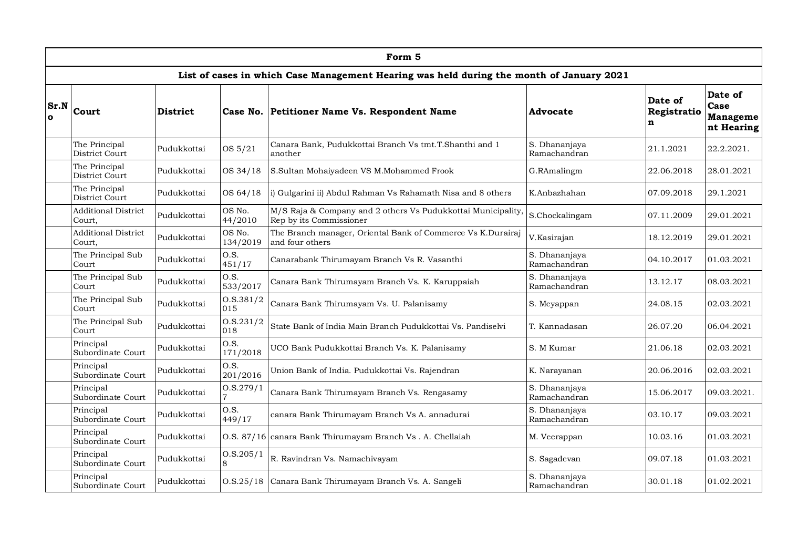|                      | Form 5                                                                   |                 |                    |                                                                                          |                               |                             |                                           |  |  |  |  |  |
|----------------------|--------------------------------------------------------------------------|-----------------|--------------------|------------------------------------------------------------------------------------------|-------------------------------|-----------------------------|-------------------------------------------|--|--|--|--|--|
|                      |                                                                          |                 |                    | List of cases in which Case Management Hearing was held during the month of January 2021 |                               |                             |                                           |  |  |  |  |  |
| Sr.N<br>$\mathbf{o}$ | Court                                                                    | <b>District</b> | Case No.           | Petitioner Name Vs. Respondent Name                                                      | Advocate                      | Date of<br>Registratio<br>n | Date of<br>Case<br>Manageme<br>nt Hearing |  |  |  |  |  |
|                      | The Principal<br>District Court                                          | Pudukkottai     | OS 5/21            | Canara Bank, Pudukkottai Branch Vs tmt.T.Shanthi and 1<br>another                        | S. Dhananjaya<br>Ramachandran | 21.1.2021                   | 22.2.2021.                                |  |  |  |  |  |
|                      | The Principal<br>District Court                                          | Pudukkottai     | OS 34/18           | S.Sultan Mohaiyadeen VS M.Mohammed Frook                                                 | G.RAmalingm                   | 22.06.2018                  | 28.01.2021                                |  |  |  |  |  |
|                      | The Principal<br>OS 64/18<br>Pudukkottai<br>District Court               |                 |                    | i) Gulgarini ii) Abdul Rahman Vs Rahamath Nisa and 8 others                              | K.Anbazhahan                  | 07.09.2018                  | 29.1.2021                                 |  |  |  |  |  |
|                      | <b>Additional District</b><br>OS No.<br>Pudukkottai<br>44/2010<br>Court, |                 |                    | M/S Raja & Company and 2 others Vs Pudukkottai Municipality,<br>Rep by its Commissioner  | S.Chockalingam                | 07.11.2009                  | 29.01.2021                                |  |  |  |  |  |
|                      | <b>Additional District</b><br>Court,                                     | Pudukkottai     | OS No.<br>134/2019 | The Branch manager, Oriental Bank of Commerce Vs K.Durairaj<br>and four others           | V.Kasirajan                   | 18.12.2019                  | 29.01.2021                                |  |  |  |  |  |
|                      | The Principal Sub<br>Court                                               | Pudukkottai     | O.S.<br>451/17     | Canarabank Thirumayam Branch Vs R. Vasanthi                                              | S. Dhananjaya<br>Ramachandran | 04.10.2017                  | 01.03.2021                                |  |  |  |  |  |
|                      | The Principal Sub<br>Court                                               | Pudukkottai     | O.S.<br>533/2017   | Canara Bank Thirumayam Branch Vs. K. Karuppaiah                                          | S. Dhananjaya<br>Ramachandran | 13.12.17                    | 08.03.2021                                |  |  |  |  |  |
|                      | The Principal Sub<br>Court                                               | Pudukkottai     | 0. S. 381/2<br>015 | Canara Bank Thirumayam Vs. U. Palanisamy                                                 | S. Meyappan                   | 24.08.15                    | 02.03.2021                                |  |  |  |  |  |
|                      | The Principal Sub<br>Court                                               | Pudukkottai     | 0. S. 231/2<br>018 | State Bank of India Main Branch Pudukkottai Vs. Pandiselvi                               | T. Kannadasan                 | 26.07.20                    | 06.04.2021                                |  |  |  |  |  |
|                      | Principal<br>Subordinate Court                                           | Pudukkottai     | O.S.<br>171/2018   | UCO Bank Pudukkottai Branch Vs. K. Palanisamy                                            | S. M Kumar                    | 21.06.18                    | 02.03.2021                                |  |  |  |  |  |
|                      | Principal<br>Subordinate Court                                           | Pudukkottai     | O.S.<br>201/2016   | Union Bank of India. Pudukkottai Vs. Rajendran                                           | K. Narayanan                  | 20.06.2016                  | 02.03.2021                                |  |  |  |  |  |
|                      | Principal<br>Subordinate Court                                           | Pudukkottai     | 0. S. 279/1        | Canara Bank Thirumayam Branch Vs. Rengasamy                                              | S. Dhananjaya<br>Ramachandran | 15.06.2017                  | 09.03.2021.                               |  |  |  |  |  |
|                      | Principal<br>Subordinate Court                                           | Pudukkottai     | O.S.<br>449/17     | canara Bank Thirumayam Branch Vs A. annadurai                                            | S. Dhananjaya<br>Ramachandran | 03.10.17                    | 09.03.2021                                |  |  |  |  |  |
|                      | Principal<br>Pudukkottai<br>Subordinate Court                            |                 | 0. S. 87/16        | canara Bank Thirumayam Branch Vs. A. Chellaiah                                           | M. Veerappan                  | 10.03.16                    | 01.03.2021                                |  |  |  |  |  |
|                      | Principal<br>Pudukkottai<br>Subordinate Court<br>8                       |                 | O.S.205/1          | R. Ravindran Vs. Namachivayam                                                            | S. Sagadevan                  | 09.07.18                    | 01.03.2021                                |  |  |  |  |  |
|                      | Principal<br>Subordinate Court                                           | Pudukkottai     |                    | O.S.25/18 Canara Bank Thirumayam Branch Vs. A. Sangeli                                   | S. Dhananjaya<br>Ramachandran | 30.01.18                    | 01.02.2021                                |  |  |  |  |  |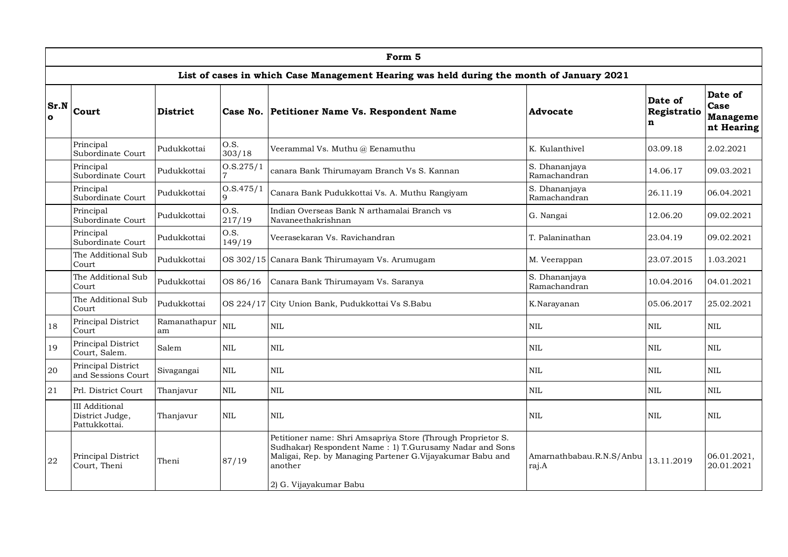|                      | Form 5                                                                                           |                                                                                                    |                 |                                                                                                                                                                                                                            |                                   |                             |                                           |  |  |  |  |
|----------------------|--------------------------------------------------------------------------------------------------|----------------------------------------------------------------------------------------------------|-----------------|----------------------------------------------------------------------------------------------------------------------------------------------------------------------------------------------------------------------------|-----------------------------------|-----------------------------|-------------------------------------------|--|--|--|--|
|                      |                                                                                                  |                                                                                                    |                 | List of cases in which Case Management Hearing was held during the month of January 2021                                                                                                                                   |                                   |                             |                                           |  |  |  |  |
| Sr.N<br>$\mathbf{o}$ | Court                                                                                            | <b>District</b>                                                                                    | Case No.        | Petitioner Name Vs. Respondent Name                                                                                                                                                                                        | Advocate                          | Date of<br>Registratio<br>n | Date of<br>Case<br>Manageme<br>nt Hearing |  |  |  |  |
|                      | Principal<br>Subordinate Court                                                                   | Pudukkottai                                                                                        | O.S.<br>303/18  | Veerammal Vs. Muthu @ Eenamuthu                                                                                                                                                                                            | K. Kulanthivel                    | 03.09.18                    | 2.02.2021                                 |  |  |  |  |
|                      | Principal<br>Subordinate Court                                                                   | Pudukkottai                                                                                        | 0. S. 275/1     | canara Bank Thirumayam Branch Vs S. Kannan                                                                                                                                                                                 | S. Dhananjaya<br>Ramachandran     | 14.06.17                    | 09.03.2021                                |  |  |  |  |
|                      | Principal<br>Subordinate Court                                                                   | Pudukkottai                                                                                        | 0. S.475/1      | Canara Bank Pudukkottai Vs. A. Muthu Rangiyam                                                                                                                                                                              | S. Dhananjaya<br>Ramachandran     | 26.11.19                    | 06.04.2021                                |  |  |  |  |
|                      | Principal<br>Subordinate Court                                                                   | O.S.<br>Indian Overseas Bank N arthamalai Branch vs<br>Pudukkottai<br>217/19<br>Navaneethakrishnan |                 |                                                                                                                                                                                                                            | G. Nangai                         | 12.06.20                    | 09.02.2021                                |  |  |  |  |
|                      | O.S.<br>Principal<br>Pudukkottai<br>Veerasekaran Vs. Ravichandran<br>Subordinate Court<br>149/19 |                                                                                                    | T. Palaninathan | 23.04.19                                                                                                                                                                                                                   | 09.02.2021                        |                             |                                           |  |  |  |  |
|                      | The Additional Sub<br>Court                                                                      | Pudukkottai                                                                                        |                 | OS 302/15 Canara Bank Thirumayam Vs. Arumugam                                                                                                                                                                              | M. Veerappan                      | 23.07.2015                  | 1.03.2021                                 |  |  |  |  |
|                      | The Additional Sub<br>Court                                                                      | Pudukkottai                                                                                        | OS 86/16        | Canara Bank Thirumayam Vs. Saranya                                                                                                                                                                                         | S. Dhananjaya<br>Ramachandran     | 10.04.2016                  | 04.01.2021                                |  |  |  |  |
|                      | The Additional Sub<br>Court                                                                      | Pudukkottai                                                                                        |                 | OS 224/17 City Union Bank, Pudukkottai Vs S.Babu                                                                                                                                                                           | K.Narayanan                       | 05.06.2017                  | 25.02.2021                                |  |  |  |  |
| 18                   | Principal District<br>Court                                                                      | Ramanathapur<br>am                                                                                 | <b>NIL</b>      | <b>NIL</b>                                                                                                                                                                                                                 | NIL.                              | <b>NIL</b>                  | <b>NIL</b>                                |  |  |  |  |
| 19                   | Principal District<br>Court, Salem.                                                              | Salem                                                                                              | <b>NIL</b>      | <b>NIL</b>                                                                                                                                                                                                                 | <b>NIL</b>                        | <b>NIL</b>                  | <b>NIL</b>                                |  |  |  |  |
| 20                   | Principal District<br>and Sessions Court                                                         | Sivagangai                                                                                         | $\text{NIL}$    | $\text{NIL}$                                                                                                                                                                                                               | $\mbox{NIL}$                      | <b>NIL</b>                  | $\mbox{NIL}$                              |  |  |  |  |
| $21\,$               | Prl. District Court                                                                              | Thanjavur                                                                                          | $\text{NIL}$    | $\text{NIL}$                                                                                                                                                                                                               | $\mbox{NIL}$                      | <b>NIL</b>                  | <b>NIL</b>                                |  |  |  |  |
|                      | <b>III</b> Additional<br>District Judge,<br>Pattukkottai.                                        | Thanjavur                                                                                          | <b>NIL</b>      | <b>NIL</b>                                                                                                                                                                                                                 | NIL                               | <b>NIL</b>                  | <b>NIL</b>                                |  |  |  |  |
| 22                   | Principal District<br>Court, Theni                                                               | Theni                                                                                              | 87/19           | Petitioner name: Shri Amsapriya Store (Through Proprietor S.<br>Sudhakar) Respondent Name: 1) T.Gurusamy Nadar and Sons<br>Maligai, Rep. by Managing Partener G. Vijayakumar Babu and<br>another<br>2) G. Vijayakumar Babu | Amarnathbabau.R.N.S/Anbu<br>raj.A | 13.11.2019                  | 06.01.2021,<br>20.01.2021                 |  |  |  |  |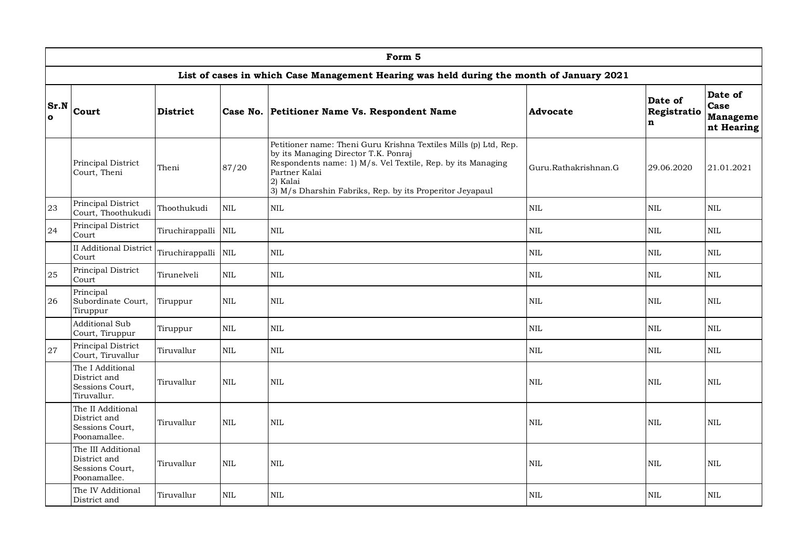|                      | Form 5                                                                                            |                 |            |                                                                                          |              |                             |                                                  |  |  |  |  |  |
|----------------------|---------------------------------------------------------------------------------------------------|-----------------|------------|------------------------------------------------------------------------------------------|--------------|-----------------------------|--------------------------------------------------|--|--|--|--|--|
|                      |                                                                                                   |                 |            | List of cases in which Case Management Hearing was held during the month of January 2021 |              |                             |                                                  |  |  |  |  |  |
| Sr.N<br>$\mathbf{o}$ | <b>Court</b>                                                                                      | <b>District</b> |            | Case No. Petitioner Name Vs. Respondent Name                                             | Advocate     | Date of<br>Registratio<br>n | Date of<br>Case<br><b>Manageme</b><br>nt Hearing |  |  |  |  |  |
|                      | Principal District<br>Court, Theni                                                                | Theni           | 87/20      | Guru.Rathakrishnan.G                                                                     | 29.06.2020   | 21.01.2021                  |                                                  |  |  |  |  |  |
| 23                   | Principal District<br>Thoothukudi<br>$\mbox{NIL}$<br>$\mbox{NIL}$<br>Court, Thoothukudi           |                 |            |                                                                                          | $\mbox{NIL}$ | $\mbox{NIL}$                | $\mbox{NIL}$                                     |  |  |  |  |  |
| 24                   | Principal District<br>Tiruchirappalli NIL<br>Court                                                |                 |            | <b>NIL</b>                                                                               | <b>NIL</b>   | <b>NIL</b>                  | <b>NIL</b>                                       |  |  |  |  |  |
|                      | <b>II</b> Additional District<br>Tiruchirappalli<br><b>NIL</b><br>$\mbox{NIL}$<br>Court           |                 |            | $\mbox{NIL}$                                                                             | $\mbox{NIL}$ | $\mbox{NIL}$                |                                                  |  |  |  |  |  |
| 25                   | Principal District<br>Court                                                                       | Tirunelveli     | <b>NIL</b> | <b>NIL</b>                                                                               | <b>NIL</b>   | <b>NIL</b>                  | <b>NIL</b>                                       |  |  |  |  |  |
| 26                   | Principal<br>Subordinate Court,<br>Tiruppur                                                       | Tiruppur        | <b>NIL</b> | $\mbox{NIL}$                                                                             | $\mbox{NIL}$ | <b>NIL</b>                  | <b>NIL</b>                                       |  |  |  |  |  |
|                      | <b>Additional Sub</b><br>Court, Tiruppur                                                          | Tiruppur        | <b>NIL</b> | <b>NIL</b>                                                                               | $\mbox{NIL}$ | <b>NIL</b>                  | <b>NIL</b>                                       |  |  |  |  |  |
| 27                   | Principal District<br>Court, Tiruvallur                                                           | Tiruvallur      | <b>NIL</b> | $\mbox{NIL}$                                                                             | <b>NIL</b>   | <b>NIL</b>                  | <b>NIL</b>                                       |  |  |  |  |  |
|                      | The I Additional<br>District and<br>Sessions Court,<br>Tiruvallur.                                | Tiruvallur      | <b>NIL</b> | $\mbox{NIL}$                                                                             | <b>NIL</b>   | <b>NIL</b>                  | <b>NIL</b>                                       |  |  |  |  |  |
|                      | The II Additional<br>District and<br><b>NIL</b><br>Tiruvallur<br>Sessions Court,<br>Poonamallee.  |                 |            | <b>NIL</b>                                                                               | $\mbox{NIL}$ | <b>NIL</b>                  | <b>NIL</b>                                       |  |  |  |  |  |
|                      | The III Additional<br>District and<br><b>NIL</b><br>Tiruvallur<br>Sessions Court,<br>Poonamallee. |                 |            | <b>NIL</b>                                                                               | <b>NIL</b>   | <b>NIL</b>                  | <b>NIL</b>                                       |  |  |  |  |  |
|                      | The IV Additional<br>District and                                                                 | Tiruvallur      | <b>NIL</b> | <b>NIL</b>                                                                               | <b>NIL</b>   | <b>NIL</b>                  | <b>NIL</b>                                       |  |  |  |  |  |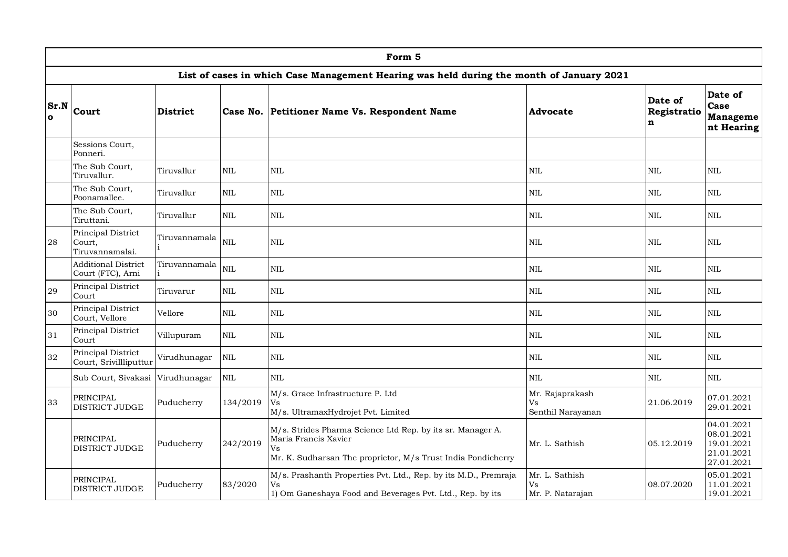|                      | Form 5                                                                                          |                 |                                    |                                                                                                                                                          |                                          |                             |                                                                    |  |  |  |  |  |
|----------------------|-------------------------------------------------------------------------------------------------|-----------------|------------------------------------|----------------------------------------------------------------------------------------------------------------------------------------------------------|------------------------------------------|-----------------------------|--------------------------------------------------------------------|--|--|--|--|--|
|                      |                                                                                                 |                 |                                    | List of cases in which Case Management Hearing was held during the month of January 2021                                                                 |                                          |                             |                                                                    |  |  |  |  |  |
| Sr.N<br>$\mathbf{o}$ | Court                                                                                           | <b>District</b> |                                    | Case No. Petitioner Name Vs. Respondent Name                                                                                                             | Advocate                                 | Date of<br>Registratio<br>n | Date of<br>Case<br><b>Manageme</b><br>nt Hearing                   |  |  |  |  |  |
|                      | Sessions Court,<br>Ponneri.                                                                     |                 |                                    |                                                                                                                                                          |                                          |                             |                                                                    |  |  |  |  |  |
|                      | The Sub Court,<br>Tiruvallur.                                                                   | Tiruvallur      | $\mbox{NIL}$                       | $\mbox{NIL}$                                                                                                                                             | $\mbox{NIL}$                             | $\mbox{NIL}$                | $\mbox{NIL}$                                                       |  |  |  |  |  |
|                      | The Sub Court,<br>Poonamallee.                                                                  | Tiruvallur      | <b>NIL</b>                         | <b>NIL</b>                                                                                                                                               | <b>NIL</b>                               | <b>NIL</b>                  | <b>NIL</b>                                                         |  |  |  |  |  |
|                      | The Sub Court,<br>Tiruttani.                                                                    | Tiruvallur      | $\textsc{NIL}$                     | $\mbox{NIL}$                                                                                                                                             | $\mbox{NIL}$                             | $\mbox{NIL}$                | $\mbox{NIL}$                                                       |  |  |  |  |  |
| 28                   | Principal District<br>Tiruvannamala<br><b>NIL</b><br>Court,<br>Tiruvannamalai.                  |                 |                                    | $\mbox{NIL}$                                                                                                                                             | $\mbox{NIL}$                             | $\mbox{NIL}$                | <b>NIL</b>                                                         |  |  |  |  |  |
|                      | <b>Additional District</b><br>Court (FTC), Arni                                                 | Tiruvannamala   | <b>NIL</b>                         | <b>NIL</b>                                                                                                                                               | $\mbox{NIL}$                             | <b>NIL</b>                  | <b>NIL</b>                                                         |  |  |  |  |  |
| 29                   | Principal District<br>Court                                                                     | Tiruvarur       | <b>NIL</b>                         | <b>NIL</b>                                                                                                                                               | $\mbox{NIL}$                             | $\mbox{NIL}$                | <b>NIL</b>                                                         |  |  |  |  |  |
| 30                   | Principal District<br>Court, Vellore                                                            | Vellore         | $\textsc{NIL}$                     | $\mbox{NIL}$                                                                                                                                             | $\mbox{NIL}$                             | $\mbox{NIL}$                | <b>NIL</b>                                                         |  |  |  |  |  |
| 31                   | Principal District<br>Court                                                                     | Villupuram      | <b>NIL</b>                         | <b>NIL</b>                                                                                                                                               | <b>NIL</b>                               | <b>NIL</b>                  | <b>NIL</b>                                                         |  |  |  |  |  |
| 32                   | Principal District<br>Court, Srivillliputtur                                                    | Virudhunagar    | NIL                                | <b>NIL</b>                                                                                                                                               | <b>NIL</b>                               | $\mbox{NIL}$                | <b>NIL</b>                                                         |  |  |  |  |  |
|                      | Sub Court, Sivakasi                                                                             | Virudhunagar    | NIL                                | NIL                                                                                                                                                      | $\mbox{NIL}$                             | $\mbox{NIL}$                | NIL                                                                |  |  |  |  |  |
| 33                   | M/s. Grace Infrastructure P. Ltd<br>PRINCIPAL<br>134/2019<br>Puducherry<br>Vs<br>DISTRICT JUDGE |                 | M/s. UltramaxHydrojet Pvt. Limited | Mr. Rajaprakash<br>Vs<br>Senthil Narayanan                                                                                                               | 21.06.2019                               | 07.01.2021<br>29.01.2021    |                                                                    |  |  |  |  |  |
|                      | <b>PRINCIPAL</b><br>DISTRICT JUDGE                                                              | Puducherry      | 242/2019                           | M/s. Strides Pharma Science Ltd Rep. by its sr. Manager A.<br>Maria Francis Xavier<br>Vs<br>Mr. K. Sudharsan The proprietor, M/s Trust India Pondicherry | Mr. L. Sathish                           | 05.12.2019                  | 04.01.2021<br>08.01.2021<br>19.01.2021<br>21.01.2021<br>27.01.2021 |  |  |  |  |  |
|                      | PRINCIPAL<br>83/2020<br>Puducherry<br>Vs<br>DISTRICT JUDGE                                      |                 |                                    | M/s. Prashanth Properties Pvt. Ltd., Rep. by its M.D., Premraja<br>1) Om Ganeshaya Food and Beverages Pvt. Ltd., Rep. by its                             | Mr. L. Sathish<br>Vs<br>Mr. P. Natarajan | 08.07.2020                  | 05.01.2021<br>11.01.2021<br>19.01.2021                             |  |  |  |  |  |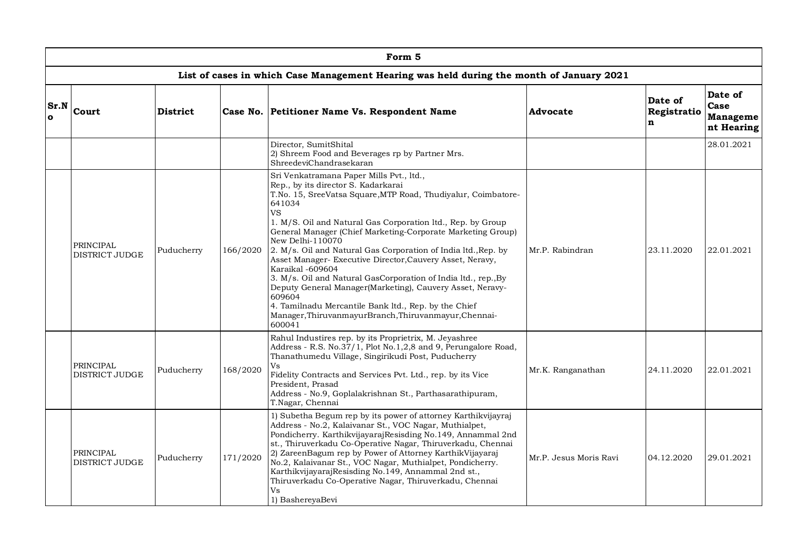|                  | Form 5                                                                                        |                 |          |                                                                                                                                                                                                                                                                                                                                                                                                                                                                                                                                                                                                                                                                                                                                                   |                        |                             |                                           |  |  |  |  |  |
|------------------|-----------------------------------------------------------------------------------------------|-----------------|----------|---------------------------------------------------------------------------------------------------------------------------------------------------------------------------------------------------------------------------------------------------------------------------------------------------------------------------------------------------------------------------------------------------------------------------------------------------------------------------------------------------------------------------------------------------------------------------------------------------------------------------------------------------------------------------------------------------------------------------------------------------|------------------------|-----------------------------|-------------------------------------------|--|--|--|--|--|
|                  |                                                                                               |                 |          | List of cases in which Case Management Hearing was held during the month of January 2021                                                                                                                                                                                                                                                                                                                                                                                                                                                                                                                                                                                                                                                          |                        |                             |                                           |  |  |  |  |  |
| Sr.N<br>$\Omega$ | Court                                                                                         | <b>District</b> |          | Case No. Petitioner Name Vs. Respondent Name                                                                                                                                                                                                                                                                                                                                                                                                                                                                                                                                                                                                                                                                                                      | <b>Advocate</b>        | Date of<br>Registratio<br>n | Date of<br>Case<br>Manageme<br>nt Hearing |  |  |  |  |  |
|                  |                                                                                               |                 |          | Director, SumitShital<br>2) Shreem Food and Beverages rp by Partner Mrs.<br>ShreedeviChandrasekaran                                                                                                                                                                                                                                                                                                                                                                                                                                                                                                                                                                                                                                               |                        |                             | 28.01.2021                                |  |  |  |  |  |
|                  | PRINCIPAL<br>Puducherry<br>DISTRICT JUDGE                                                     |                 | 166/2020 | Sri Venkatramana Paper Mills Pvt., ltd.,<br>Rep., by its director S. Kadarkarai<br>T.No. 15, SreeVatsa Square, MTP Road, Thudiyalur, Coimbatore-<br>641034<br><b>VS</b><br>1. M/S. Oil and Natural Gas Corporation ltd., Rep. by Group<br>General Manager (Chief Marketing-Corporate Marketing Group)<br>New Delhi-110070<br>2. M/s. Oil and Natural Gas Corporation of India ltd., Rep. by<br>Asset Manager- Executive Director, Cauvery Asset, Neravy,<br>Karaikal -609604<br>3. M/s. Oil and Natural GasCorporation of India ltd., rep., By<br>Deputy General Manager(Marketing), Cauvery Asset, Neravy-<br>609604<br>4. Tamilnadu Mercantile Bank ltd., Rep. by the Chief<br>Manager, Thiruvanmayur Branch, Thiruvanmayur, Chennai-<br>600041 | Mr.P. Rabindran        | 23.11.2020                  | 22.01.2021                                |  |  |  |  |  |
|                  | PRINCIPAL<br>Puducherry<br><b>DISTRICT JUDGE</b><br>PRINCIPAL<br>Puducherry<br>DISTRICT JUDGE |                 | 168/2020 | Rahul Industires rep. by its Proprietrix, M. Jeyashree<br>Address - R.S. No.37/1, Plot No.1,2,8 and 9, Perungalore Road,<br>Thanathumedu Village, Singirikudi Post, Puducherry<br>Vs<br>Fidelity Contracts and Services Pvt. Ltd., rep. by its Vice<br>President, Prasad<br>Address - No.9, Goplalakrishnan St., Parthasarathipuram,<br>T.Nagar, Chennai                                                                                                                                                                                                                                                                                                                                                                                          | Mr.K. Ranganathan      | 24.11.2020                  | 22.01.2021                                |  |  |  |  |  |
|                  |                                                                                               |                 | 171/2020 | 1) Subetha Begum rep by its power of attorney Karthikvijayraj<br>Address - No.2, Kalaivanar St., VOC Nagar, Muthialpet,<br>Pondicherry. KarthikvijayarajResisding No.149, Annammal 2nd<br>st., Thiruverkadu Co-Operative Nagar, Thiruverkadu, Chennai<br>2) ZareenBagum rep by Power of Attorney KarthikVijayaraj<br>No.2, Kalaivanar St., VOC Nagar, Muthialpet, Pondicherry.<br>KarthikvijayarajResisding No.149, Annammal 2nd st.,<br>Thiruverkadu Co-Operative Nagar, Thiruverkadu, Chennai<br>Vs<br>1) BashereyaBevi                                                                                                                                                                                                                         | Mr.P. Jesus Moris Ravi | 04.12.2020                  | 29.01.2021                                |  |  |  |  |  |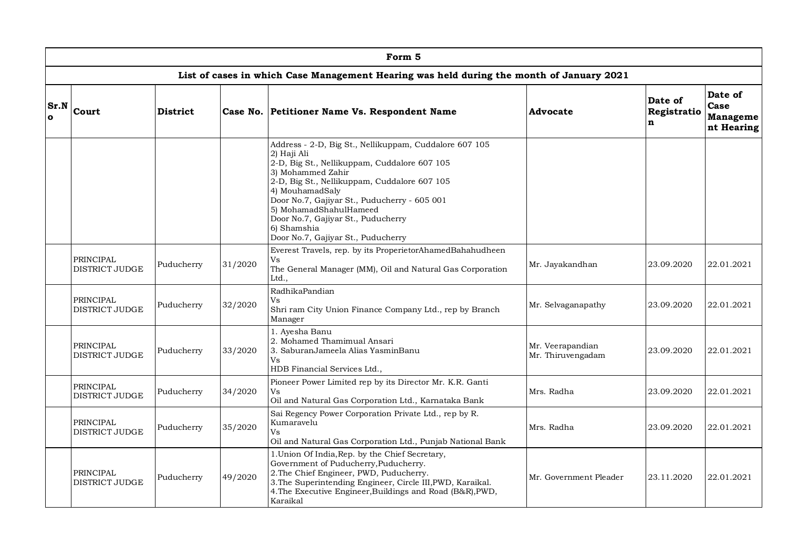|                      | Form 5                                                      |                 |         |                                                                                                                                                                                                                                                                                                                                                                                    |                                       |                             |                                           |  |  |  |  |  |
|----------------------|-------------------------------------------------------------|-----------------|---------|------------------------------------------------------------------------------------------------------------------------------------------------------------------------------------------------------------------------------------------------------------------------------------------------------------------------------------------------------------------------------------|---------------------------------------|-----------------------------|-------------------------------------------|--|--|--|--|--|
|                      |                                                             |                 |         | List of cases in which Case Management Hearing was held during the month of January 2021                                                                                                                                                                                                                                                                                           |                                       |                             |                                           |  |  |  |  |  |
| Sr.N<br>$\mathbf{o}$ | Court                                                       | <b>District</b> |         | Case No. Petitioner Name Vs. Respondent Name                                                                                                                                                                                                                                                                                                                                       | Advocate                              | Date of<br>Registratio<br>n | Date of<br>Case<br>Manageme<br>nt Hearing |  |  |  |  |  |
|                      |                                                             |                 |         | Address - 2-D, Big St., Nellikuppam, Cuddalore 607 105<br>2) Haji Ali<br>2-D, Big St., Nellikuppam, Cuddalore 607 105<br>3) Mohammed Zahir<br>2-D, Big St., Nellikuppam, Cuddalore 607 105<br>4) MouhamadSaly<br>Door No.7, Gajiyar St., Puducherry - 605 001<br>5) MohamadShahulHameed<br>Door No.7, Gajiyar St., Puducherry<br>6) Shamshia<br>Door No.7, Gajiyar St., Puducherry |                                       |                             |                                           |  |  |  |  |  |
|                      | <b>PRINCIPAL</b><br>DISTRICT JUDGE                          | Puducherry      | 31/2020 | Everest Travels, rep. by its ProperietorAhamedBahahudheen<br>Vs<br>The General Manager (MM), Oil and Natural Gas Corporation<br>Ltd.,                                                                                                                                                                                                                                              | Mr. Jayakandhan                       | 23.09.2020                  | 22.01.2021                                |  |  |  |  |  |
|                      | PRINCIPAL<br>DISTRICT JUDGE                                 | Puducherry      | 32/2020 | RadhikaPandian<br>Vs<br>Shri ram City Union Finance Company Ltd., rep by Branch<br>Manager                                                                                                                                                                                                                                                                                         | Mr. Selvaganapathy                    | 23.09.2020                  | 22.01.2021                                |  |  |  |  |  |
|                      | PRINCIPAL<br>DISTRICT JUDGE                                 | Puducherry      | 33/2020 | 1. Ayesha Banu<br>2. Mohamed Thamimual Ansari<br>3. SaburanJameela Alias YasminBanu<br>Vs<br>HDB Financial Services Ltd.,                                                                                                                                                                                                                                                          | Mr. Veerapandian<br>Mr. Thiruvengadam | 23.09.2020                  | 22.01.2021                                |  |  |  |  |  |
|                      | <b>PRINCIPAL</b><br>DISTRICT JUDGE                          | Puducherry      | 34/2020 | Pioneer Power Limited rep by its Director Mr. K.R. Ganti<br>Vs<br>Oil and Natural Gas Corporation Ltd., Karnataka Bank                                                                                                                                                                                                                                                             | Mrs. Radha                            | 23.09.2020                  | 22.01.2021                                |  |  |  |  |  |
|                      | PRINCIPAL<br>DISTRICT JUDGE                                 | Puducherry      | 35/2020 | Sai Regency Power Corporation Private Ltd., rep by R.<br>Kumaravelu<br>Vs<br>Oil and Natural Gas Corporation Ltd., Punjab National Bank                                                                                                                                                                                                                                            | Mrs. Radha                            | 23.09.2020                  | 22.01.2021                                |  |  |  |  |  |
|                      | PRINCIPAL<br>49/2020<br>Puducherry<br><b>DISTRICT JUDGE</b> |                 |         | 1. Union Of India, Rep. by the Chief Secretary,<br>Government of Puducherry, Puducherry.<br>2. The Chief Engineer, PWD, Puducherry.<br>3. The Superintending Engineer, Circle III, PWD, Karaikal.<br>4. The Executive Engineer, Buildings and Road (B&R), PWD,<br>Karaikal                                                                                                         | Mr. Government Pleader                | 23.11.2020                  | 22.01.2021                                |  |  |  |  |  |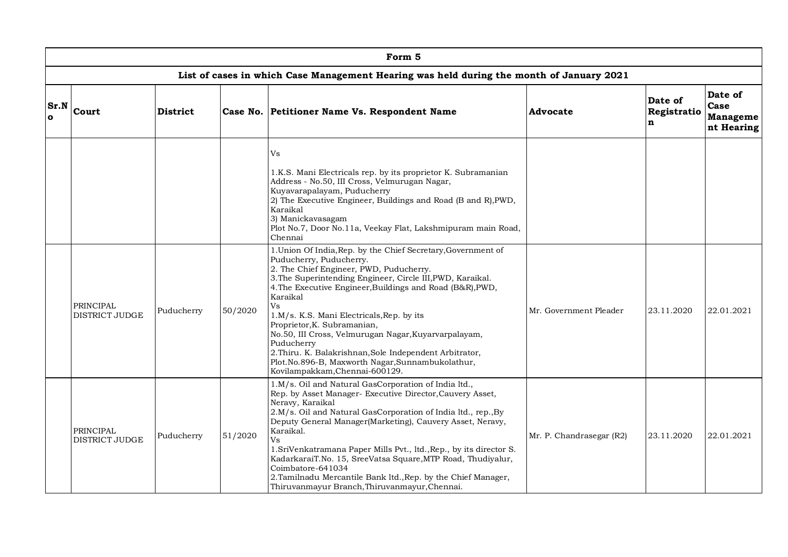|                      |                                                                                          |                       |                                              | Form 5                                                                                                                                                                                                                                                                                                                                                                                                                                                                                                                                                                              |                          |                             |                                           |  |  |  |  |  |
|----------------------|------------------------------------------------------------------------------------------|-----------------------|----------------------------------------------|-------------------------------------------------------------------------------------------------------------------------------------------------------------------------------------------------------------------------------------------------------------------------------------------------------------------------------------------------------------------------------------------------------------------------------------------------------------------------------------------------------------------------------------------------------------------------------------|--------------------------|-----------------------------|-------------------------------------------|--|--|--|--|--|
|                      | List of cases in which Case Management Hearing was held during the month of January 2021 |                       |                                              |                                                                                                                                                                                                                                                                                                                                                                                                                                                                                                                                                                                     |                          |                             |                                           |  |  |  |  |  |
| Sr.N<br>$\mathbf{o}$ | Court                                                                                    | <b>District</b>       | Case No. Petitioner Name Vs. Respondent Name |                                                                                                                                                                                                                                                                                                                                                                                                                                                                                                                                                                                     | <b>Advocate</b>          | Date of<br>Registratio<br>n | Date of<br>Case<br>Manageme<br>nt Hearing |  |  |  |  |  |
|                      |                                                                                          |                       |                                              | Vs<br>1.K.S. Mani Electricals rep. by its proprietor K. Subramanian<br>Address - No.50, III Cross, Velmurugan Nagar,<br>Kuyavarapalayam, Puducherry<br>2) The Executive Engineer, Buildings and Road (B and R), PWD,<br>Karaikal<br>3) Manickavasagam<br>Plot No.7, Door No.11a, Veekay Flat, Lakshmipuram main Road,<br>Chennai                                                                                                                                                                                                                                                    |                          |                             |                                           |  |  |  |  |  |
|                      | <b>PRINCIPAL</b><br>DISTRICT JUDGE                                                       | Puducherry<br>50/2020 |                                              | 1. Union Of India, Rep. by the Chief Secretary, Government of<br>Puducherry, Puducherry.<br>2. The Chief Engineer, PWD, Puducherry.<br>3. The Superintending Engineer, Circle III, PWD, Karaikal.<br>4. The Executive Engineer, Buildings and Road (B&R), PWD,<br>Karaikal<br>Vs<br>1.M/s. K.S. Mani Electricals, Rep. by its<br>Proprietor, K. Subramanian,<br>No.50, III Cross, Velmurugan Nagar, Kuyarvarpalayam,<br>Puducherry<br>2. Thiru. K. Balakrishnan, Sole Independent Arbitrator,<br>Plot.No.896-B, Maxworth Nagar, Sunnambukolathur,<br>Kovilampakkam, Chennai-600129. | Mr. Government Pleader   | 23.11.2020                  | 22.01.2021                                |  |  |  |  |  |
|                      | PRINCIPAL<br>DISTRICT JUDGE                                                              | Puducherry            | 51/2020                                      | 1.M/s. Oil and Natural GasCorporation of India ltd.,<br>Rep. by Asset Manager- Executive Director, Cauvery Asset,<br>Neravy, Karaikal<br>2.M/s. Oil and Natural GasCorporation of India ltd., rep., By<br>Deputy General Manager(Marketing), Cauvery Asset, Neravy,<br>Karaikal.<br>Vs<br>1.SriVenkatramana Paper Mills Pvt., ltd., Rep., by its director S.<br>KadarkaraiT.No. 15, SreeVatsa Square, MTP Road, Thudiyalur,<br>Coimbatore-641034<br>2. Tamilnadu Mercantile Bank ltd., Rep. by the Chief Manager,<br>Thiruvanmayur Branch, Thiruvanmayur, Chennai.                  | Mr. P. Chandrasegar (R2) | 23.11.2020                  | 22.01.2021                                |  |  |  |  |  |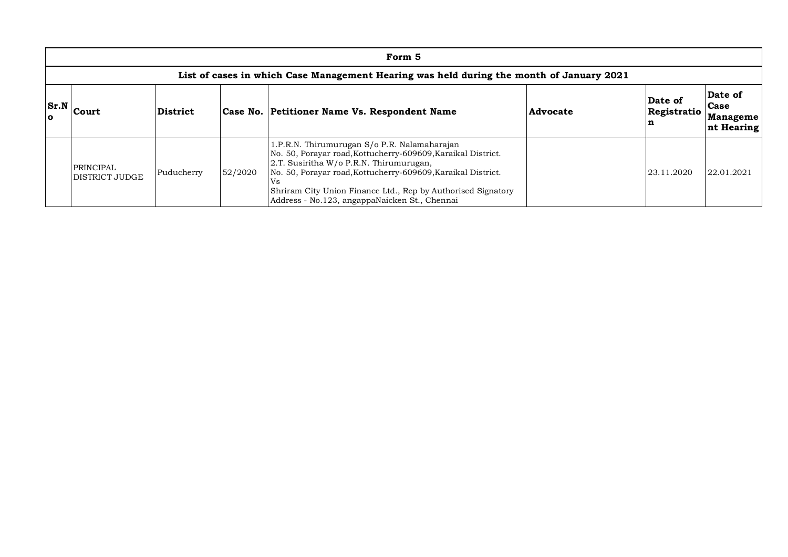|                      | Form 5                                                                                   |          |  |                                                                                                                                                                                                                                                                                                                                                |          |                        |                                                  |  |  |  |  |  |
|----------------------|------------------------------------------------------------------------------------------|----------|--|------------------------------------------------------------------------------------------------------------------------------------------------------------------------------------------------------------------------------------------------------------------------------------------------------------------------------------------------|----------|------------------------|--------------------------------------------------|--|--|--|--|--|
|                      | List of cases in which Case Management Hearing was held during the month of January 2021 |          |  |                                                                                                                                                                                                                                                                                                                                                |          |                        |                                                  |  |  |  |  |  |
| Sr.N<br>$\mathbf{o}$ | Court                                                                                    | District |  | Case No. Petitioner Name Vs. Respondent Name                                                                                                                                                                                                                                                                                                   | Advocate | Date of<br>Registratio | Date of<br><b>Case</b><br>Manageme<br>nt Hearing |  |  |  |  |  |
|                      | PRINCIPAL<br>52/2020<br>Puducherry<br>DISTRICT JUDGE                                     |          |  | 1.P.R.N. Thirumurugan S/o P.R. Nalamaharajan<br>No. 50, Porayar road, Kottucherry-609609, Karaikal District.<br>2.T. Susiritha W/o P.R.N. Thirumurugan,<br>No. 50, Porayar road, Kottucherry-609609, Karaikal District.<br>Vs<br>Shriram City Union Finance Ltd., Rep by Authorised Signatory<br>Address - No.123, angappaNaicken St., Chennai |          | 23.11.2020             | 22.01.2021                                       |  |  |  |  |  |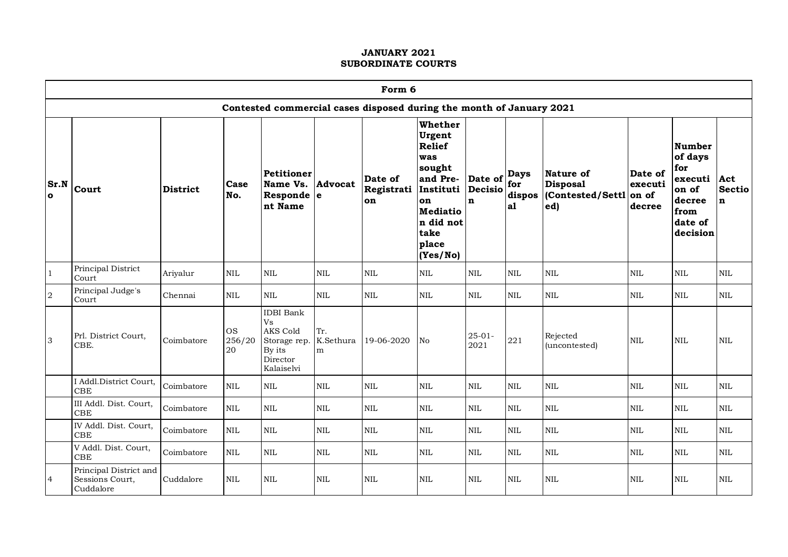|                      | Form 6                                                               |                 |                           |                                                                                        |                       |                             |                                                                                                                                                 |                                   |                                    |                                                              |                              |                                                                                              |                                     |
|----------------------|----------------------------------------------------------------------|-----------------|---------------------------|----------------------------------------------------------------------------------------|-----------------------|-----------------------------|-------------------------------------------------------------------------------------------------------------------------------------------------|-----------------------------------|------------------------------------|--------------------------------------------------------------|------------------------------|----------------------------------------------------------------------------------------------|-------------------------------------|
|                      | Contested commercial cases disposed during the month of January 2021 |                 |                           |                                                                                        |                       |                             |                                                                                                                                                 |                                   |                                    |                                                              |                              |                                                                                              |                                     |
| Sr.N<br>$\mathbf{o}$ | Court                                                                | <b>District</b> | Case<br>No.               | Petitioner<br>Name Vs.<br>Responde e<br>nt Name                                        | <b>Advocat</b>        | Date of<br>Registrati<br>on | Whether<br>Urgent<br><b>Relief</b><br>was<br>sought<br>and Pre-<br>Instituti<br>on<br><b>Mediatio</b><br>n did not<br>take<br>place<br>(Yes/No) | Date of<br>Decisio<br>$\mathbf n$ | <b>Days</b><br>for<br>dispos<br>a1 | Nature of<br><b>Disposal</b><br>Contested/Settl on of<br>ed) | Date of<br>executi<br>decree | <b>Number</b><br>of days<br>for<br>executi<br>on of<br>decree<br>from<br>date of<br>decision | Act<br><b>Sectio</b><br>$\mathbf n$ |
| $\mathbf{1}$         | Principal District<br>Court                                          | Ariyalur        | <b>NIL</b>                | <b>NIL</b>                                                                             | $\mbox{NIL}$          | $\mbox{NIL}$                | $\mbox{NIL}$                                                                                                                                    | <b>NIL</b>                        | <b>NIL</b>                         | NIL                                                          | NIL                          | $\mbox{NIL}$                                                                                 | $\mbox{NIL}$                        |
| $\,2$                | Principal Judge's<br>Court                                           | Chennai         | $\mbox{NIL}$              | $\mbox{NIL}$                                                                           | $\mbox{NIL}$          | $\mbox{NIL}$                | $\rm NIL$                                                                                                                                       | <b>NIL</b>                        | $\text{NIL}$                       | $\mbox{NIL}$                                                 | $\rm NIL$                    | <b>NIL</b>                                                                                   | NIL                                 |
| 3                    | Prl. District Court,<br>CBE.                                         | Coimbatore      | <b>OS</b><br>256/20<br>20 | <b>IDBI</b> Bank<br>Vs<br>AKS Cold<br>Storage rep.<br>By its<br>Director<br>Kalaiselvi | Tr.<br>K.Sethura<br>m | 19-06-2020                  | No                                                                                                                                              | $25 - 01 -$<br>2021               | 221                                | Rejected<br>(uncontested)                                    | <b>NIL</b>                   | <b>NIL</b>                                                                                   | <b>NIL</b>                          |
|                      | I Addl.District Court,<br>CBE                                        | Coimbatore      | $\text{NIL}$              | <b>NIL</b>                                                                             | $\mbox{NIL}$          | $\mbox{NIL}$                | $\rm NIL$                                                                                                                                       | <b>NIL</b>                        | $\rm NIL$                          | <b>NIL</b>                                                   | $\rm NIL$                    | <b>NIL</b>                                                                                   | NIL                                 |
|                      | III Addl. Dist. Court,<br>CBE                                        | Coimbatore      | $\text{NIL}$              | $\mbox{NIL}$                                                                           | $\mbox{NIL}$          | $\mbox{NIL}$                | <b>NIL</b>                                                                                                                                      | <b>NIL</b>                        | <b>NIL</b>                         | <b>NIL</b>                                                   | <b>NIL</b>                   | <b>NIL</b>                                                                                   | $\mbox{NIL}$                        |
|                      | IV Addl. Dist. Court,<br>CBE                                         | Coimbatore      | $\mbox{NIL}$              | $\mbox{NIL}$                                                                           | $\rm NIL$             | $\mbox{NIL}$                | $\rm NIL$                                                                                                                                       | $\mbox{NIL}$                      | $\rm NIL$                          | $\mbox{NIL}$                                                 | $\rm NIL$                    | $\rm NIL$                                                                                    | $\mbox{NIL}$                        |
|                      | V Addl. Dist. Court,<br>CBE                                          | Coimbatore      | $\mbox{NIL}$              | <b>NIL</b>                                                                             | <b>NIL</b>            | $\mbox{NIL}$                | $\rm NIL$                                                                                                                                       | <b>NIL</b>                        | <b>NIL</b>                         | <b>NIL</b>                                                   | <b>NIL</b>                   | <b>NIL</b>                                                                                   | <b>NIL</b>                          |
| 4                    | Principal District and<br>Sessions Court,<br>Cuddalore               | Cuddalore       | $\mbox{NIL}$              | NIL                                                                                    | <b>NIL</b>            | <b>NIL</b>                  | <b>NIL</b>                                                                                                                                      | <b>NIL</b>                        | $\text{NIL}$                       | $\mbox{NIL}$                                                 | <b>NIL</b>                   | <b>NIL</b>                                                                                   | $\mbox{NIL}$                        |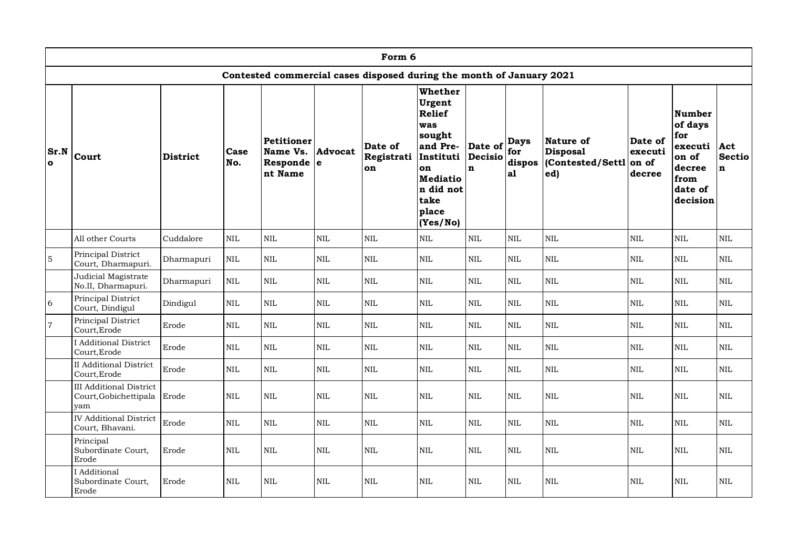|                      | Form 6                                                         |                 |              |                                                 |                |                                                                      |                                                                                                                                                 |                                   |                                    |                                                        |                                       |                                                                                       |                              |
|----------------------|----------------------------------------------------------------|-----------------|--------------|-------------------------------------------------|----------------|----------------------------------------------------------------------|-------------------------------------------------------------------------------------------------------------------------------------------------|-----------------------------------|------------------------------------|--------------------------------------------------------|---------------------------------------|---------------------------------------------------------------------------------------|------------------------------|
|                      |                                                                |                 |              |                                                 |                | Contested commercial cases disposed during the month of January 2021 |                                                                                                                                                 |                                   |                                    |                                                        |                                       |                                                                                       |                              |
| Sr.N<br>$\mathbf{o}$ | Court                                                          | <b>District</b> | Case<br>No.  | Petitioner<br>Name Vs.<br>Responde e<br>nt Name | Advocat        | Date of<br>Registrati<br>on                                          | Whether<br>Urgent<br><b>Relief</b><br>was<br>sought<br>and Pre-<br>Instituti<br>on<br><b>Mediatio</b><br>n did not<br>take<br>place<br>(Yes/No) | Date of<br>Decisio<br>$\mathbf n$ | <b>Days</b><br>for<br>dispos<br>a1 | Nature of<br><b>Disposal</b><br>Contested/Settl<br>ed) | Date of<br>executi<br>on of<br>decree | Number<br>of days<br>for<br>executi<br>on of<br>decree<br>from<br>date of<br>decision | Act<br>Sectio<br>$\mathbf n$ |
|                      | All other Courts                                               | Cuddalore       | $\mbox{NIL}$ | $\mbox{NIL}$                                    | $\mbox{NIL}$   | $\mbox{NIL}$                                                         | $\mbox{NIL}$                                                                                                                                    | <b>NIL</b>                        | $\mbox{NIL}$                       | $\text{NIL}$                                           | $\mbox{NIL}$                          | $\mbox{NIL}$                                                                          | $\mbox{NIL}$                 |
| $\mathbf 5$          | Principal District<br>Court, Dharmapuri.                       | Dharmapuri      | $\mbox{NIL}$ | $\mbox{NIL}$                                    | $\mbox{NIL}$   | $\mbox{NIL}$                                                         | $\mbox{NIL}$                                                                                                                                    | $\mbox{NIL}$                      | $\mbox{NIL}$                       | $\mbox{NIL}$                                           | $\mbox{NIL}$                          | $\rm NIL$                                                                             | $\mbox{NIL}$                 |
|                      | Judicial Magistrate<br>No.II, Dharmapuri.                      | Dharmapuri      | <b>NIL</b>   | $\mbox{NIL}$                                    | $\mbox{NIL}$   | NIL                                                                  | <b>NIL</b>                                                                                                                                      | <b>NIL</b>                        | $\text{NIL}$                       | NIL                                                    | <b>NIL</b>                            | $\rm NIL$                                                                             | <b>NIL</b>                   |
| $\sqrt{6}$           | Principal District<br>Court, Dindigul                          | Dindigul        | <b>NIL</b>   | $\mbox{NIL}$                                    | $\mbox{NIL}$   | $\mbox{NIL}$                                                         | NIL                                                                                                                                             | $\mbox{NIL}$                      | <b>NIL</b>                         | $\textsc{NIL}$                                         | NIL                                   | $\mbox{NIL}$                                                                          | $\mbox{NIL}$                 |
| $\,7$                | Principal District<br>Court, Erode                             | Erode           | <b>NIL</b>   | $\rm NIL$                                       | $\mbox{NIL}$   | NIL                                                                  | $\rm NIL$                                                                                                                                       | $\mbox{NIL}$                      | $\rm NIL$                          | $\text{NIL}$                                           | $\rm NIL$                             | $\rm NIL$                                                                             | $\mbox{NIL}$                 |
|                      | I Additional District<br>Court, Erode                          | Erode           | $\mbox{NIL}$ | $\text{NIL}$                                    | <b>NIL</b>     | NIL                                                                  | <b>NIL</b>                                                                                                                                      | $\mbox{NIL}$                      | <b>NIL</b>                         | NIL                                                    | <b>NIL</b>                            | $\rm NIL$                                                                             | <b>NIL</b>                   |
|                      | <b>II</b> Additional District<br>Court, Erode                  | Erode           | $\mbox{NIL}$ | $\mbox{NIL}$                                    | $\mbox{NIL}$   | $\mbox{NIL}$                                                         | $\mbox{NIL}$                                                                                                                                    | $\mbox{NIL}$                      | $\mbox{NIL}$                       | $\textsc{NIL}$                                         | NIL                                   | $\rm NIL$                                                                             | $\mbox{NIL}$                 |
|                      | <b>III</b> Additional District<br>Court, Gobichettipala<br>vam | Erode           | <b>NIL</b>   | $\rm NIL$                                       | $\mbox{NIL}$   | $\mbox{NIL}$                                                         | $\rm NIL$                                                                                                                                       | <b>NIL</b>                        | $\rm NIL$                          | $\mbox{NIL}$                                           | $\rm NIL$                             | $\rm NIL$                                                                             | <b>NIL</b>                   |
|                      | <b>IV Additional District</b><br>Court, Bhavani.               | Erode           | <b>NIL</b>   | $\mbox{NIL}$                                    | $\textsc{NIL}$ | NIL                                                                  | $\mbox{NIL}$                                                                                                                                    | $\textsc{NIL}$                    | $\text{NIL}$                       | <b>NIL</b>                                             | $\mbox{NIL}$                          | $\rm NIL$                                                                             | $\mbox{NIL}$                 |
|                      | Principal<br>Subordinate Court,<br>Erode                       | Erode           | <b>NIL</b>   | $\mbox{NIL}$                                    | <b>NIL</b>     | $\mbox{NIL}$                                                         | NIL                                                                                                                                             | <b>NIL</b>                        | $\mbox{NIL}$                       | $\mbox{NIL}$                                           | NIL                                   | $\mbox{NIL}$                                                                          | $\mbox{NIL}$                 |
|                      | I Additional<br>Subordinate Court.<br>Erode                    | Erode           | <b>NIL</b>   | <b>NIL</b>                                      | <b>NIL</b>     | <b>NIL</b>                                                           | NIL                                                                                                                                             | <b>NIL</b>                        | <b>NIL</b>                         | <b>NIL</b>                                             | NIL                                   | NIL                                                                                   | <b>NIL</b>                   |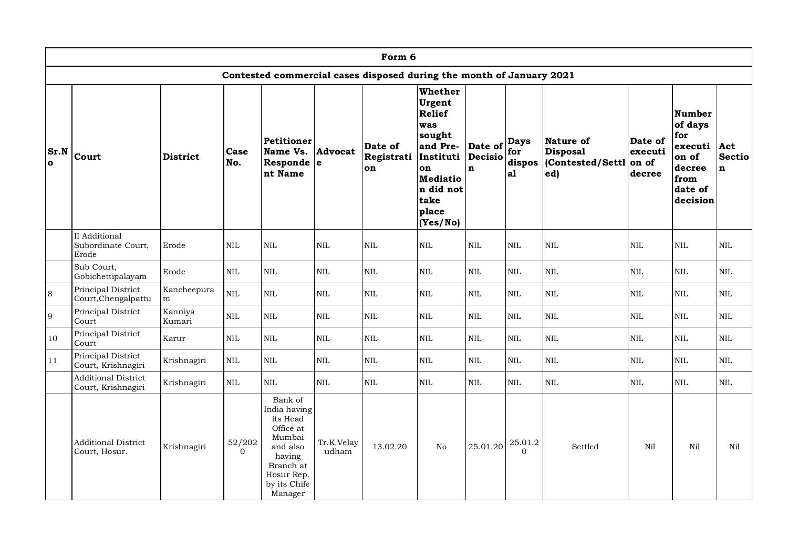|                  |                                                  |                   |                    |                                                                                                                                        |                     | Form 6                                                               |                                                                                                                                                 |                                    |                                     |                                                        |                                       |                                                                                                    |                              |
|------------------|--------------------------------------------------|-------------------|--------------------|----------------------------------------------------------------------------------------------------------------------------------------|---------------------|----------------------------------------------------------------------|-------------------------------------------------------------------------------------------------------------------------------------------------|------------------------------------|-------------------------------------|--------------------------------------------------------|---------------------------------------|----------------------------------------------------------------------------------------------------|------------------------------|
|                  |                                                  |                   |                    |                                                                                                                                        |                     | Contested commercial cases disposed during the month of January 2021 |                                                                                                                                                 |                                    |                                     |                                                        |                                       |                                                                                                    |                              |
| Sr.N<br>$\Omega$ | Court                                            | <b>District</b>   | Case<br>No.        | Petitioner<br>Name Vs.<br>Responde $ e $<br>nt Name                                                                                    | Advocat             | Date of<br>Registrati<br>on                                          | Whether<br>Urgent<br><b>Relief</b><br>was<br>sought<br>and Pre-<br>Instituti<br>on<br><b>Mediatio</b><br>n did not<br>take<br>place<br>(Yes/No) | Date of<br>Decisio<br>$\mathbf{n}$ | <b>Days</b><br>for<br>dispos<br> a1 | Nature of<br><b>Disposal</b><br>Contested/Settl<br>ed) | Date of<br>executi<br>on of<br>decree | <b>Number</b><br>of days<br>for<br>$executi$ Act<br>on of<br>decree<br>from<br>date of<br>decision | <b>Sectio</b><br>$\mathbf n$ |
|                  | II Additional<br>Subordinate Court,<br>Erode     | Erode             | $\mbox{NIL}$       | NIL                                                                                                                                    | $\mbox{NIL}$        | $\mbox{NIL}$                                                         | $\mbox{NIL}$                                                                                                                                    | $\mbox{NIL}$                       | $\mbox{NIL}$                        | $\mbox{NIL}$                                           | $\mbox{NIL}$                          | $\mbox{NIL}$                                                                                       | $\mbox{NIL}$                 |
|                  | Sub Court,<br>Gobichettipalayam                  | Erode             | <b>NIL</b>         | NIL                                                                                                                                    | $\mbox{NIL}$        | $\mbox{NIL}$                                                         | $\mbox{NIL}$                                                                                                                                    | $\mbox{NIL}$                       | <b>NIL</b>                          | <b>NIL</b>                                             | <b>NIL</b>                            | $\mbox{NIL}$                                                                                       | <b>NIL</b>                   |
| $\,8\,$          | Principal District<br>Court, Chengalpattu        | Kancheepura<br>m  | <b>NIL</b>         | $\mbox{NIL}$                                                                                                                           | $\rm NIL$           | $\mbox{NIL}$                                                         | $\mbox{NIL}$                                                                                                                                    | <b>NIL</b>                         | <b>NIL</b>                          | $\mbox{NIL}$                                           | $\mbox{NIL}$                          | $\mbox{NIL}$                                                                                       | <b>NIL</b>                   |
| 9                | Principal District<br>Court                      | Kanniya<br>Kumari | $\mbox{NIL}$       | $\mbox{NIL}$                                                                                                                           | $\mbox{NIL}$        | <b>NIL</b>                                                           | $\mbox{NIL}$                                                                                                                                    | $\mbox{NIL}$                       | $\rm NIL$                           | $\mbox{NIL}$                                           | $\mbox{NIL}$                          | $\mbox{NIL}$                                                                                       | $\mbox{NIL}$                 |
| 10               | Principal District<br>Court                      | Karur             | $\mbox{NIL}$       | $\mbox{NIL}$                                                                                                                           | $\mbox{NIL}$        | <b>NIL</b>                                                           | $\mbox{NIL}$                                                                                                                                    | $\mbox{NIL}$                       | <b>NIL</b>                          | <b>NIL</b>                                             | $\mbox{NIL}$                          | $\mbox{NIL}$                                                                                       | <b>NIL</b>                   |
| $1\,1$           | Principal District<br>Court, Krishnagiri         | Krishnagiri       | <b>NIL</b>         | $\mbox{NIL}$                                                                                                                           | NIL                 | $\mbox{NIL}$                                                         | $\mbox{NIL}$                                                                                                                                    | $\mbox{NIL}$                       | $\mbox{NIL}$                        | $\mbox{NIL}$                                           | $\mbox{NIL}$                          | $\mbox{NIL}$                                                                                       | $\mbox{NIL}$                 |
|                  | <b>Additional District</b><br>Court, Krishnagiri | Krishnagiri       | $\mbox{NIL}$       | <b>NIL</b>                                                                                                                             | NIL                 | <b>NIL</b>                                                           | $\mbox{NIL}$                                                                                                                                    | $\mbox{NIL}$                       | $\mbox{NIL}$                        | $\mbox{NIL}$                                           | $\mbox{NIL}$                          | $\mbox{NIL}$                                                                                       | $\mbox{NIL}$                 |
|                  | <b>Additional District</b><br>Court, Hosur.      | Krishnagiri       | 52/202<br>$\Omega$ | Bank of<br>India having<br>its Head<br>Office at<br>Mumbai<br>and also<br>having<br>Branch at<br>Hosur Rep.<br>by its Chife<br>Manager | Tr.K.Velay<br>udham | 13.02.20                                                             | N <sub>o</sub>                                                                                                                                  | 25.01.20                           | 25.01.2<br>$\Omega$                 | Settled                                                | Nil                                   | Nil                                                                                                | Nil                          |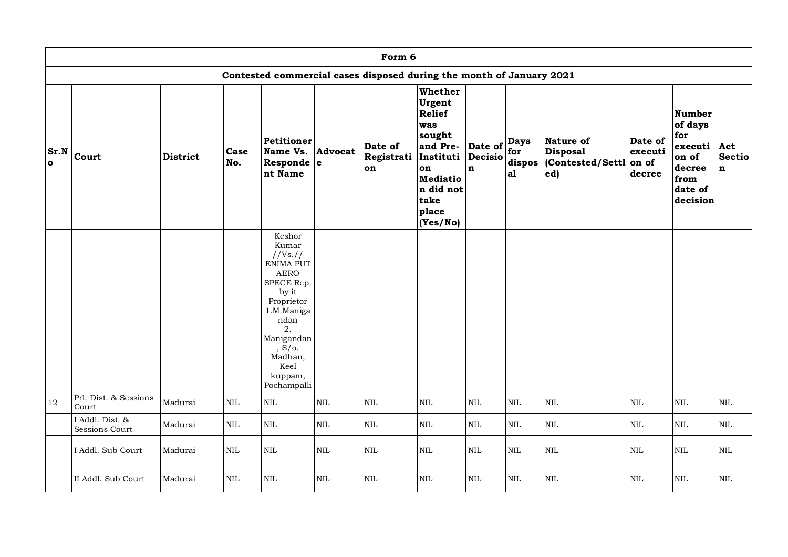|                      | Form 6                            |          |              |                                                                                                                                                                                                |                |                                                                      |                                                                                                                                   |                                   |                                    |                                                        |                                       |                                                                                              |                                     |
|----------------------|-----------------------------------|----------|--------------|------------------------------------------------------------------------------------------------------------------------------------------------------------------------------------------------|----------------|----------------------------------------------------------------------|-----------------------------------------------------------------------------------------------------------------------------------|-----------------------------------|------------------------------------|--------------------------------------------------------|---------------------------------------|----------------------------------------------------------------------------------------------|-------------------------------------|
|                      |                                   |          |              |                                                                                                                                                                                                |                | Contested commercial cases disposed during the month of January 2021 |                                                                                                                                   |                                   |                                    |                                                        |                                       |                                                                                              |                                     |
| Sr.N<br>$\mathbf{o}$ | Court                             | District | Case<br>No.  | Petitioner<br>Name Vs.<br>Responde $ e $<br>nt Name                                                                                                                                            | <b>Advocat</b> | Date of<br>Registrati<br>on                                          | Whether<br>Urgent<br>Relief<br>was<br>sought<br>and Pre-<br>Instituti<br>on<br>Mediatio<br>n did not<br>take<br>place<br>(Yes/No) | Date of<br>Decisio<br>$\mathbf n$ | <b>Days</b><br>for<br>dispos<br>a1 | Nature of<br><b>Disposal</b><br>Contested/Settl<br>ed) | Date of<br>executi<br>on of<br>decree | <b>Number</b><br>of days<br>for<br>executi<br>on of<br>decree<br>from<br>date of<br>decision | Act<br><b>Sectio</b><br>$\mathbf n$ |
|                      |                                   |          |              | Keshor<br>Kumar<br>//Vs. //<br>ENIMA PUT<br><b>AERO</b><br>SPECE Rep.<br>by it<br>Proprietor<br>1.M.Maniga<br>ndan<br>2.<br>Manigandan<br>$S/O$ .<br>Madhan,<br>Keel<br>kuppam,<br>Pochampalli |                |                                                                      |                                                                                                                                   |                                   |                                    |                                                        |                                       |                                                                                              |                                     |
| 12                   | Prl. Dist. & Sessions<br>Court    | Madurai  | $\mbox{NIL}$ | $\mbox{NIL}$                                                                                                                                                                                   | $\mbox{NIL}$   | $\mbox{NIL}$                                                         | $\mbox{NIL}$                                                                                                                      | $\mbox{NIL}$                      | $\mbox{NIL}$                       | $\mbox{NIL}$                                           | $\mbox{NIL}$                          | $\mbox{NIL}$                                                                                 | $\mbox{NIL}$                        |
|                      | I Addl. Dist. &<br>Sessions Court | Madurai  | $\mbox{NIL}$ | $\mbox{NIL}$                                                                                                                                                                                   | $\mbox{NIL}$   | $\mbox{NIL}$                                                         | $\mbox{NIL}$                                                                                                                      | $\mbox{NIL}$                      | $\mbox{NIL}$                       | $\mbox{NIL}$                                           | $\mbox{NIL}$                          | $\mbox{NIL}$                                                                                 | $\mbox{NIL}$                        |
|                      | I Addl. Sub Court                 | Madurai  | $\mbox{NIL}$ | $\mbox{NIL}$                                                                                                                                                                                   | $\mbox{NIL}$   | $\mbox{NIL}$                                                         | $\mbox{NIL}$                                                                                                                      | $\mbox{NIL}$                      | $\mbox{NIL}$                       | $\mbox{NIL}$                                           | $\mbox{NIL}$                          | $\mbox{NIL}$                                                                                 | $\mbox{NIL}$                        |
|                      | II Addl. Sub Court                | Madurai  | $\mbox{NIL}$ | $\mbox{NIL}$                                                                                                                                                                                   | $\mbox{NIL}$   | $\mbox{NIL}$                                                         | $\mbox{NIL}$                                                                                                                      | $\mbox{NIL}$                      | $\mbox{NIL}$                       | $\mbox{NIL}$                                           | NIL                                   | $\mbox{NIL}$                                                                                 | $\mbox{NIL}$                        |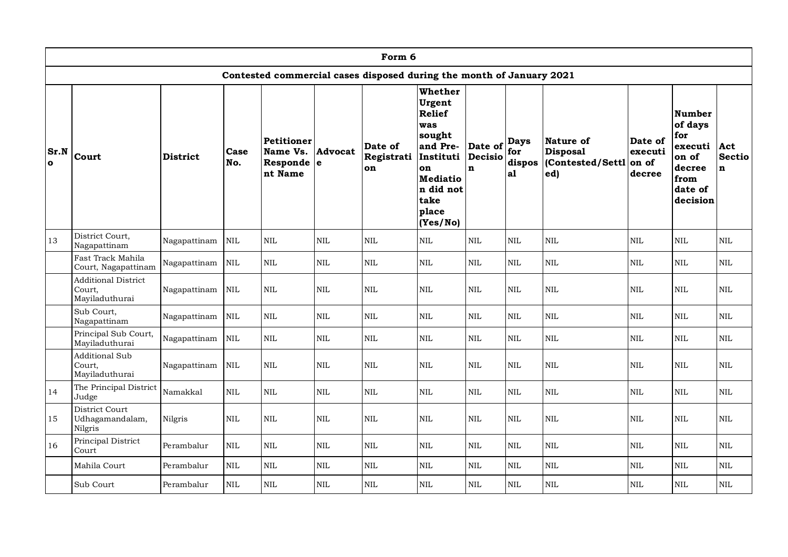|                  | Form 6                                                 |                 |              |                                                     |              |                                                                      |                                                                                                                                                 |                                          |                                    |                                                         |                                       |                                                                                              |                                     |
|------------------|--------------------------------------------------------|-----------------|--------------|-----------------------------------------------------|--------------|----------------------------------------------------------------------|-------------------------------------------------------------------------------------------------------------------------------------------------|------------------------------------------|------------------------------------|---------------------------------------------------------|---------------------------------------|----------------------------------------------------------------------------------------------|-------------------------------------|
|                  |                                                        |                 |              |                                                     |              | Contested commercial cases disposed during the month of January 2021 |                                                                                                                                                 |                                          |                                    |                                                         |                                       |                                                                                              |                                     |
| Sr.N<br>$\Omega$ | Court                                                  | <b>District</b> | Case<br>No.  | Petitioner<br>Name Vs.<br>Responde $ e $<br>nt Name | Advocat      | Date of<br>Registrati<br>on                                          | Whether<br>Urgent<br><b>Relief</b><br>was<br>sought<br>and Pre-<br>Instituti<br>on<br><b>Mediatio</b><br>n did not<br>take<br>place<br>(Yes/No) | Date of<br><b>Decisio</b><br>$\mathbf n$ | <b>Days</b><br>for<br>dispos<br>a1 | Nature of<br><b>Disposal</b><br>(Contested/Settl<br>ed) | Date of<br>executi<br>on of<br>decree | <b>Number</b><br>of days<br>for<br>executi<br>on of<br>decree<br>from<br>date of<br>decision | Act<br><b>Sectio</b><br>$\mathbf n$ |
| 13               | District Court,<br>Nagapattinam                        | Nagapattinam    | <b>NIL</b>   | $\mbox{NIL}$                                        | $\mbox{NIL}$ | NIL                                                                  | <b>NIL</b>                                                                                                                                      | $\mbox{NIL}$                             | <b>NIL</b>                         | <b>NIL</b>                                              | <b>NIL</b>                            | $\mbox{NIL}$                                                                                 | $\mbox{NIL}$                        |
|                  | Fast Track Mahila<br>Court, Nagapattinam               | Nagapattinam    | $\mbox{NIL}$ | $\mbox{NIL}$                                        | $\mbox{NIL}$ | <b>NIL</b>                                                           | <b>NIL</b>                                                                                                                                      | $\mbox{NIL}$                             | <b>NIL</b>                         | <b>NIL</b>                                              | <b>NIL</b>                            | <b>NIL</b>                                                                                   | $\mbox{NIL}$                        |
|                  | <b>Additional District</b><br>Court.<br>Mayiladuthurai | Nagapattinam    | <b>NIL</b>   | <b>NIL</b>                                          | NIL          | $\mbox{NIL}$                                                         | <b>NIL</b>                                                                                                                                      | $\mbox{NIL}$                             | <b>NIL</b>                         | <b>NIL</b>                                              | <b>NIL</b>                            | <b>NIL</b>                                                                                   | <b>NIL</b>                          |
|                  | Sub Court,<br>Nagapattinam                             | Nagapattinam    | $\mbox{NIL}$ | $\mbox{NIL}$                                        | $\mbox{NIL}$ | $\mbox{NIL}$                                                         | $\rm NIL$                                                                                                                                       | <b>NIL</b>                               | <b>NIL</b>                         | $\rm NIL$                                               | $\mbox{NIL}$                          | $\rm NIL$                                                                                    | $\mbox{NIL}$                        |
|                  | Principal Sub Court,<br>Mayiladuthurai                 | Nagapattinam    | $\mbox{NIL}$ | $\mbox{NIL}$                                        | $\mbox{NIL}$ | $\mbox{NIL}$                                                         | $\mbox{NIL}$                                                                                                                                    | $\mbox{NIL}$                             | <b>NIL</b>                         | $\mbox{NIL}$                                            | $\mbox{NIL}$                          | $\mbox{NIL}$                                                                                 | $\mbox{NIL}$                        |
|                  | <b>Additional Sub</b><br>Court,<br>Mayiladuthurai      | Nagapattinam    | $\rm NIL$    | $\mbox{NIL}$                                        | $\mbox{NIL}$ | $\rm NIL$                                                            | $\rm NIL$                                                                                                                                       | $\rm NIL$                                | <b>NIL</b>                         | <b>NIL</b>                                              | <b>NIL</b>                            | <b>NIL</b>                                                                                   | <b>NIL</b>                          |
| 14               | The Principal District<br>Judge                        | Namakkal        | <b>NIL</b>   | $\mbox{NIL}$                                        | $\mbox{NIL}$ | $\mbox{NIL}$                                                         | $\mbox{NIL}$                                                                                                                                    | $\mbox{NIL}$                             | <b>NIL</b>                         | $\mbox{NIL}$                                            | $\mbox{NIL}$                          | <b>NIL</b>                                                                                   | NIL                                 |
| 15               | District Court<br>Udhagamandalam,<br>Nilgris           | Nilgris         | <b>NIL</b>   | $\mbox{NIL}$                                        | $\mbox{NIL}$ | $\mbox{NIL}$                                                         | $\mbox{NIL}$                                                                                                                                    | <b>NIL</b>                               | <b>NIL</b>                         | $\mbox{NIL}$                                            | $\mbox{NIL}$                          | $\mbox{NIL}$                                                                                 | $\mbox{NIL}$                        |
| 16               | Principal District<br>Court                            | Perambalur      | <b>NIL</b>   | <b>NIL</b>                                          | NIL          | $\mbox{NIL}$                                                         | $\mbox{NIL}$                                                                                                                                    | $\mbox{NIL}$                             | <b>NIL</b>                         | $\text{NIL}$                                            | <b>NIL</b>                            | $\mbox{NIL}$                                                                                 | $\mbox{NIL}$                        |
|                  | Mahila Court                                           | Perambalur      | $\mbox{NIL}$ | $\mbox{NIL}$                                        | $\mbox{NIL}$ | $\mbox{NIL}$                                                         | $\rm NIL$                                                                                                                                       | $\mbox{NIL}$                             | $\rm NIL$                          | $\mbox{NIL}$                                            | $\mbox{NIL}$                          | $\mbox{NIL}$                                                                                 | $\mbox{NIL}$                        |
|                  | Sub Court                                              | Perambalur      | <b>NIL</b>   | $\mbox{NIL}$                                        | $\mbox{NIL}$ | $\mbox{NIL}$                                                         | <b>NIL</b>                                                                                                                                      | <b>NIL</b>                               | <b>NIL</b>                         | <b>NIL</b>                                              | <b>NIL</b>                            | $\mbox{NIL}$                                                                                 | NIL                                 |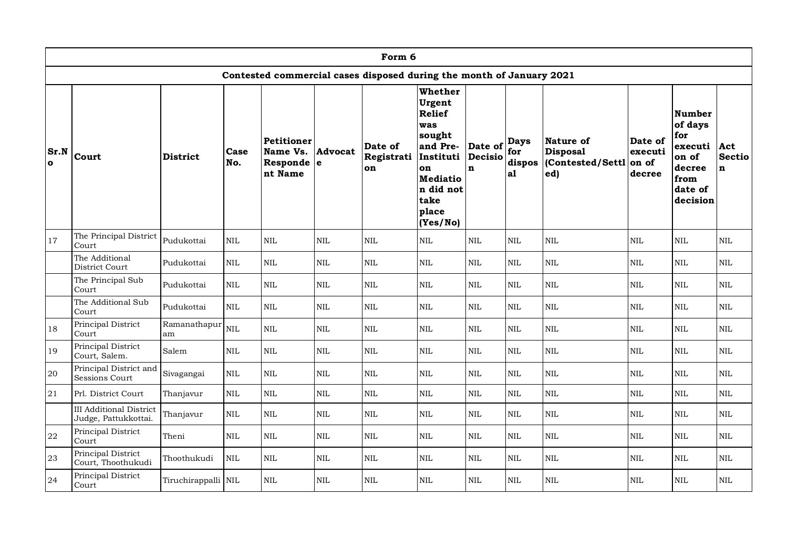|                      |                                                        |                     |              |                                                        |              | Form 6                                                               |                                                                                                                                                 |                                   |                                    |                                                        |                                       |                                                                                              |                              |
|----------------------|--------------------------------------------------------|---------------------|--------------|--------------------------------------------------------|--------------|----------------------------------------------------------------------|-------------------------------------------------------------------------------------------------------------------------------------------------|-----------------------------------|------------------------------------|--------------------------------------------------------|---------------------------------------|----------------------------------------------------------------------------------------------|------------------------------|
|                      |                                                        |                     |              |                                                        |              | Contested commercial cases disposed during the month of January 2021 |                                                                                                                                                 |                                   |                                    |                                                        |                                       |                                                                                              |                              |
| Sr.N<br>$\mathbf{o}$ | Court                                                  | <b>District</b>     | Case<br>No.  | <b>Petitioner</b><br>Name Vs.<br>Responde e<br>nt Name | Advocat      | Date of<br>Registrati<br>on                                          | Whether<br>Urgent<br><b>Relief</b><br>was<br>sought<br>and Pre-<br>Instituti<br>on<br><b>Mediatio</b><br>n did not<br>take<br>place<br>(Yes/No) | Date of<br>Decisio<br>$\mathbf n$ | <b>Days</b><br>for<br>dispos<br>a1 | Nature of<br><b>Disposal</b><br>Contested/Settl<br>ed) | Date of<br>executi<br>on of<br>decree | <b>Number</b><br>of days<br>for<br>executi<br>on of<br>decree<br>from<br>date of<br>decision | Act<br>Sectio<br>$\mathbf n$ |
| 17                   | The Principal District<br>Court                        | Pudukottai          | <b>NIL</b>   | $\mbox{NIL}$                                           | $\mbox{NIL}$ | $\mbox{NIL}$                                                         | $\mbox{NIL}$                                                                                                                                    | $\mbox{NIL}$                      | <b>NIL</b>                         | $\textsc{NIL}$                                         | $\mbox{NIL}$                          | $\mbox{NIL}$                                                                                 | $\mbox{NIL}$                 |
|                      | The Additional<br>District Court                       | Pudukottai          | <b>NIL</b>   | $\mbox{NIL}$                                           | $\mbox{NIL}$ | $\rm NIL$                                                            | $\mbox{NIL}$                                                                                                                                    | $\mbox{NIL}$                      | $\mbox{NIL}$                       | $\mbox{NIL}$                                           | $\mbox{NIL}$                          | $\rm NIL$                                                                                    | $\mbox{NIL}$                 |
|                      | The Principal Sub<br>Court                             | Pudukottai          | <b>NIL</b>   | $\text{NIL}$                                           | $\mbox{NIL}$ | NIL                                                                  | <b>NIL</b>                                                                                                                                      | <b>NIL</b>                        | $\text{NIL}$                       | NIL                                                    | <b>NIL</b>                            | $\rm NIL$                                                                                    | $\mbox{NIL}$                 |
|                      | The Additional Sub<br>Court                            | Pudukottai          | <b>NIL</b>   | $\mbox{NIL}$                                           | $\mbox{NIL}$ | $\rm NIL$                                                            | $\mbox{NIL}$                                                                                                                                    | $\mbox{NIL}$                      | $\mbox{NIL}$                       | <b>NIL</b>                                             | $\mbox{NIL}$                          | $\mbox{NIL}$                                                                                 | $\mbox{NIL}$                 |
| 18                   | Principal District<br>Court                            | Ramanathapur<br>am  | NIL          | $\text{NIL}$                                           | <b>NIL</b>   | NIL                                                                  | <b>NIL</b>                                                                                                                                      | $\mbox{NIL}$                      | $\text{NIL}$                       | NIL                                                    | <b>NIL</b>                            | $\rm NIL$                                                                                    | $\mbox{NIL}$                 |
| 19                   | Principal District<br>Court, Salem.                    | Salem               | <b>NIL</b>   | <b>NIL</b>                                             | $\mbox{NIL}$ | $\mbox{NIL}$                                                         | $\rm NIL$                                                                                                                                       | $\mbox{NIL}$                      | <b>NIL</b>                         | <b>NIL</b>                                             | <b>NIL</b>                            | <b>NIL</b>                                                                                   | $\mbox{NIL}$                 |
| 20                   | Principal District and<br>Sessions Court               | Sivagangai          | <b>NIL</b>   | $\mbox{NIL}$                                           | $\mbox{NIL}$ | $\rm NIL$                                                            | $\mbox{NIL}$                                                                                                                                    | $\mbox{NIL}$                      | $\mbox{NIL}$                       | $\mbox{NIL}$                                           | $\rm NIL$                             | $\mbox{NIL}$                                                                                 | $\mbox{NIL}$                 |
| 21                   | Prl. District Court                                    | Thanjavur           | $\mbox{NIL}$ | $\text{NIL}$                                           | NIL          | <b>NIL</b>                                                           | $\mbox{NIL}$                                                                                                                                    | $\mbox{NIL}$                      | $\text{NIL}$                       | NIL                                                    | $\mbox{NIL}$                          | $\rm NIL$                                                                                    | $\mbox{NIL}$                 |
|                      | <b>III</b> Additional District<br>Judge, Pattukkottai. | Thanjavur           | $\mbox{NIL}$ | $\rm NIL$                                              | $\mbox{NIL}$ | NIL                                                                  | $\rm NIL$                                                                                                                                       | $\mbox{NIL}$                      | $\mbox{NIL}$                       | NIL                                                    | $\rm NIL$                             | $\mbox{NIL}$                                                                                 | $\mbox{NIL}$                 |
| $22\,$               | Principal District<br>Court                            | Theni               | $\mbox{NIL}$ | $\mbox{NIL}$                                           | $\mbox{NIL}$ | $\rm NIL$                                                            | $\mbox{NIL}$                                                                                                                                    | $\mbox{NIL}$                      | $\mbox{NIL}$                       | $\mbox{NIL}$                                           | $\mbox{NIL}$                          | $\mbox{NIL}$                                                                                 | $\mbox{NIL}$                 |
| 23                   | Principal District<br>Court, Thoothukudi               | Thoothukudi         | $\mbox{NIL}$ | $\mbox{NIL}$                                           | $\mbox{NIL}$ | NIL                                                                  | $\rm NIL$                                                                                                                                       | $\mbox{NIL}$                      | $\rm NIL$                          | $\mbox{NIL}$                                           | $\rm NIL$                             | $\mbox{NIL}$                                                                                 | $\mbox{NIL}$                 |
| 24                   | Principal District<br>Court                            | Tiruchirappalli NIL |              | <b>NIL</b>                                             | $\mbox{NIL}$ | $\mbox{NIL}$                                                         | <b>NIL</b>                                                                                                                                      | $\mbox{NIL}$                      | <b>NIL</b>                         | NIL                                                    | <b>NIL</b>                            | $\rm NIL$                                                                                    | NIL                          |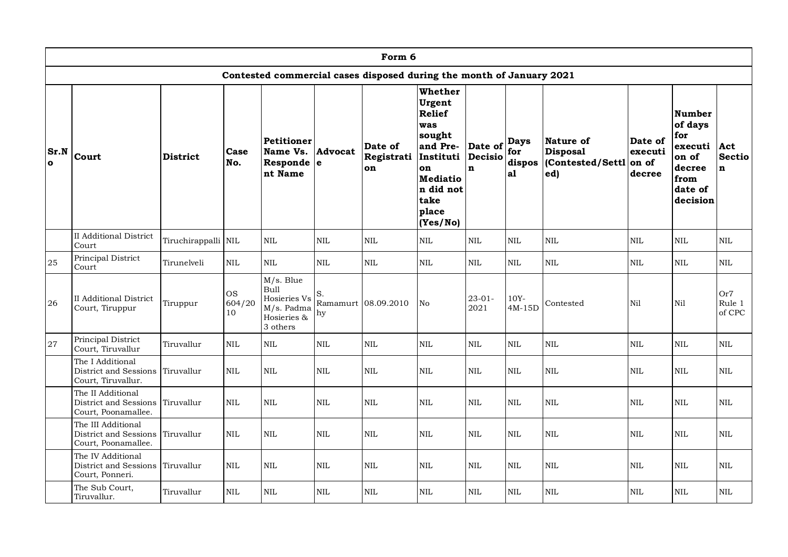|                  | Form 6                                                             |                     |                           |                                                                                   |                      |                                                                      |                                                                                                                                                 |                                   |                                    |                                                         |                                       |                                                                                              |                                     |
|------------------|--------------------------------------------------------------------|---------------------|---------------------------|-----------------------------------------------------------------------------------|----------------------|----------------------------------------------------------------------|-------------------------------------------------------------------------------------------------------------------------------------------------|-----------------------------------|------------------------------------|---------------------------------------------------------|---------------------------------------|----------------------------------------------------------------------------------------------|-------------------------------------|
|                  |                                                                    |                     |                           |                                                                                   |                      | Contested commercial cases disposed during the month of January 2021 |                                                                                                                                                 |                                   |                                    |                                                         |                                       |                                                                                              |                                     |
| Sr.N<br>$\Omega$ | Court                                                              | <b>District</b>     | Case<br>No.               | <b>Petitioner</b><br>Name Vs.<br>Responde e<br>nt Name                            | Advocat              | Date of<br>Registrati<br>on                                          | Whether<br>Urgent<br><b>Relief</b><br>was<br>sought<br>and Pre-<br>Instituti<br>on<br><b>Mediatio</b><br>n did not<br>take<br>place<br>(Yes/No) | Date of<br>Decisio<br>$\mathbf n$ | <b>Days</b><br>for<br>dispos<br>a1 | Nature of<br><b>Disposal</b><br>(Contested/Settl<br>ed) | Date of<br>executi<br>on of<br>decree | <b>Number</b><br>of days<br>for<br>executi<br>on of<br>decree<br>from<br>date of<br>decision | Act<br>Sectio<br>$\mathbf n$        |
|                  | <b>II</b> Additional District<br>Court                             | Tiruchirappalli NIL |                           | <b>NIL</b>                                                                        | <b>NIL</b>           | <b>NIL</b>                                                           | <b>NIL</b>                                                                                                                                      | $\mbox{NIL}$                      | <b>NIL</b>                         | NIL                                                     | <b>NIL</b>                            | NIL                                                                                          | $\mbox{NIL}$                        |
| 25               | Principal District<br>Court                                        | Tirunelveli         | <b>NIL</b>                | <b>NIL</b>                                                                        | <b>NIL</b>           | $\mbox{NIL}$                                                         | $\mbox{NIL}$                                                                                                                                    | <b>NIL</b>                        | <b>NIL</b>                         | <b>NIL</b>                                              | $\rm NIL$                             | $\rm NIL$                                                                                    | $\mbox{NIL}$                        |
| 26               | II Additional District<br>Court, Tiruppur                          | Tiruppur            | <b>OS</b><br>604/20<br>10 | M/s. Blue<br><b>Bull</b><br>Hosieries Vs<br>M/s. Padma<br>Hosieries &<br>3 others | S.<br>Ramamurt<br>hy | 08.09.2010                                                           | No                                                                                                                                              | $23 - 01 -$<br>2021               | $10Y -$<br>4M-15D                  | Contested                                               | Nil                                   | Nil                                                                                          | Or <sub>7</sub><br>Rule 1<br>of CPC |
| 27               | Principal District<br>Court, Tiruvallur                            | Tiruvallur          | <b>NIL</b>                | $\mbox{NIL}$                                                                      | $\mbox{NIL}$         | $\mbox{NIL}$                                                         | <b>NIL</b>                                                                                                                                      | $\mbox{NIL}$                      | <b>NIL</b>                         | NIL                                                     | <b>NIL</b>                            | NIL                                                                                          | <b>NIL</b>                          |
|                  | The I Additional<br>District and Sessions<br>Court, Tiruvallur.    | Tiruvallur          | <b>NIL</b>                | <b>NIL</b>                                                                        | <b>NIL</b>           | NIL                                                                  | <b>NIL</b>                                                                                                                                      | <b>NIL</b>                        | <b>NIL</b>                         | NIL                                                     | <b>NIL</b>                            | <b>NIL</b>                                                                                   | <b>NIL</b>                          |
|                  | The II Additional<br>District and Sessions<br>Court, Poonamallee.  | Tiruvallur          | <b>NIL</b>                | <b>NIL</b>                                                                        | $\mbox{NIL}$         | $\mbox{NIL}$                                                         | <b>NIL</b>                                                                                                                                      | <b>NIL</b>                        | <b>NIL</b>                         | <b>NIL</b>                                              | <b>NIL</b>                            | <b>NIL</b>                                                                                   | <b>NIL</b>                          |
|                  | The III Additional<br>District and Sessions<br>Court, Poonamallee. | Tiruvallur          | <b>NIL</b>                | $\mbox{NIL}$                                                                      | $\mbox{NIL}$         | $\mbox{NIL}$                                                         | $\mbox{NIL}$                                                                                                                                    | $\mbox{NIL}$                      | <b>NIL</b>                         | <b>NIL</b>                                              | <b>NIL</b>                            | $\rm NIL$                                                                                    | <b>NIL</b>                          |
|                  | The IV Additional<br>District and Sessions<br>Court, Ponneri.      | Tiruvallur          | <b>NIL</b>                | <b>NIL</b>                                                                        | <b>NIL</b>           | NIL                                                                  | <b>NIL</b>                                                                                                                                      | <b>NIL</b>                        | <b>NIL</b>                         | <b>NIL</b>                                              | <b>NIL</b>                            | <b>NIL</b>                                                                                   | <b>NIL</b>                          |
|                  | The Sub Court,<br>Tiruvallur.                                      | Tiruvallur          | <b>NIL</b>                | $\mbox{NIL}$                                                                      | $\mbox{NIL}$         | $\mbox{NIL}$                                                         | $\mbox{NIL}$                                                                                                                                    | $\mbox{NIL}$                      | $\text{NIL}$                       | NIL                                                     | $\mbox{NIL}$                          | $\rm NIL$                                                                                    | <b>NIL</b>                          |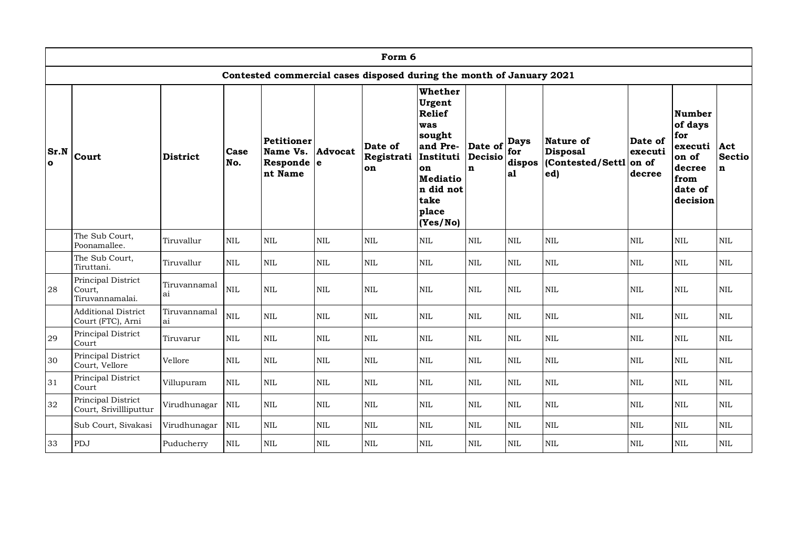|                  | Form 6                                          |                    |              |                                                 |                |                                                                      |                                                                                                                                                 |                                   |                                    |                                                        |                                       |                                                                                              |                                      |
|------------------|-------------------------------------------------|--------------------|--------------|-------------------------------------------------|----------------|----------------------------------------------------------------------|-------------------------------------------------------------------------------------------------------------------------------------------------|-----------------------------------|------------------------------------|--------------------------------------------------------|---------------------------------------|----------------------------------------------------------------------------------------------|--------------------------------------|
|                  |                                                 |                    |              |                                                 |                | Contested commercial cases disposed during the month of January 2021 |                                                                                                                                                 |                                   |                                    |                                                        |                                       |                                                                                              |                                      |
| Sr.N<br>$\Omega$ | Court                                           | <b>District</b>    | Case<br>No.  | Petitioner<br>Name Vs.<br>Responde e<br>nt Name | <b>Advocat</b> | Date of<br>Registrati<br>on                                          | Whether<br>Urgent<br><b>Relief</b><br>was<br>sought<br>and Pre-<br>Instituti<br>on<br><b>Mediatio</b><br>n did not<br>take<br>place<br>(Yes/No) | Date of<br>Decisio<br>$\mathbf n$ | <b>Days</b><br>for<br>dispos<br>a1 | Nature of<br><b>Disposal</b><br>Contested/Settl<br>ed) | Date of<br>executi<br>on of<br>decree | <b>Number</b><br>of days<br>for<br>executi<br>on of<br>decree<br>from<br>date of<br>decision | Act<br><b>Sectio</b><br>$\mathbf{n}$ |
|                  | The Sub Court,<br>Poonamallee.                  | Tiruvallur         | <b>NIL</b>   | $\mbox{NIL}$                                    | <b>NIL</b>     | $\mbox{NIL}$                                                         | $\mbox{NIL}$                                                                                                                                    | <b>NIL</b>                        | <b>NIL</b>                         | NIL                                                    | $\mbox{NIL}$                          | $\mbox{NIL}$                                                                                 | $\mbox{NIL}$                         |
|                  | The Sub Court,<br>Tiruttani.                    | Tiruvallur         | $\mbox{NIL}$ | $\mbox{NIL}$                                    | NIL            | $\mbox{NIL}$                                                         | $\mbox{NIL}$                                                                                                                                    | <b>NIL</b>                        | $\mbox{NIL}$                       | $\mbox{NIL}$                                           | $\mbox{NIL}$                          | $\mbox{NIL}$                                                                                 | $\mbox{NIL}$                         |
| 28               | Principal District<br>Court,<br>Tiruvannamalai. | Tiruvannamal<br>ai | $\mbox{NIL}$ | $\mbox{NIL}$                                    | <b>NIL</b>     | $\mbox{NIL}$                                                         | <b>NIL</b>                                                                                                                                      | <b>NIL</b>                        | <b>NIL</b>                         | $\text{NIL}$                                           | $\mbox{NIL}$                          | <b>NIL</b>                                                                                   | $\mbox{NIL}$                         |
|                  | <b>Additional District</b><br>Court (FTC), Arni | Tiruvannamal<br>ai | $\mbox{NIL}$ | $\mbox{NIL}$                                    | $\mbox{NIL}$   | $\mbox{NIL}$                                                         | $\mbox{NIL}$                                                                                                                                    | <b>NIL</b>                        | $\text{NIL}$                       | $\text{NIL}$                                           | $\mbox{NIL}$                          | $\mbox{NIL}$                                                                                 | $\mbox{NIL}$                         |
| 29               | Principal District<br>Court                     | Tiruvarur          | <b>NIL</b>   | <b>NIL</b>                                      | <b>NIL</b>     | $\mbox{NIL}$                                                         | <b>NIL</b>                                                                                                                                      | <b>NIL</b>                        | <b>NIL</b>                         | $\text{NIL}$                                           | $\rm NIL$                             | <b>NIL</b>                                                                                   | $\rm NIL$                            |
| 30               | Principal District<br>Court, Vellore            | Vellore            | $\mbox{NIL}$ | $\mbox{NIL}$                                    | <b>NIL</b>     | $\mbox{NIL}$                                                         | $\mbox{NIL}$                                                                                                                                    | <b>NIL</b>                        | $\mbox{NIL}$                       | <b>NIL</b>                                             | $\rm NIL$                             | <b>NIL</b>                                                                                   | $\rm NIL$                            |
| 31               | Principal District<br>Court                     | Villupuram         | <b>NIL</b>   | $\mbox{NIL}$                                    | <b>NIL</b>     | $\mbox{NIL}$                                                         | $\mbox{NIL}$                                                                                                                                    | <b>NIL</b>                        | $\text{NIL}$                       | <b>NIL</b>                                             | <b>NIL</b>                            | <b>NIL</b>                                                                                   | $\mbox{NIL}$                         |
| 32               | Principal District<br>Court, Srivillliputtur    | Virudhunagar       | <b>NIL</b>   | $\mbox{NIL}$                                    | <b>NIL</b>     | $\mbox{NIL}$                                                         | NIL                                                                                                                                             | <b>NIL</b>                        | <b>NIL</b>                         | <b>NIL</b>                                             | $\mbox{NIL}$                          | <b>NIL</b>                                                                                   | $\mbox{NIL}$                         |
|                  | Sub Court, Sivakasi                             | Virudhunagar       | <b>NIL</b>   | $\mbox{NIL}$                                    | $\mbox{NIL}$   | $\mbox{NIL}$                                                         | $\rm NIL$                                                                                                                                       | $\mbox{NIL}$                      | $\mbox{NIL}$                       | $\mbox{NIL}$                                           | $\mbox{NIL}$                          | $\mbox{NIL}$                                                                                 | $\mbox{NIL}$                         |
| 33               | PDJ                                             | Puducherry         | $\mbox{NIL}$ | $\mbox{NIL}$                                    | <b>NIL</b>     | $\mbox{NIL}$                                                         | $\mbox{NIL}$                                                                                                                                    | $\rm NIL$                         | $\rm NIL$                          | $\mbox{NIL}$                                           | $\rm NIL$                             | $\rm NIL$                                                                                    | $\mbox{NIL}$                         |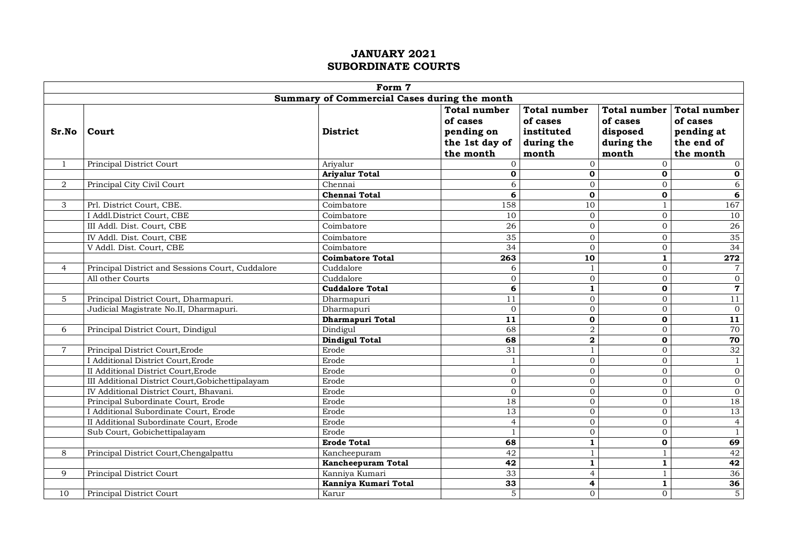|                | Form 7                                           |                                              |                                                                              |                                                                      |                                             |                                                                                |  |  |  |  |  |
|----------------|--------------------------------------------------|----------------------------------------------|------------------------------------------------------------------------------|----------------------------------------------------------------------|---------------------------------------------|--------------------------------------------------------------------------------|--|--|--|--|--|
|                |                                                  | Summary of Commercial Cases during the month |                                                                              |                                                                      |                                             |                                                                                |  |  |  |  |  |
| Sr.No          | Court                                            | <b>District</b>                              | <b>Total number</b><br>of cases<br>pending on<br>the 1st day of<br>the month | <b>Total number</b><br>of cases<br>instituted<br>during the<br>month | of cases<br>disposed<br>during the<br>month | Total number Total number<br>of cases<br>pending at<br>the end of<br>the month |  |  |  |  |  |
| $\mathbf{1}$   | Principal District Court                         | Ariyalur                                     | $\overline{0}$                                                               | $\mathbf{O}$                                                         | $\overline{0}$                              | $\Omega$                                                                       |  |  |  |  |  |
|                |                                                  | <b>Ariyalur Total</b>                        | $\mathbf 0$                                                                  | $\mathbf 0$                                                          | $\mathbf{o}$                                | $\mathbf 0$                                                                    |  |  |  |  |  |
| $\overline{2}$ | Principal City Civil Court                       | Chennai                                      | 6                                                                            | $\overline{0}$                                                       | $\Omega$                                    | $\overline{6}$                                                                 |  |  |  |  |  |
|                |                                                  | <b>Chennai Total</b>                         | 6                                                                            | $\mathbf 0$                                                          | $\mathbf 0$                                 | $\overline{\mathbf{6}}$                                                        |  |  |  |  |  |
| 3              | Prl. District Court, CBE.                        | Coimbatore                                   | 158                                                                          | 10                                                                   | $\mathbf{1}$                                | 167                                                                            |  |  |  |  |  |
|                | I Addl.District Court, CBE                       | Coimbatore                                   | 10                                                                           | $\mathbf{0}$                                                         | $\mathbf{0}$                                | 10                                                                             |  |  |  |  |  |
|                | III Addl. Dist. Court, CBE                       | Coimbatore                                   | 26                                                                           | $\mathbf 0$                                                          | $\mathbf{0}$                                | $26\,$                                                                         |  |  |  |  |  |
|                | IV Addl. Dist. Court, CBE                        | Coimbatore                                   | 35                                                                           | $\mathbf 0$                                                          | $\overline{0}$                              | 35                                                                             |  |  |  |  |  |
|                | V Addl. Dist. Court, CBE                         | Coimbatore                                   | $\overline{34}$                                                              | $\overline{0}$                                                       | $\mathbf{0}$                                | 34                                                                             |  |  |  |  |  |
|                |                                                  | <b>Coimbatore Total</b>                      | 263                                                                          | 10                                                                   | $\mathbf 1$                                 | 272                                                                            |  |  |  |  |  |
| $\overline{4}$ | Principal District and Sessions Court, Cuddalore | Cuddalore                                    | 6                                                                            | $\mathbf{1}$                                                         | $\overline{0}$                              | $\overline{7}$                                                                 |  |  |  |  |  |
|                | All other Courts                                 | Cuddalore                                    | $\mathbf{0}$                                                                 | $\overline{0}$                                                       | $\overline{0}$                              | $\boldsymbol{0}$                                                               |  |  |  |  |  |
|                |                                                  | <b>Cuddalore Total</b>                       | 6                                                                            | $\mathbf{1}$                                                         | $\mathbf 0$                                 | $\mathbf 7$                                                                    |  |  |  |  |  |
| 5              | Principal District Court, Dharmapuri.            | Dharmapuri                                   | $\overline{11}$                                                              | $\boldsymbol{0}$                                                     | $\overline{0}$                              | $\overline{11}$                                                                |  |  |  |  |  |
|                | Judicial Magistrate No.II, Dharmapuri.           | Dharmapuri                                   | $\mathbf{O}$                                                                 | $\overline{0}$                                                       | $\overline{0}$                              | $\overline{0}$                                                                 |  |  |  |  |  |
|                |                                                  | Dharmapuri Total                             | 11                                                                           | $\mathbf 0$                                                          | $\mathbf{0}$                                | $\overline{11}$                                                                |  |  |  |  |  |
| 6              | Principal District Court, Dindigul               | Dindigul                                     | 68                                                                           | $\mathbf 2$                                                          | $\overline{0}$                              | 70                                                                             |  |  |  |  |  |
|                |                                                  | <b>Dindigul Total</b>                        | 68                                                                           | $\overline{\mathbf{2}}$                                              | $\mathbf 0$                                 | 70                                                                             |  |  |  |  |  |
| $\overline{7}$ | Principal District Court, Erode                  | Erode                                        | 31                                                                           | $\mathbf{1}$                                                         | $\overline{0}$                              | 32                                                                             |  |  |  |  |  |
|                | I Additional District Court, Erode               | Erode                                        | $\mathbf{1}$                                                                 | $\overline{0}$                                                       | $\mathbf 0$                                 | $\overline{1}$                                                                 |  |  |  |  |  |
|                | II Additional District Court, Erode              | Erode                                        | $\overline{0}$                                                               | $\boldsymbol{0}$                                                     | $\mathbf{0}$                                | $\overline{0}$                                                                 |  |  |  |  |  |
|                | III Additional District Court, Gobichettipalayam | Erode                                        | $\mathbf 0$                                                                  | $\overline{0}$                                                       | $\overline{0}$                              | $\boldsymbol{0}$                                                               |  |  |  |  |  |
|                | IV Additional District Court, Bhavani.           | Erode                                        | $\Omega$                                                                     | $\overline{0}$                                                       | $\mathbf{0}$                                | $\boldsymbol{0}$                                                               |  |  |  |  |  |
|                | Principal Subordinate Court, Erode               | Erode                                        | 18                                                                           | $\boldsymbol{0}$                                                     | $\mathbf 0$                                 | 18                                                                             |  |  |  |  |  |
|                | I Additional Subordinate Court, Erode            | Erode                                        | 13                                                                           | $\boldsymbol{0}$                                                     | $\mathbf{0}$                                | 13                                                                             |  |  |  |  |  |
|                | II Additional Subordinate Court, Erode           | Erode                                        | $\overline{4}$                                                               | $\overline{0}$                                                       | $\mathbf 0$                                 | $\overline{4}$                                                                 |  |  |  |  |  |
|                | Sub Court, Gobichettipalayam                     | Erode                                        | $\mathbf{1}$                                                                 | $\overline{0}$                                                       | $\Omega$                                    | $\overline{1}$                                                                 |  |  |  |  |  |
|                |                                                  | <b>Erode Total</b>                           | 68                                                                           | $\mathbf{1}$                                                         | $\mathbf 0$                                 | 69                                                                             |  |  |  |  |  |
| 8              | Principal District Court, Chengalpattu           | Kancheepuram                                 | 42                                                                           | $\mathbf{1}$                                                         | $\mathbf{1}$                                | 42                                                                             |  |  |  |  |  |
|                |                                                  | Kancheepuram Total                           | 42                                                                           | $\mathbf 1$                                                          | $\mathbf{1}$                                | 42                                                                             |  |  |  |  |  |
| 9              | Principal District Court                         | Kanniya Kumari                               | 33                                                                           | $\overline{4}$                                                       | $\mathbf{1}$                                | 36                                                                             |  |  |  |  |  |
|                |                                                  | Kanniya Kumari Total                         | 33                                                                           | 4                                                                    | $\overline{1}$                              | 36                                                                             |  |  |  |  |  |
| 10             | Principal District Court                         | Karur                                        | $\overline{5}$                                                               | $\overline{0}$                                                       | $\Omega$                                    | $\overline{5}$                                                                 |  |  |  |  |  |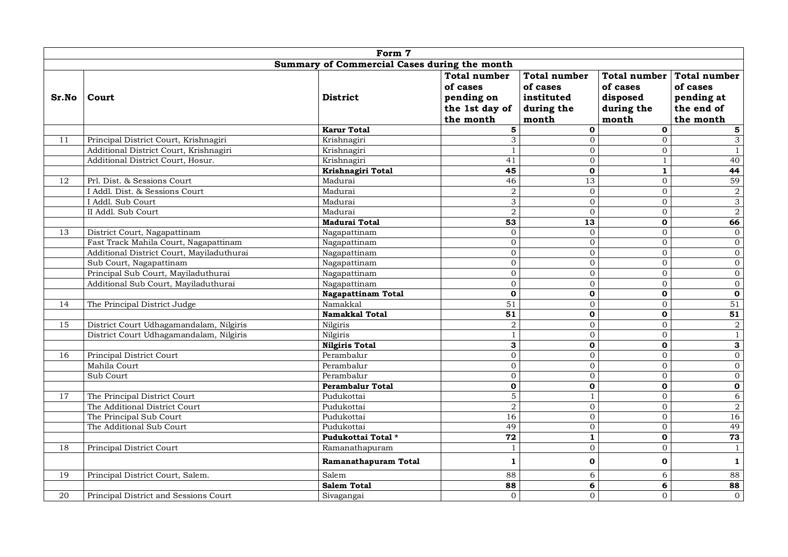|       | Form 7                                    |                                              |                                                                              |                                                                      |                                                             |                                                                          |  |  |  |  |  |
|-------|-------------------------------------------|----------------------------------------------|------------------------------------------------------------------------------|----------------------------------------------------------------------|-------------------------------------------------------------|--------------------------------------------------------------------------|--|--|--|--|--|
|       |                                           | Summary of Commercial Cases during the month |                                                                              |                                                                      |                                                             |                                                                          |  |  |  |  |  |
| Sr.No | Court                                     | District                                     | <b>Total number</b><br>of cases<br>pending on<br>the 1st day of<br>the month | <b>Total number</b><br>of cases<br>instituted<br>during the<br>month | Total number<br>of cases<br>disposed<br>during the<br>month | <b>Total number</b><br>of cases<br>pending at<br>the end of<br>the month |  |  |  |  |  |
|       |                                           | <b>Karur Total</b>                           | 5                                                                            | $\mathbf 0$                                                          | $\mathbf 0$                                                 | ${\bf 5}$                                                                |  |  |  |  |  |
| 11    | Principal District Court, Krishnagiri     | Krishnagiri                                  | $\overline{3}$                                                               | $\Omega$                                                             | $\Omega$                                                    | $\overline{3}$                                                           |  |  |  |  |  |
|       | Additional District Court, Krishnagiri    | Krishnagiri                                  | $\mathbf{1}$                                                                 | $\mathbf 0$                                                          | $\mathbf{0}$                                                | $\mathbf{1}$                                                             |  |  |  |  |  |
|       | Additional District Court, Hosur.         | Krishnagiri                                  | 41                                                                           | $\overline{0}$                                                       | $\,1\,$                                                     | 40                                                                       |  |  |  |  |  |
|       |                                           | Krishnagiri Total                            | 45                                                                           | $\mathbf 0$                                                          | $\mathbf{1}$                                                | 44                                                                       |  |  |  |  |  |
| 12    | Prl. Dist. & Sessions Court               | Madurai                                      | $\overline{46}$                                                              | 13                                                                   | $\mathbf{0}$                                                | 59                                                                       |  |  |  |  |  |
|       | I Addl. Dist. & Sessions Court            | Madurai                                      | $\,2$                                                                        | $\boldsymbol{0}$                                                     | $\mathbf 0$                                                 | $\overline{2}$                                                           |  |  |  |  |  |
|       | I Addl. Sub Court                         | Madurai                                      | 3                                                                            | $\overline{0}$                                                       | $\mathbf 0$                                                 | $\overline{3}$                                                           |  |  |  |  |  |
|       | II Addl. Sub Court                        | Madurai                                      | $\overline{2}$                                                               | $\Omega$                                                             | $\mathbf{0}$                                                | $\overline{2}$                                                           |  |  |  |  |  |
|       |                                           | Madurai Total                                | $\overline{53}$                                                              | $\overline{13}$                                                      | $\mathbf 0$                                                 | 66                                                                       |  |  |  |  |  |
| 13    | District Court, Nagapattinam              | Nagapattinam                                 | $\overline{0}$                                                               | $\boldsymbol{0}$                                                     | $\overline{0}$                                              | $\overline{0}$                                                           |  |  |  |  |  |
|       | Fast Track Mahila Court, Nagapattinam     | Nagapattinam                                 | $\overline{0}$                                                               | $\overline{0}$                                                       | $\overline{0}$                                              | $\overline{0}$                                                           |  |  |  |  |  |
|       | Additional District Court, Mayiladuthurai | Nagapattinam                                 | $\overline{0}$                                                               | $\overline{0}$                                                       | $\mathbf{0}$                                                | $\overline{0}$                                                           |  |  |  |  |  |
|       | Sub Court, Nagapattinam                   | Nagapattinam                                 | $\overline{0}$                                                               | $\boldsymbol{0}$                                                     | $\mathbf{0}$                                                | $\overline{0}$                                                           |  |  |  |  |  |
|       | Principal Sub Court, Mayiladuthurai       | Nagapattinam                                 | $\overline{0}$                                                               | $\overline{0}$                                                       | $\overline{0}$                                              | $\overline{0}$                                                           |  |  |  |  |  |
|       | Additional Sub Court, Mayiladuthurai      | Nagapattinam                                 | $\overline{0}$                                                               | $\mathbf 0$                                                          | $\mathbf{0}$                                                | $\overline{0}$                                                           |  |  |  |  |  |
|       |                                           | <b>Nagapattinam Total</b>                    | $\overline{\mathbf{0}}$                                                      | $\mathbf{o}$                                                         | $\overline{\mathbf{o}}$                                     | $\overline{\mathbf{0}}$                                                  |  |  |  |  |  |
| 14    | The Principal District Judge              | Namakkal                                     | 51                                                                           | $\overline{0}$                                                       | $\overline{0}$                                              | 51                                                                       |  |  |  |  |  |
|       |                                           | Namakkal Total                               | 51                                                                           | $\mathbf 0$                                                          | $\mathbf 0$                                                 | $\overline{51}$                                                          |  |  |  |  |  |
| 15    | District Court Udhagamandalam, Nilgiris   | Nilgiris                                     | $\overline{2}$                                                               | $\overline{0}$                                                       | $\mathbf 0$                                                 | $\overline{2}$                                                           |  |  |  |  |  |
|       | District Court Udhagamandalam, Nilgiris   | Nilgiris                                     | $\mathbf{1}$                                                                 | $\overline{0}$                                                       | $\overline{0}$                                              | $\overline{1}$                                                           |  |  |  |  |  |
|       |                                           | <b>Nilgiris Total</b>                        | 3                                                                            | $\mathbf{o}$                                                         | $\mathbf 0$                                                 | $\overline{\mathbf{3}}$                                                  |  |  |  |  |  |
| 16    | Principal District Court                  | Perambalur                                   | $\boldsymbol{0}$                                                             | $\boldsymbol{0}$                                                     | $\Omega$                                                    | $\overline{0}$                                                           |  |  |  |  |  |
|       | Mahila Court                              | Perambalur                                   | $\mathbf{O}$                                                                 | $\overline{0}$                                                       | $\mathbf{0}$                                                | $\overline{0}$                                                           |  |  |  |  |  |
|       | Sub Court                                 | Perambalur                                   | $\overline{0}$                                                               | $\overline{0}$                                                       | $\mathbf{0}$                                                | $\overline{0}$                                                           |  |  |  |  |  |
|       |                                           | <b>Perambalur Total</b>                      | $\mathbf 0$                                                                  | $\mathbf 0$                                                          | $\mathbf 0$                                                 | $\mathbf 0$                                                              |  |  |  |  |  |
| 17    | The Principal District Court              | Pudukottai                                   | $\overline{5}$                                                               | $\mathbf{1}$                                                         | $\mathbf{0}$                                                | $\overline{6}$                                                           |  |  |  |  |  |
|       | The Additional District Court             | Pudukottai                                   | $\overline{2}$                                                               | $\overline{0}$                                                       | $\mathbf{0}$                                                | $\overline{2}$                                                           |  |  |  |  |  |
|       | The Principal Sub Court                   | Pudukottai                                   | $\overline{16}$                                                              | $\overline{0}$                                                       | $\mathbf{0}$                                                | 16                                                                       |  |  |  |  |  |
|       | The Additional Sub Court                  | Pudukottai                                   | 49                                                                           | $\mathbf 0$                                                          | $\mathbf{0}$                                                | 49                                                                       |  |  |  |  |  |
|       |                                           | Pudukottai Total *                           | $\overline{72}$                                                              | $\mathbf 1$                                                          | $\overline{\mathbf{o}}$                                     | 73                                                                       |  |  |  |  |  |
| 18    | Principal District Court                  | Ramanathapuram                               | $\mathbf{1}$                                                                 | $\overline{0}$                                                       | $\mathbf{0}$                                                | $\mathbf{1}$                                                             |  |  |  |  |  |
|       |                                           | Ramanathapuram Total                         | $\mathbf{1}$                                                                 | $\bf{0}$                                                             | $\mathbf 0$                                                 | $\mathbf{1}$                                                             |  |  |  |  |  |
| 19    | Principal District Court, Salem.          | Salem                                        | 88                                                                           | 6                                                                    | 6                                                           | 88                                                                       |  |  |  |  |  |
|       |                                           | <b>Salem Total</b>                           | 88                                                                           | 6                                                                    | 6                                                           | 88                                                                       |  |  |  |  |  |
| 20    | Principal District and Sessions Court     | Sivagangai                                   | $\mathbf{O}$                                                                 | $\overline{0}$                                                       | $\mathbf{0}$                                                | $\overline{0}$                                                           |  |  |  |  |  |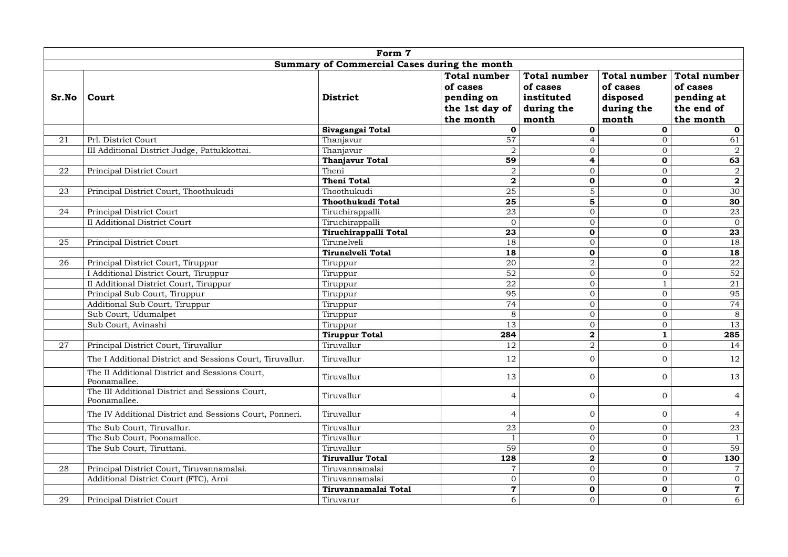|        |                                                                 | Form 7                                       |                                                                              |                                                                      |                                                                    |                                                                          |
|--------|-----------------------------------------------------------------|----------------------------------------------|------------------------------------------------------------------------------|----------------------------------------------------------------------|--------------------------------------------------------------------|--------------------------------------------------------------------------|
|        |                                                                 | Summary of Commercial Cases during the month |                                                                              |                                                                      |                                                                    |                                                                          |
| Sr.No  | Court                                                           | <b>District</b>                              | <b>Total number</b><br>of cases<br>pending on<br>the 1st day of<br>the month | <b>Total number</b><br>of cases<br>instituted<br>during the<br>month | <b>Total number</b><br>of cases<br>disposed<br>during the<br>month | <b>Total number</b><br>of cases<br>pending at<br>the end of<br>the month |
|        |                                                                 | Sivagangai Total                             | $\mathbf{0}$                                                                 | $\mathbf 0$                                                          | $\mathbf 0$                                                        | $\mathbf 0$                                                              |
| 21     | Prl. District Court                                             | Thanjavur                                    | 57                                                                           | $\overline{\mathcal{L}}$                                             | $\mathbf{0}$                                                       | 61                                                                       |
|        | III Additional District Judge, Pattukkottai.                    | Thanjavur                                    | 2                                                                            | $\overline{0}$                                                       | $\overline{0}$                                                     | $\boldsymbol{2}$                                                         |
|        |                                                                 | <b>Thanjavur Total</b>                       | 59                                                                           | $\overline{\mathbf{4}}$                                              | $\overline{\mathbf{0}}$                                            | 63                                                                       |
| $22\,$ | Principal District Court                                        | Theni                                        | $\,2$                                                                        | $\boldsymbol{0}$                                                     | $\mathbf{0}$                                                       | $\,2$                                                                    |
|        |                                                                 | <b>Theni Total</b>                           | $\overline{\mathbf{2}}$                                                      | $\mathbf{o}$                                                         | $\mathbf 0$                                                        | $\overline{\mathbf{2}}$                                                  |
| 23     | Principal District Court, Thoothukudi                           | Thoothukudi                                  | $\overline{25}$                                                              | $\mathbf 5$                                                          | $\Omega$                                                           | 30                                                                       |
|        |                                                                 | Thoothukudi Total                            | 25                                                                           | 5                                                                    | $\mathbf 0$                                                        | 30                                                                       |
| 24     | Principal District Court                                        | Tiruchirappalli                              | 23                                                                           | $\boldsymbol{0}$                                                     | $\mathbf{0}$                                                       | 23                                                                       |
|        | <b>II</b> Additional District Court                             | Tiruchirappalli                              | $\overline{0}$                                                               | $\overline{0}$                                                       | $\overline{0}$                                                     | $\overline{0}$                                                           |
|        |                                                                 | Tiruchirappalli Total                        | 23                                                                           | $\mathbf 0$                                                          | $\mathbf 0$                                                        | $\overline{23}$                                                          |
| 25     | Principal District Court                                        | Tirunelveli                                  | 18                                                                           | $\overline{0}$                                                       | $\overline{0}$                                                     | 18                                                                       |
|        |                                                                 | <b>Tirunelveli Total</b>                     | $\overline{18}$                                                              | $\mathbf 0$                                                          | $\mathbf 0$                                                        | $\overline{18}$                                                          |
| 26     | Principal District Court, Tiruppur                              | Tiruppur                                     | 20                                                                           | $\overline{2}$                                                       | $\overline{0}$                                                     | 22                                                                       |
|        | I Additional District Court, Tiruppur                           | Tiruppur                                     | 52                                                                           | $\mathbf 0$                                                          | $\mathbf{0}$                                                       | 52                                                                       |
|        | II Additional District Court, Tiruppur                          | Tiruppur                                     | 22                                                                           | $\overline{0}$                                                       | $\mathbf{1}$                                                       | $21\,$                                                                   |
|        | Principal Sub Court, Tiruppur                                   | Tiruppur                                     | 95                                                                           | $\boldsymbol{0}$                                                     | $\mathbf{0}$                                                       | 95                                                                       |
|        | Additional Sub Court, Tiruppur                                  | Tiruppur                                     | 74                                                                           | $\overline{0}$                                                       | $\overline{0}$                                                     | 74                                                                       |
|        | Sub Court, Udumalpet                                            | Tiruppur                                     | $\overline{8}$                                                               | $\overline{0}$                                                       | $\mathbf 0$                                                        | $\overline{8}$                                                           |
|        | Sub Court, Avinashi                                             | Tiruppur                                     | 13                                                                           | $\boldsymbol{0}$                                                     | $\mathbf{0}$                                                       | 13                                                                       |
|        |                                                                 | <b>Tiruppur Total</b>                        | 284                                                                          | $\mathbf{2}$                                                         | $\mathbf 1$                                                        | 285                                                                      |
| 27     | Principal District Court, Tiruvallur                            | Tiruvallur                                   | 12                                                                           | $\overline{a}$                                                       | $\mathbf 0$                                                        | 14                                                                       |
|        | The I Additional District and Sessions Court, Tiruvallur.       | Tiruvallur                                   | 12                                                                           | $\mathbf 0$                                                          | $\mathbf{0}$                                                       | 12                                                                       |
|        | The II Additional District and Sessions Court,<br>Poonamallee.  | Tiruvallur                                   | 13                                                                           | $\overline{0}$                                                       | $\overline{0}$                                                     | 13                                                                       |
|        | The III Additional District and Sessions Court,<br>Poonamallee. | Tiruvallur                                   | $\overline{4}$                                                               | $\overline{0}$                                                       | $\overline{0}$                                                     | $\overline{4}$                                                           |
|        | The IV Additional District and Sessions Court, Ponneri.         | Tiruvallur                                   | $\overline{4}$                                                               | $\boldsymbol{0}$                                                     | $\mathbf 0$                                                        | $\overline{4}$                                                           |
|        | The Sub Court, Tiruvallur.                                      | Tiruvallur                                   | 23                                                                           | $\overline{0}$                                                       | $\mathbf 0$                                                        | 23                                                                       |
|        | The Sub Court, Poonamallee.                                     | Tiruvallur                                   | $\mathbf{1}$                                                                 | $\mathbf 0$                                                          | $\Omega$                                                           | $\mathbf{1}$                                                             |
|        | The Sub Court, Tiruttani.                                       | Tiruvallur                                   | 59                                                                           | $\overline{0}$                                                       | $\mathbf{0}$                                                       | 59                                                                       |
|        |                                                                 | <b>Tiruvallur Total</b>                      | $\overline{128}$                                                             | $\bf 2$                                                              | $\mathbf 0$                                                        | 130                                                                      |
| 28     | Principal District Court, Tiruvannamalai.                       | Tiruvannamalai                               | $\overline{7}$                                                               | $\overline{0}$                                                       | $\Omega$                                                           | $\overline{7}$                                                           |
|        | Additional District Court (FTC), Arni                           | Tiruvannamalai                               | $\boldsymbol{0}$                                                             | $\overline{0}$                                                       | $\overline{0}$                                                     | $\boldsymbol{0}$                                                         |
|        |                                                                 | Tiruvannamalai Total                         | $\mathbf 7$                                                                  | $\mathbf{o}$                                                         | $\mathbf 0$                                                        | $\overline{\mathbf{7}}$                                                  |
| 29     | Principal District Court                                        | Tiruvarur                                    | $\overline{6}$                                                               | $\overline{0}$                                                       | $\overline{0}$                                                     | $\overline{6}$                                                           |